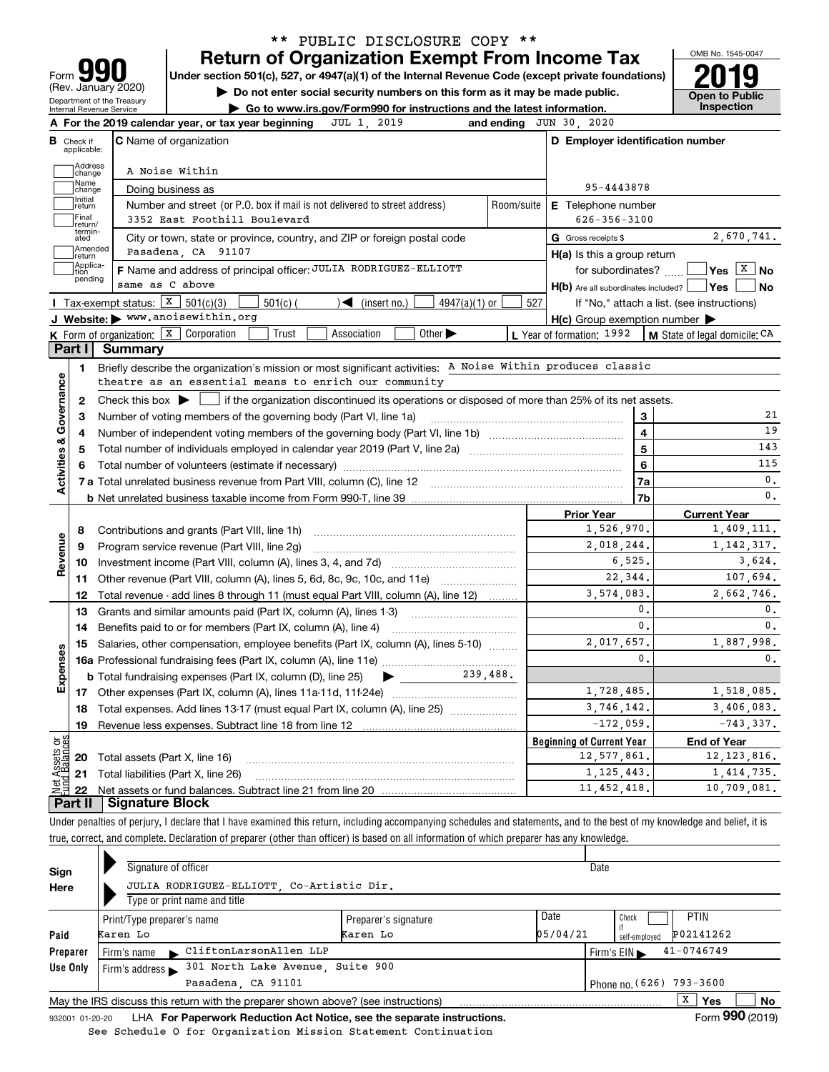| 91<br>١<br>Form                                               |
|---------------------------------------------------------------|
| (Rev. January 2020)                                           |
| Department of the Treasury<br><b>Internal Revenue Service</b> |

## **Return of Organization Exempt From Income Tax** \*\* PUBLIC DISCLOSURE COPY \*\*

Under section 501(c), 527, or 4947(a)(1) of the Internal Revenue Code (except private foundations) **2019** 

**| Do not enter social security numbers on this form as it may be made public.**

**Open to Public** 

OMB No. 1545-0047

| $\blacktriangleright$ Do not enter social security numbers on this form as it may be made public. | Open to Pub |
|---------------------------------------------------------------------------------------------------|-------------|
| Go to www.irs.gov/Form990 for instructions and the latest information.                            | Inspection  |

|                         |                   | JUL 1, 2019<br>A For the 2019 calendar year, or tax year beginning                                                                          |            | and ending JUN 30, 2020                             |                                            |
|-------------------------|-------------------|---------------------------------------------------------------------------------------------------------------------------------------------|------------|-----------------------------------------------------|--------------------------------------------|
| <b>B</b> Check if       | applicable:       | <b>C</b> Name of organization                                                                                                               |            | D Employer identification number                    |                                            |
|                         | Address<br>change | A Noise Within                                                                                                                              |            |                                                     |                                            |
|                         | Name<br>change    | Doing business as                                                                                                                           |            | 95-4443878                                          |                                            |
|                         | Initial<br>return | Number and street (or P.O. box if mail is not delivered to street address)                                                                  | Room/suite | E Telephone number                                  |                                            |
|                         | Final<br>return/  | 3352 East Foothill Boulevard                                                                                                                |            | $626 - 356 - 3100$                                  |                                            |
|                         | termin-<br>ated   | City or town, state or province, country, and ZIP or foreign postal code                                                                    |            | G Gross receipts \$                                 | 2,670,741.                                 |
|                         | Amended<br>return | Pasadena, CA 91107                                                                                                                          |            | $H(a)$ is this a group return                       |                                            |
|                         | Applica-<br>tion  | F Name and address of principal officer: JULIA RODRIGUEZ-ELLIOTT                                                                            |            | for subordinates?                                   | $\sqrt{Y}$ es $\sqrt{X}$ No                |
|                         | pending           | same as C above                                                                                                                             |            | $H(b)$ Are all subordinates included? $\Box$ Yes    | No                                         |
|                         |                   | Tax-exempt status: X<br>501(c)(3)<br>$501(c)$ (<br>$\sqrt{\frac{1}{1}}$ (insert no.)<br>$4947(a)(1)$ or                                     | 527        |                                                     | If "No," attach a list. (see instructions) |
|                         |                   | J Website: > www.anoisewithin.org                                                                                                           |            | $H(c)$ Group exemption number $\blacktriangleright$ |                                            |
|                         |                   | Other $\blacktriangleright$<br>K Form of organization: $\boxed{\textbf{x}}$<br>Corporation<br>Trust<br>Association                          |            | <b>L</b> Year of formation: $1992$                  | $\vert$ M State of legal domicile: $CA$    |
| Part I                  |                   | Summary                                                                                                                                     |            |                                                     |                                            |
|                         | 1.                | Briefly describe the organization's mission or most significant activities: A Noise Within produces classic                                 |            |                                                     |                                            |
|                         |                   | theatre as an essential means to enrich our community                                                                                       |            |                                                     |                                            |
| Governance              | $\mathbf{2}$      | Check this box $\blacktriangleright$ $\Box$ if the organization discontinued its operations or disposed of more than 25% of its net assets. |            |                                                     |                                            |
|                         | 3                 |                                                                                                                                             |            | 3                                                   | 21                                         |
|                         | 4                 |                                                                                                                                             |            | $\overline{\mathbf{4}}$                             | 19                                         |
|                         | 5                 |                                                                                                                                             |            | $\overline{5}$                                      | 143                                        |
| <b>Activities &amp;</b> | 6                 |                                                                                                                                             |            | 6                                                   | 115                                        |
|                         |                   |                                                                                                                                             |            | 7a                                                  | $\mathbf{0}$ .                             |
|                         |                   |                                                                                                                                             |            | 7b                                                  | 0.                                         |
|                         |                   |                                                                                                                                             |            | <b>Prior Year</b>                                   | <b>Current Year</b>                        |
|                         | 8                 | Contributions and grants (Part VIII, line 1h)                                                                                               |            | 1,526,970.                                          | 1,409,111.                                 |
| 9                       |                   | Program service revenue (Part VIII, line 2g)                                                                                                |            | 2,018,244.                                          | 1, 142, 317.                               |
| Revenue                 | 10                | Investment income (Part VIII, column (A), lines 3, 4, and 7d)                                                                               |            | 6, 525.                                             | 3,624.                                     |
|                         | 11                | Other revenue (Part VIII, column (A), lines 5, 6d, 8c, 9c, 10c, and 11e)                                                                    |            | 22.344.                                             | 107.694.                                   |
|                         | 12                | Total revenue - add lines 8 through 11 (must equal Part VIII, column (A), line 12)                                                          |            | 3,574,083.                                          | 2,662,746.                                 |
|                         | 13                | Grants and similar amounts paid (Part IX, column (A), lines 1-3)                                                                            |            | 0.                                                  | 0.                                         |
|                         | 14                | Benefits paid to or for members (Part IX, column (A), line 4)                                                                               |            | 0.                                                  | 0.                                         |
|                         |                   | 15 Salaries, other compensation, employee benefits (Part IX, column (A), lines 5-10)                                                        |            | 2,017,657.                                          | 1,887,998.                                 |
| Expenses                |                   |                                                                                                                                             |            | $\mathbf{0}$ .                                      | $\mathbf{0}$ .                             |
|                         |                   | <b>b</b> Total fundraising expenses (Part IX, column (D), line 25)<br>▶                                                                     | 239.488.   |                                                     |                                            |
|                         |                   |                                                                                                                                             |            | 1,728,485.                                          | 1,518,085.                                 |
|                         | 18                | Total expenses. Add lines 13-17 (must equal Part IX, column (A), line 25) <i></i>                                                           |            | 3,746,142.                                          | 3,406,083.                                 |
|                         | 19                |                                                                                                                                             |            | $-172,059.$                                         | $-743, 337.$                               |
| គម្ព                    |                   |                                                                                                                                             |            | <b>Beginning of Current Year</b>                    | <b>End of Year</b>                         |
| ssets                   |                   | <b>20</b> Total assets (Part X, line 16)                                                                                                    |            | 12,577,861.                                         | 12, 123, 816.                              |
|                         |                   | 21 Total liabilities (Part X, line 26)                                                                                                      |            | 1, 125, 443.                                        | 1,414,735.                                 |
|                         |                   |                                                                                                                                             |            | 11, 452, 418.                                       | 10,709,081.                                |

**Part II Signature Block**

Under penalties of perjury, I declare that I have examined this return, including accompanying schedules and statements, and to the best of my knowledge and belief, it is true, correct, and complete. Declaration of preparer (other than officer) is based on all information of which preparer has any knowledge.

| Sign<br>Here | Signature of officer<br>JULIA RODRIGUEZ-ELLIOTT Co-Artistic Dir.<br>Type or print name and title |                                                      | Date |                                |    |  |
|--------------|--------------------------------------------------------------------------------------------------|------------------------------------------------------|------|--------------------------------|----|--|
| Paid         | Print/Type preparer's name<br>Karen Lo                                                           | Date<br>Preparer's signature<br>05/04/21<br>Karen Lo |      |                                |    |  |
| Preparer     | CliftonLarsonAllen LLP<br>Firm's name                                                            |                                                      |      | $41 - 0746749$<br>Firm's $EIN$ |    |  |
| Use Only     | 301 North Lake Avenue, Suite 900<br>Firm's address $\blacktriangleright$                         |                                                      |      |                                |    |  |
|              | Pasadena, CA 91101                                                                               |                                                      |      | Phone no. (626) 793-3600       |    |  |
|              | May the IRS discuss this return with the preparer shown above? (see instructions)                |                                                      |      | x<br>Yes                       | No |  |
|              |                                                                                                  |                                                      |      | $\mathbf{a}$                   |    |  |

932001 01-20-20 **For Paperwork Reduction Act Notice, see the separate instructions.** LHA Form (2019) See Schedule O for Organization Mission Statement Continuation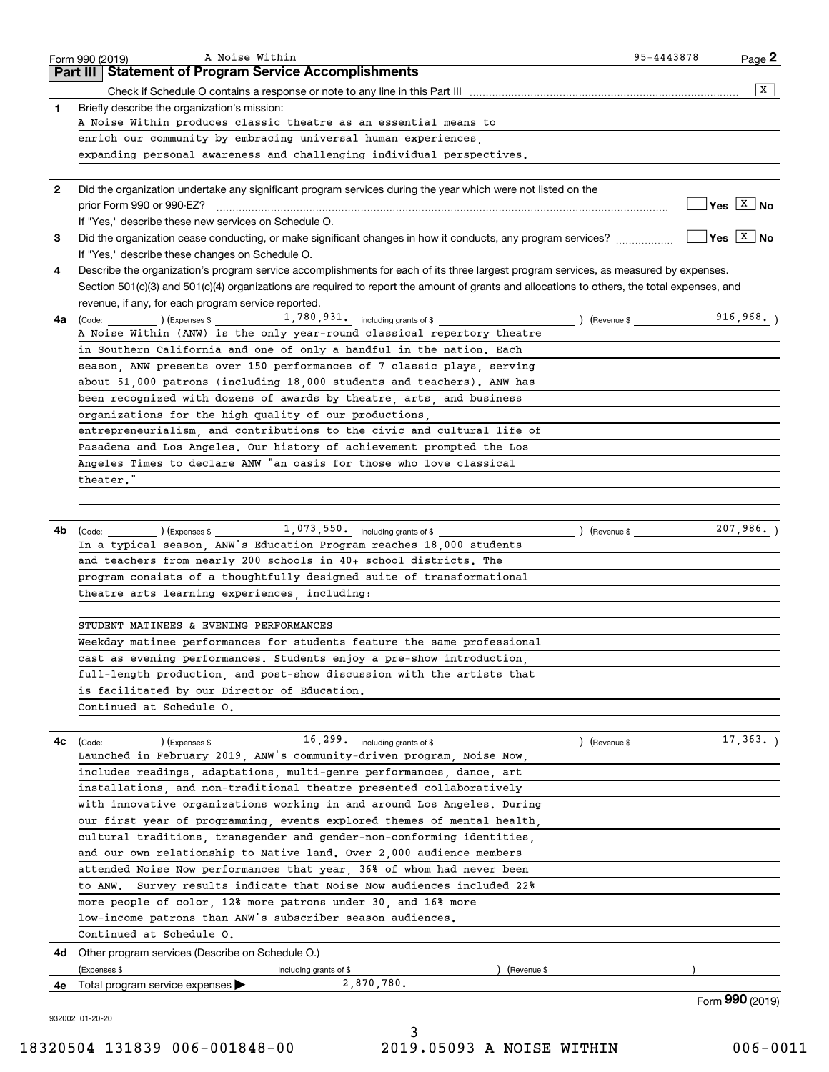|              | A Noise Within<br>Form 990 (2019)                                                                                                            | 95-4443878                     | Page 2                       |
|--------------|----------------------------------------------------------------------------------------------------------------------------------------------|--------------------------------|------------------------------|
|              | Part III Statement of Program Service Accomplishments                                                                                        |                                |                              |
|              |                                                                                                                                              |                                | X                            |
| 1            | Briefly describe the organization's mission:                                                                                                 |                                |                              |
|              | A Noise Within produces classic theatre as an essential means to                                                                             |                                |                              |
|              | enrich our community by embracing universal human experiences,                                                                               |                                |                              |
|              | expanding personal awareness and challenging individual perspectives.                                                                        |                                |                              |
| $\mathbf{2}$ | Did the organization undertake any significant program services during the year which were not listed on the                                 |                                |                              |
|              |                                                                                                                                              |                                | $\sqrt{Y}$ es $\boxed{X}$ No |
|              | If "Yes," describe these new services on Schedule O.                                                                                         |                                |                              |
| 3            | Did the organization cease conducting, or make significant changes in how it conducts, any program services?                                 |                                | $\sqrt{Y}$ es $X$ No         |
|              | If "Yes," describe these changes on Schedule O.                                                                                              |                                |                              |
| 4            | Describe the organization's program service accomplishments for each of its three largest program services, as measured by expenses.         |                                |                              |
|              | Section 501(c)(3) and 501(c)(4) organizations are required to report the amount of grants and allocations to others, the total expenses, and |                                |                              |
|              | revenue, if any, for each program service reported.                                                                                          |                                |                              |
| 4a           | $(\text{Code:})$ $(\text{Expenses $}$ $1,780,931.$ including grants of \$                                                                    | $($ Revenue \$ $\qquad \qquad$ | 916,968.                     |
|              | A Noise Within (ANW) is the only year-round classical repertory theatre                                                                      |                                |                              |
|              | in Southern California and one of only a handful in the nation. Each                                                                         |                                |                              |
|              | season. ANW presents over 150 performances of 7 classic plays, serving                                                                       |                                |                              |
|              | about 51,000 patrons (including 18,000 students and teachers). ANW has                                                                       |                                |                              |
|              | been recognized with dozens of awards by theatre, arts, and business                                                                         |                                |                              |
|              | organizations for the high quality of our productions,                                                                                       |                                |                              |
|              | entrepreneurialism, and contributions to the civic and cultural life of                                                                      |                                |                              |
|              | Pasadena and Los Angeles. Our history of achievement prompted the Los                                                                        |                                |                              |
|              | Angeles Times to declare ANW "an oasis for those who love classical                                                                          |                                |                              |
|              | theater."                                                                                                                                    |                                |                              |
|              |                                                                                                                                              |                                |                              |
|              |                                                                                                                                              |                                |                              |
| 4b           | 1,073,550. including grants of \$<br>(Code:<br>) (Expenses \$                                                                                | ) (Revenue \$                  | 207,986.                     |
|              | In a typical season, ANW's Education Program reaches 18,000 students                                                                         |                                |                              |
|              | and teachers from nearly 200 schools in 40+ school districts. The                                                                            |                                |                              |
|              | program consists of a thoughtfully designed suite of transformational                                                                        |                                |                              |
|              | theatre arts learning experiences, including:                                                                                                |                                |                              |
|              |                                                                                                                                              |                                |                              |
|              | STUDENT MATINEES & EVENING PERFORMANCES                                                                                                      |                                |                              |
|              | Weekday matinee performances for students feature the same professional                                                                      |                                |                              |
|              | cast as evening performances. Students enjoy a pre-show introduction.                                                                        |                                |                              |
|              | full-length production, and post-show discussion with the artists that                                                                       |                                |                              |
|              | is facilitated by our Director of Education.                                                                                                 |                                |                              |
|              | Continued at Schedule O.                                                                                                                     |                                |                              |
|              |                                                                                                                                              |                                |                              |
| 4c           | 16, 299. including grants of \$<br>) (Expenses \$<br>(Code:                                                                                  | ) (Revenue \$                  | 17,363.                      |
|              | Launched in February 2019, ANW's community-driven program, Noise Now,                                                                        |                                |                              |
|              | includes readings, adaptations, multi-genre performances, dance, art                                                                         |                                |                              |
|              | installations, and non-traditional theatre presented collaboratively                                                                         |                                |                              |
|              | with innovative organizations working in and around Los Angeles. During                                                                      |                                |                              |
|              | our first year of programming, events explored themes of mental health,                                                                      |                                |                              |
|              | cultural traditions, transgender and gender-non-conforming identities,                                                                       |                                |                              |
|              | and our own relationship to Native land. Over 2,000 audience members                                                                         |                                |                              |
|              | attended Noise Now performances that year, 36% of whom had never been                                                                        |                                |                              |
|              | to ANW.  Survey results indicate that Noise Now audiences included 22%                                                                       |                                |                              |
|              | more people of color, 12% more patrons under 30, and 16% more                                                                                |                                |                              |
|              | low-income patrons than ANW's subscriber season audiences.                                                                                   |                                |                              |
|              | Continued at Schedule O.                                                                                                                     |                                |                              |
| 4d           | Other program services (Describe on Schedule O.)                                                                                             |                                |                              |
|              | (Expenses \$<br>(Revenue \$<br>including grants of \$                                                                                        |                                |                              |
|              |                                                                                                                                              |                                |                              |
| 4е           | 2,870,780.<br>Total program service expenses                                                                                                 |                                |                              |

3 18320504 131839 006-001848-00 2019.05093 A NOISE WITHIN 006-0011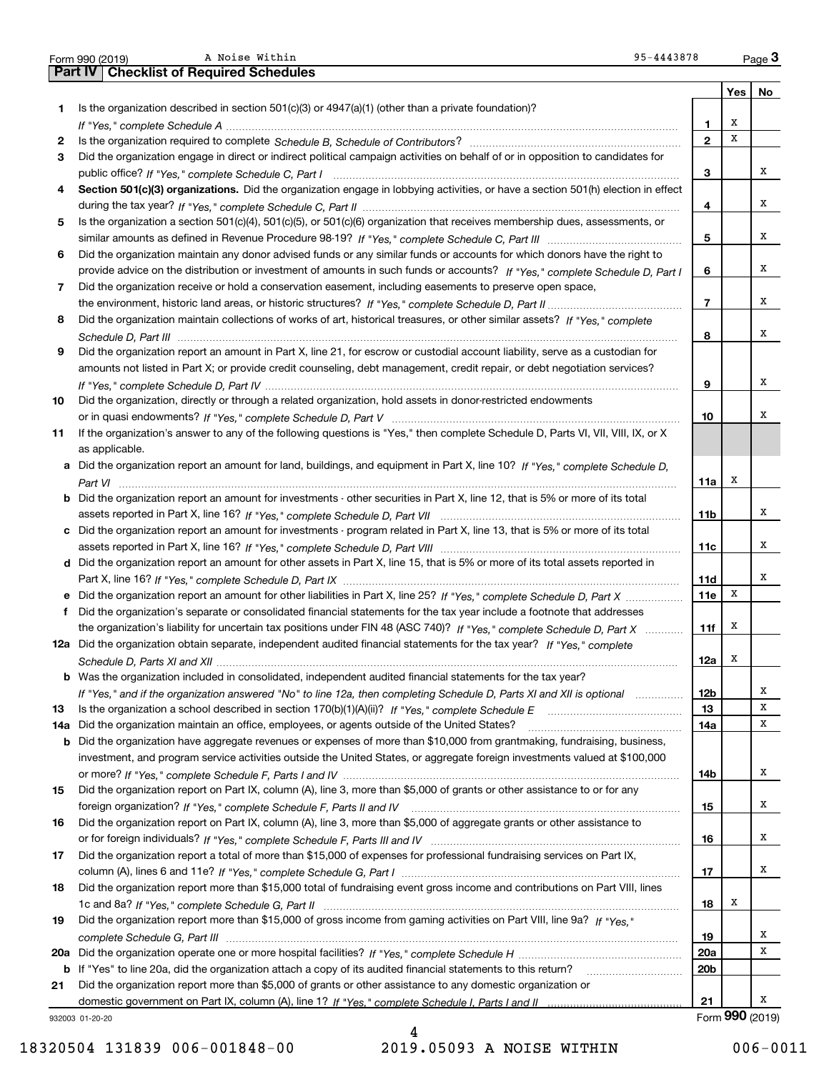|     | A Noise Within<br>95-4443878<br>Form 990 (2019)                                                                                                                                                                                                   |                 |     | Page $3$        |
|-----|---------------------------------------------------------------------------------------------------------------------------------------------------------------------------------------------------------------------------------------------------|-----------------|-----|-----------------|
|     | <b>Part IV   Checklist of Required Schedules</b>                                                                                                                                                                                                  |                 |     |                 |
|     |                                                                                                                                                                                                                                                   |                 | Yes | No              |
| 1   | Is the organization described in section $501(c)(3)$ or $4947(a)(1)$ (other than a private foundation)?                                                                                                                                           |                 |     |                 |
|     |                                                                                                                                                                                                                                                   | 1               | х   |                 |
| 2   |                                                                                                                                                                                                                                                   | $\mathbf{2}$    | х   |                 |
| 3   | Did the organization engage in direct or indirect political campaign activities on behalf of or in opposition to candidates for                                                                                                                   |                 |     |                 |
|     |                                                                                                                                                                                                                                                   | 3               |     | х               |
| 4   | Section 501(c)(3) organizations. Did the organization engage in lobbying activities, or have a section 501(h) election in effect                                                                                                                  |                 |     |                 |
|     |                                                                                                                                                                                                                                                   | 4               |     | х               |
| 5   | Is the organization a section 501(c)(4), 501(c)(5), or 501(c)(6) organization that receives membership dues, assessments, or                                                                                                                      |                 |     |                 |
|     |                                                                                                                                                                                                                                                   | 5               |     | х               |
| 6   | Did the organization maintain any donor advised funds or any similar funds or accounts for which donors have the right to                                                                                                                         |                 |     |                 |
|     | provide advice on the distribution or investment of amounts in such funds or accounts? If "Yes," complete Schedule D, Part I                                                                                                                      | 6               |     | х               |
| 7   | Did the organization receive or hold a conservation easement, including easements to preserve open space,                                                                                                                                         |                 |     |                 |
|     |                                                                                                                                                                                                                                                   | $\overline{7}$  |     | х               |
| 8   | Did the organization maintain collections of works of art, historical treasures, or other similar assets? If "Yes," complete                                                                                                                      |                 |     |                 |
|     |                                                                                                                                                                                                                                                   | 8               |     | x               |
| 9   | Did the organization report an amount in Part X, line 21, for escrow or custodial account liability, serve as a custodian for                                                                                                                     |                 |     |                 |
|     | amounts not listed in Part X; or provide credit counseling, debt management, credit repair, or debt negotiation services?                                                                                                                         |                 |     |                 |
|     |                                                                                                                                                                                                                                                   | 9               |     | х               |
| 10  | Did the organization, directly or through a related organization, hold assets in donor-restricted endowments                                                                                                                                      |                 |     |                 |
|     |                                                                                                                                                                                                                                                   | 10              |     | х               |
| 11  | If the organization's answer to any of the following questions is "Yes," then complete Schedule D, Parts VI, VII, VIII, IX, or X                                                                                                                  |                 |     |                 |
|     | as applicable.                                                                                                                                                                                                                                    |                 |     |                 |
|     | a Did the organization report an amount for land, buildings, and equipment in Part X, line 10? If "Yes," complete Schedule D,                                                                                                                     |                 |     |                 |
|     |                                                                                                                                                                                                                                                   | 11a             | х   |                 |
|     | <b>b</b> Did the organization report an amount for investments - other securities in Part X, line 12, that is 5% or more of its total                                                                                                             |                 |     |                 |
|     |                                                                                                                                                                                                                                                   | 11 <sub>b</sub> |     | х               |
|     | c Did the organization report an amount for investments - program related in Part X, line 13, that is 5% or more of its total                                                                                                                     |                 |     |                 |
|     |                                                                                                                                                                                                                                                   | 11c             |     | х               |
|     | d Did the organization report an amount for other assets in Part X, line 15, that is 5% or more of its total assets reported in                                                                                                                   |                 |     |                 |
|     |                                                                                                                                                                                                                                                   | 11d             |     | х               |
|     | e Did the organization report an amount for other liabilities in Part X, line 25? If "Yes," complete Schedule D, Part X                                                                                                                           | <b>11e</b>      | X   |                 |
|     |                                                                                                                                                                                                                                                   |                 |     |                 |
| f   | Did the organization's separate or consolidated financial statements for the tax year include a footnote that addresses                                                                                                                           | 11f             | x   |                 |
|     | the organization's liability for uncertain tax positions under FIN 48 (ASC 740)? If "Yes," complete Schedule D, Part X<br>12a Did the organization obtain separate, independent audited financial statements for the tax year? If "Yes," complete |                 |     |                 |
|     |                                                                                                                                                                                                                                                   |                 | X   |                 |
|     |                                                                                                                                                                                                                                                   | 12a             |     |                 |
|     | <b>b</b> Was the organization included in consolidated, independent audited financial statements for the tax year?                                                                                                                                |                 |     | х               |
|     | If "Yes," and if the organization answered "No" to line 12a, then completing Schedule D, Parts XI and XII is optional                                                                                                                             | 12 <sub>b</sub> |     | х               |
| 13  |                                                                                                                                                                                                                                                   | 13              |     | х               |
| 14a | Did the organization maintain an office, employees, or agents outside of the United States?                                                                                                                                                       | 14a             |     |                 |
| b   | Did the organization have aggregate revenues or expenses of more than \$10,000 from grantmaking, fundraising, business,                                                                                                                           |                 |     |                 |
|     | investment, and program service activities outside the United States, or aggregate foreign investments valued at \$100,000                                                                                                                        |                 |     | х               |
|     |                                                                                                                                                                                                                                                   | 14b             |     |                 |
| 15  | Did the organization report on Part IX, column (A), line 3, more than \$5,000 of grants or other assistance to or for any                                                                                                                         |                 |     |                 |
|     |                                                                                                                                                                                                                                                   | 15              |     | х               |
| 16  | Did the organization report on Part IX, column (A), line 3, more than \$5,000 of aggregate grants or other assistance to                                                                                                                          |                 |     |                 |
|     |                                                                                                                                                                                                                                                   | 16              |     | х               |
| 17  | Did the organization report a total of more than \$15,000 of expenses for professional fundraising services on Part IX,                                                                                                                           |                 |     |                 |
|     |                                                                                                                                                                                                                                                   | 17              |     | х               |
| 18  | Did the organization report more than \$15,000 total of fundraising event gross income and contributions on Part VIII, lines                                                                                                                      |                 |     |                 |
|     |                                                                                                                                                                                                                                                   | 18              | х   |                 |
| 19  | Did the organization report more than \$15,000 of gross income from gaming activities on Part VIII, line 9a? If "Yes."                                                                                                                            |                 |     |                 |
|     |                                                                                                                                                                                                                                                   | 19              |     | x               |
|     |                                                                                                                                                                                                                                                   | 20a             |     | х               |
|     | b If "Yes" to line 20a, did the organization attach a copy of its audited financial statements to this return?                                                                                                                                    | 20 <sub>b</sub> |     |                 |
| 21  | Did the organization report more than \$5,000 of grants or other assistance to any domestic organization or                                                                                                                                       |                 |     |                 |
|     |                                                                                                                                                                                                                                                   | 21              |     | х               |
|     | 932003 01-20-20                                                                                                                                                                                                                                   |                 |     | Form 990 (2019) |

Form 990 (2019) A Noise Within 2001 2019 and 2010 2019 2020 2031 2040 205-4443878

A Noise Within

932003 01-20-20

18320504 131839 006-001848-00 2019.05093 A NOISE WITHIN 006-0011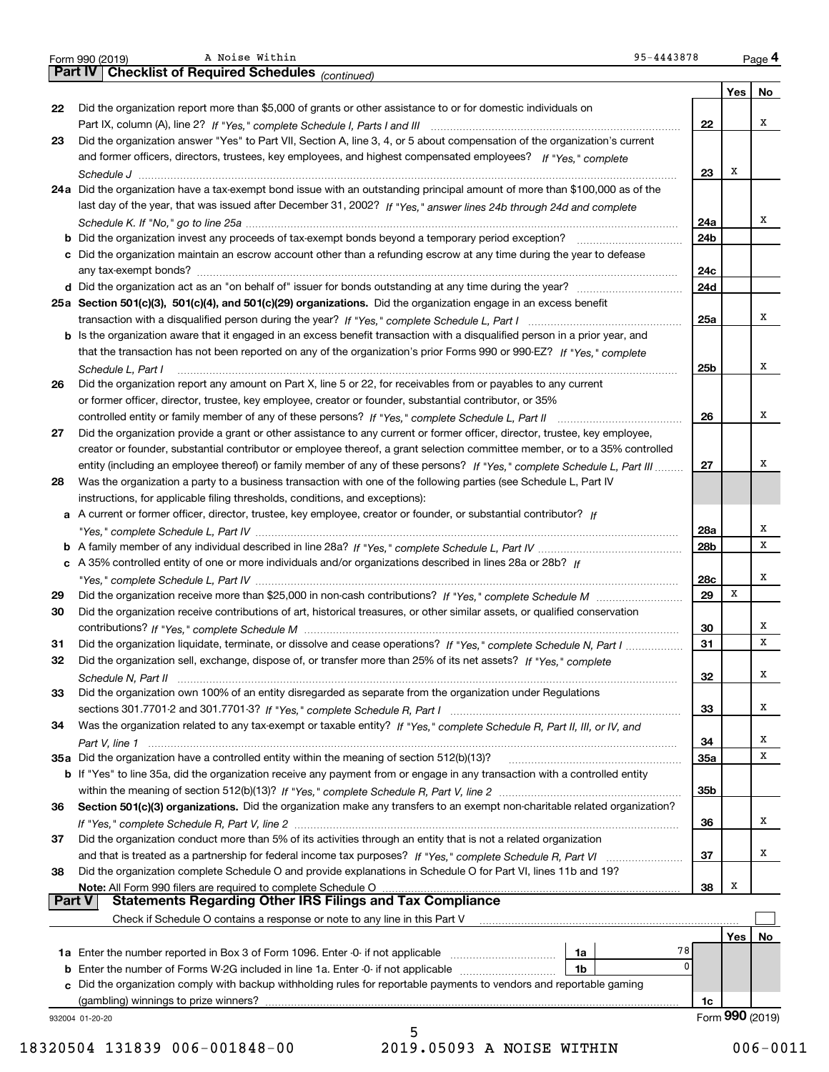|               | 95-4443878<br>A Noise Within<br>Form 990 (2019)                                                                              |            |     | Page 4          |
|---------------|------------------------------------------------------------------------------------------------------------------------------|------------|-----|-----------------|
|               | Part IV   Checklist of Required Schedules (continued)                                                                        |            |     |                 |
|               |                                                                                                                              |            | Yes | No              |
| 22            | Did the organization report more than \$5,000 of grants or other assistance to or for domestic individuals on                |            |     |                 |
|               |                                                                                                                              | 22         |     | x               |
| 23            | Did the organization answer "Yes" to Part VII, Section A, line 3, 4, or 5 about compensation of the organization's current   |            |     |                 |
|               | and former officers, directors, trustees, key employees, and highest compensated employees? If "Yes," complete               |            |     |                 |
|               |                                                                                                                              | 23         | Х   |                 |
|               | 24a Did the organization have a tax-exempt bond issue with an outstanding principal amount of more than \$100,000 as of the  |            |     |                 |
|               | last day of the year, that was issued after December 31, 2002? If "Yes," answer lines 24b through 24d and complete           |            |     |                 |
|               |                                                                                                                              | 24a        |     | x               |
|               |                                                                                                                              | 24b        |     |                 |
|               | c Did the organization maintain an escrow account other than a refunding escrow at any time during the year to defease       | 24c        |     |                 |
|               |                                                                                                                              | 24d        |     |                 |
|               | 25a Section 501(c)(3), 501(c)(4), and 501(c)(29) organizations. Did the organization engage in an excess benefit             |            |     |                 |
|               |                                                                                                                              | 25a        |     | x               |
|               | b Is the organization aware that it engaged in an excess benefit transaction with a disqualified person in a prior year, and |            |     |                 |
|               | that the transaction has not been reported on any of the organization's prior Forms 990 or 990-EZ? If "Yes," complete        |            |     |                 |
|               | Schedule L, Part I                                                                                                           | 25b        |     | Χ               |
| 26            | Did the organization report any amount on Part X, line 5 or 22, for receivables from or payables to any current              |            |     |                 |
|               | or former officer, director, trustee, key employee, creator or founder, substantial contributor, or 35%                      |            |     |                 |
|               | controlled entity or family member of any of these persons? If "Yes," complete Schedule L, Part II                           | 26         |     | Χ               |
| 27            | Did the organization provide a grant or other assistance to any current or former officer, director, trustee, key employee,  |            |     |                 |
|               | creator or founder, substantial contributor or employee thereof, a grant selection committee member, or to a 35% controlled  |            |     |                 |
|               | entity (including an employee thereof) or family member of any of these persons? If "Yes," complete Schedule L, Part III     | 27         |     | х               |
| 28            | Was the organization a party to a business transaction with one of the following parties (see Schedule L, Part IV            |            |     |                 |
|               | instructions, for applicable filing thresholds, conditions, and exceptions):                                                 |            |     |                 |
|               | a A current or former officer, director, trustee, key employee, creator or founder, or substantial contributor? If           |            |     |                 |
|               |                                                                                                                              | 28a        |     | Х               |
|               |                                                                                                                              | 28b        |     | x               |
|               | c A 35% controlled entity of one or more individuals and/or organizations described in lines 28a or 28b? If                  |            |     |                 |
|               |                                                                                                                              | 28c        |     | х               |
| 29            |                                                                                                                              | 29         | X   |                 |
| 30            | Did the organization receive contributions of art, historical treasures, or other similar assets, or qualified conservation  |            |     |                 |
|               |                                                                                                                              | 30         |     | х               |
| 31            | Did the organization liquidate, terminate, or dissolve and cease operations? If "Yes," complete Schedule N, Part I           | 31         |     | x               |
| 32            | Did the organization sell, exchange, dispose of, or transfer more than 25% of its net assets? If "Yes," complete             |            |     |                 |
|               |                                                                                                                              | 32         |     | Х               |
| 33            | Did the organization own 100% of an entity disregarded as separate from the organization under Regulations                   |            |     |                 |
|               |                                                                                                                              | 33         |     | х               |
| 34            | Was the organization related to any tax-exempt or taxable entity? If "Yes," complete Schedule R, Part II, III, or IV, and    |            |     |                 |
|               |                                                                                                                              | 34         |     | x<br>x          |
|               | 35a Did the organization have a controlled entity within the meaning of section 512(b)(13)?                                  | <b>35a</b> |     |                 |
|               | b If "Yes" to line 35a, did the organization receive any payment from or engage in any transaction with a controlled entity  |            |     |                 |
| 36            | Section 501(c)(3) organizations. Did the organization make any transfers to an exempt non-charitable related organization?   | 35b        |     |                 |
|               |                                                                                                                              |            |     | x               |
| 37            | Did the organization conduct more than 5% of its activities through an entity that is not a related organization             | 36         |     |                 |
|               |                                                                                                                              | 37         |     | x               |
| 38            | Did the organization complete Schedule O and provide explanations in Schedule O for Part VI, lines 11b and 19?               |            |     |                 |
|               | Note: All Form 990 filers are required to complete Schedule O                                                                | 38         | x   |                 |
| <b>Part V</b> | <b>Statements Regarding Other IRS Filings and Tax Compliance</b>                                                             |            |     |                 |
|               | Check if Schedule O contains a response or note to any line in this Part V                                                   |            |     |                 |
|               |                                                                                                                              |            | Yes | No              |
|               | 1a                                                                                                                           | 78         |     |                 |
| b             | Enter the number of Forms W-2G included in line 1a. Enter -0- if not applicable<br>1b                                        | 0          |     |                 |
|               | c Did the organization comply with backup withholding rules for reportable payments to vendors and reportable gaming         |            |     |                 |
|               | (gambling) winnings to prize winners?                                                                                        | 1c         |     |                 |
|               | 932004 01-20-20                                                                                                              |            |     | Form 990 (2019) |
|               | 5                                                                                                                            |            |     |                 |

A Noise Within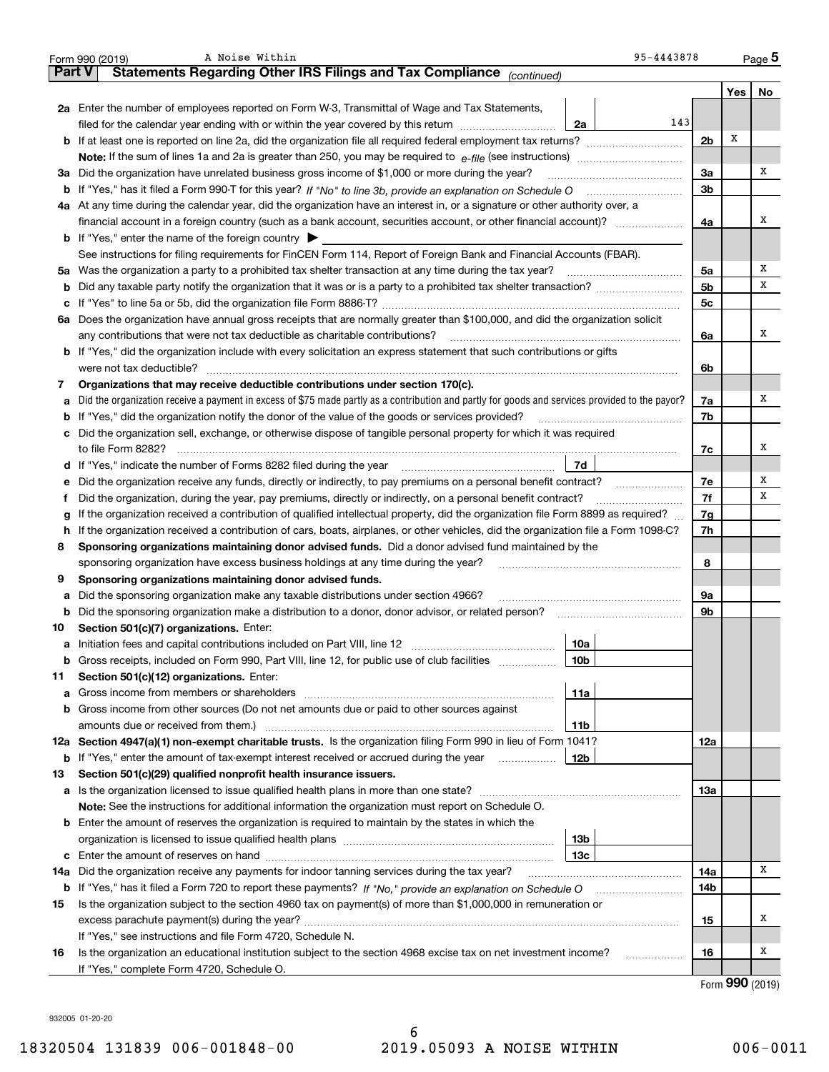|     | 95-4443878<br>A Noise Within<br>Form 990 (2019)                                                                                                 |     |     | Page 5 |  |  |  |  |  |  |  |  |
|-----|-------------------------------------------------------------------------------------------------------------------------------------------------|-----|-----|--------|--|--|--|--|--|--|--|--|
|     | Statements Regarding Other IRS Filings and Tax Compliance (continued)<br><b>Part V</b>                                                          |     |     |        |  |  |  |  |  |  |  |  |
|     |                                                                                                                                                 |     | Yes | No     |  |  |  |  |  |  |  |  |
|     | 2a Enter the number of employees reported on Form W-3, Transmittal of Wage and Tax Statements,                                                  |     |     |        |  |  |  |  |  |  |  |  |
|     | 143<br>filed for the calendar year ending with or within the year covered by this return<br>2a                                                  |     |     |        |  |  |  |  |  |  |  |  |
|     |                                                                                                                                                 |     |     |        |  |  |  |  |  |  |  |  |
|     |                                                                                                                                                 |     |     |        |  |  |  |  |  |  |  |  |
|     | 3a Did the organization have unrelated business gross income of \$1,000 or more during the year?                                                |     |     |        |  |  |  |  |  |  |  |  |
|     |                                                                                                                                                 |     |     |        |  |  |  |  |  |  |  |  |
|     | 4a At any time during the calendar year, did the organization have an interest in, or a signature or other authority over, a                    |     |     |        |  |  |  |  |  |  |  |  |
|     | financial account in a foreign country (such as a bank account, securities account, or other financial account)?                                |     |     |        |  |  |  |  |  |  |  |  |
|     | <b>b</b> If "Yes," enter the name of the foreign country $\triangleright$                                                                       |     |     |        |  |  |  |  |  |  |  |  |
|     | See instructions for filing requirements for FinCEN Form 114, Report of Foreign Bank and Financial Accounts (FBAR).                             |     |     |        |  |  |  |  |  |  |  |  |
|     | 5a Was the organization a party to a prohibited tax shelter transaction at any time during the tax year?                                        | 5a  |     | х      |  |  |  |  |  |  |  |  |
| b   |                                                                                                                                                 | 5b  |     | х      |  |  |  |  |  |  |  |  |
| c   |                                                                                                                                                 | 5c  |     |        |  |  |  |  |  |  |  |  |
|     | 6a Does the organization have annual gross receipts that are normally greater than \$100,000, and did the organization solicit                  |     |     |        |  |  |  |  |  |  |  |  |
|     | any contributions that were not tax deductible as charitable contributions?                                                                     | 6a  |     | х      |  |  |  |  |  |  |  |  |
|     | <b>b</b> If "Yes," did the organization include with every solicitation an express statement that such contributions or gifts                   |     |     |        |  |  |  |  |  |  |  |  |
|     | were not tax deductible?                                                                                                                        | 6b  |     |        |  |  |  |  |  |  |  |  |
| 7   | Organizations that may receive deductible contributions under section 170(c).                                                                   |     |     |        |  |  |  |  |  |  |  |  |
| a   | Did the organization receive a payment in excess of \$75 made partly as a contribution and partly for goods and services provided to the payor? | 7a  |     | х      |  |  |  |  |  |  |  |  |
|     | <b>b</b> If "Yes," did the organization notify the donor of the value of the goods or services provided?                                        | 7b  |     |        |  |  |  |  |  |  |  |  |
|     | c Did the organization sell, exchange, or otherwise dispose of tangible personal property for which it was required                             |     |     |        |  |  |  |  |  |  |  |  |
|     | to file Form 8282?                                                                                                                              | 7c  |     | х      |  |  |  |  |  |  |  |  |
|     | 7d                                                                                                                                              |     |     |        |  |  |  |  |  |  |  |  |
| е   | Did the organization receive any funds, directly or indirectly, to pay premiums on a personal benefit contract?                                 | 7e  |     | х      |  |  |  |  |  |  |  |  |
| f   | Did the organization, during the year, pay premiums, directly or indirectly, on a personal benefit contract?                                    | 7f  |     | х      |  |  |  |  |  |  |  |  |
| g   | If the organization received a contribution of qualified intellectual property, did the organization file Form 8899 as required?                | 7g  |     |        |  |  |  |  |  |  |  |  |
| h.  | If the organization received a contribution of cars, boats, airplanes, or other vehicles, did the organization file a Form 1098-C?              | 7h  |     |        |  |  |  |  |  |  |  |  |
| 8   | Sponsoring organizations maintaining donor advised funds. Did a donor advised fund maintained by the                                            |     |     |        |  |  |  |  |  |  |  |  |
|     | sponsoring organization have excess business holdings at any time during the year?                                                              | 8   |     |        |  |  |  |  |  |  |  |  |
| 9   | Sponsoring organizations maintaining donor advised funds.                                                                                       |     |     |        |  |  |  |  |  |  |  |  |
| a   | Did the sponsoring organization make any taxable distributions under section 4966?                                                              | 9a  |     |        |  |  |  |  |  |  |  |  |
| b   | Did the sponsoring organization make a distribution to a donor, donor advisor, or related person?                                               | 9b  |     |        |  |  |  |  |  |  |  |  |
| 10  | Section 501(c)(7) organizations. Enter:                                                                                                         |     |     |        |  |  |  |  |  |  |  |  |
|     | 10a                                                                                                                                             |     |     |        |  |  |  |  |  |  |  |  |
|     | 10 <sub>b</sub><br>Gross receipts, included on Form 990, Part VIII, line 12, for public use of club facilities                                  |     |     |        |  |  |  |  |  |  |  |  |
| 11  | Section 501(c)(12) organizations. Enter:                                                                                                        |     |     |        |  |  |  |  |  |  |  |  |
| a   | Gross income from members or shareholders<br>11a                                                                                                |     |     |        |  |  |  |  |  |  |  |  |
| b   | Gross income from other sources (Do not net amounts due or paid to other sources against                                                        |     |     |        |  |  |  |  |  |  |  |  |
|     | amounts due or received from them.)<br>11b                                                                                                      |     |     |        |  |  |  |  |  |  |  |  |
|     | 12a Section 4947(a)(1) non-exempt charitable trusts. Is the organization filing Form 990 in lieu of Form 1041?                                  | 12a |     |        |  |  |  |  |  |  |  |  |
|     | 12b<br><b>b</b> If "Yes," enter the amount of tax-exempt interest received or accrued during the year                                           |     |     |        |  |  |  |  |  |  |  |  |
| 13  | Section 501(c)(29) qualified nonprofit health insurance issuers.                                                                                |     |     |        |  |  |  |  |  |  |  |  |
| a   | Is the organization licensed to issue qualified health plans in more than one state?                                                            | 13а |     |        |  |  |  |  |  |  |  |  |
|     | Note: See the instructions for additional information the organization must report on Schedule O.                                               |     |     |        |  |  |  |  |  |  |  |  |
|     | <b>b</b> Enter the amount of reserves the organization is required to maintain by the states in which the                                       |     |     |        |  |  |  |  |  |  |  |  |
|     | 13b                                                                                                                                             |     |     |        |  |  |  |  |  |  |  |  |
|     | 13c                                                                                                                                             |     |     |        |  |  |  |  |  |  |  |  |
| 14a | Did the organization receive any payments for indoor tanning services during the tax year?                                                      | 14a |     | x      |  |  |  |  |  |  |  |  |
|     | <b>b</b> If "Yes," has it filed a Form 720 to report these payments? If "No," provide an explanation on Schedule O                              | 14b |     |        |  |  |  |  |  |  |  |  |
| 15  | Is the organization subject to the section 4960 tax on payment(s) of more than \$1,000,000 in remuneration or                                   |     |     |        |  |  |  |  |  |  |  |  |
|     |                                                                                                                                                 | 15  |     | x      |  |  |  |  |  |  |  |  |
|     | If "Yes," see instructions and file Form 4720, Schedule N.                                                                                      |     |     |        |  |  |  |  |  |  |  |  |
| 16  | Is the organization an educational institution subject to the section 4968 excise tax on net investment income?                                 | 16  |     | х      |  |  |  |  |  |  |  |  |
|     | If "Yes," complete Form 4720, Schedule O.                                                                                                       |     | ההה |        |  |  |  |  |  |  |  |  |

Form (2019) **990**

932005 01-20-20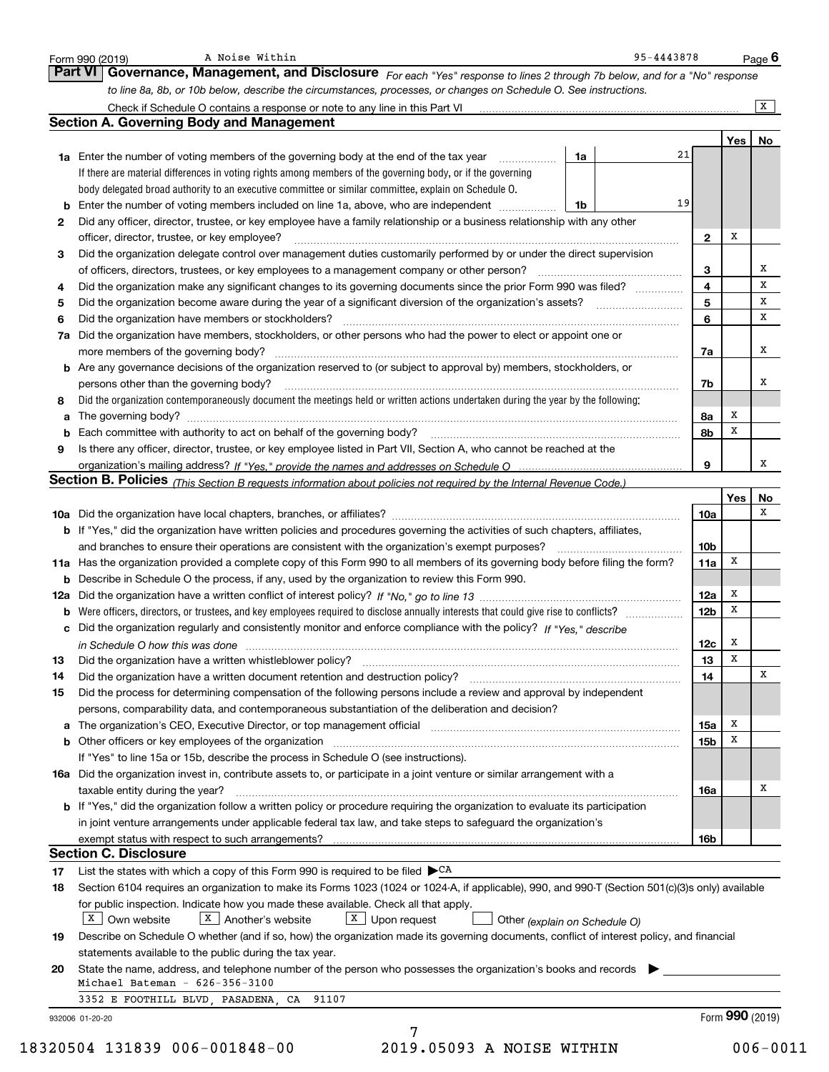|          | to line 8a, 8b, or 10b below, describe the circumstances, processes, or changes on Schedule O. See instructions.<br>Check if Schedule O contains a response or note to any line in this Part VI [11] [12] Check if Schedule O contains a response or note to any line in this Part VI |                         |             | X        |
|----------|---------------------------------------------------------------------------------------------------------------------------------------------------------------------------------------------------------------------------------------------------------------------------------------|-------------------------|-------------|----------|
|          | <b>Section A. Governing Body and Management</b>                                                                                                                                                                                                                                       |                         |             |          |
|          |                                                                                                                                                                                                                                                                                       |                         |             | Yes   No |
|          | <b>1a</b> Enter the number of voting members of the governing body at the end of the tax year <i>manumum</i><br>1a                                                                                                                                                                    | 21                      |             |          |
|          | If there are material differences in voting rights among members of the governing body, or if the governing                                                                                                                                                                           |                         |             |          |
|          | body delegated broad authority to an executive committee or similar committee, explain on Schedule O.                                                                                                                                                                                 |                         |             |          |
| b        | Enter the number of voting members included on line 1a, above, who are independent<br>1b                                                                                                                                                                                              | 19                      |             |          |
| 2        | Did any officer, director, trustee, or key employee have a family relationship or a business relationship with any other                                                                                                                                                              |                         |             |          |
|          | officer, director, trustee, or key employee?                                                                                                                                                                                                                                          | $\mathbf{2}$            | Х           |          |
| 3        | Did the organization delegate control over management duties customarily performed by or under the direct supervision                                                                                                                                                                 |                         |             |          |
|          | of officers, directors, trustees, or key employees to a management company or other person?                                                                                                                                                                                           | 3                       |             | х        |
| 4        | Did the organization make any significant changes to its governing documents since the prior Form 990 was filed?                                                                                                                                                                      | $\overline{\mathbf{4}}$ |             | х        |
| 5        |                                                                                                                                                                                                                                                                                       | 5                       |             | х        |
| 6        | Did the organization have members or stockholders?                                                                                                                                                                                                                                    | 6                       |             | x        |
| 7a       | Did the organization have members, stockholders, or other persons who had the power to elect or appoint one or                                                                                                                                                                        |                         |             |          |
|          |                                                                                                                                                                                                                                                                                       | 7a                      |             | x        |
|          | <b>b</b> Are any governance decisions of the organization reserved to (or subject to approval by) members, stockholders, or                                                                                                                                                           |                         |             |          |
|          | persons other than the governing body?                                                                                                                                                                                                                                                | 7b                      |             | Х        |
| 8        | Did the organization contemporaneously document the meetings held or written actions undertaken during the year by the following:                                                                                                                                                     |                         |             |          |
| а        |                                                                                                                                                                                                                                                                                       | 8а                      | х           |          |
|          | Each committee with authority to act on behalf of the governing body? [11] manufacture manufacture with authority to act on behalf of the governing body? [11] manufacture with authority of the state with an interval and th                                                        | 8b                      | X           |          |
| 9        | Is there any officer, director, trustee, or key employee listed in Part VII, Section A, who cannot be reached at the                                                                                                                                                                  |                         |             |          |
|          |                                                                                                                                                                                                                                                                                       | 9                       |             | х        |
|          | <b>Section B. Policies</b> (This Section B requests information about policies not required by the Internal Revenue Code.)                                                                                                                                                            |                         |             |          |
|          |                                                                                                                                                                                                                                                                                       |                         | Yes         | No       |
|          |                                                                                                                                                                                                                                                                                       | 10a                     |             | х        |
|          | <b>b</b> If "Yes," did the organization have written policies and procedures governing the activities of such chapters, affiliates,                                                                                                                                                   |                         |             |          |
|          |                                                                                                                                                                                                                                                                                       | 10 <sub>b</sub>         |             |          |
|          | 11a Has the organization provided a complete copy of this Form 990 to all members of its governing body before filing the form?                                                                                                                                                       | 11a                     | х           |          |
|          | <b>b</b> Describe in Schedule O the process, if any, used by the organization to review this Form 990.                                                                                                                                                                                |                         |             |          |
|          |                                                                                                                                                                                                                                                                                       | 12a                     | x           |          |
|          | Were officers, directors, or trustees, and key employees required to disclose annually interests that could give rise to conflicts?                                                                                                                                                   | 12 <sub>b</sub>         | x           |          |
|          | c Did the organization regularly and consistently monitor and enforce compliance with the policy? If "Yes," describe                                                                                                                                                                  |                         |             |          |
|          | in Schedule O how this was done manufactured and continuum control of the state of the state of the state of t                                                                                                                                                                        | 12c                     | x           |          |
| 13       | Did the organization have a written whistleblower policy?                                                                                                                                                                                                                             | 13                      | $\mathbf X$ |          |
| 14       |                                                                                                                                                                                                                                                                                       | 14                      |             | х        |
|          | Did the process for determining compensation of the following persons include a review and approval by independent                                                                                                                                                                    |                         |             |          |
| 15       |                                                                                                                                                                                                                                                                                       |                         |             |          |
|          | persons, comparability data, and contemporaneous substantiation of the deliberation and decision?                                                                                                                                                                                     |                         |             |          |
| а        | The organization's CEO, Executive Director, or top management official manufactured content content of the organization's CEO, Executive Director, or top management official manufactured content of the original manufacture                                                        | 15a                     | х           |          |
|          | b Other officers or key employees of the organization manufactured content to the original content of the organization manufactured content of the organization manufactured content of the organization manufactured content                                                         | 15 <sub>b</sub>         | X           |          |
|          | If "Yes" to line 15a or 15b, describe the process in Schedule O (see instructions).                                                                                                                                                                                                   |                         |             |          |
|          | 16a Did the organization invest in, contribute assets to, or participate in a joint venture or similar arrangement with a                                                                                                                                                             |                         |             |          |
|          | taxable entity during the year?                                                                                                                                                                                                                                                       | 16a                     |             | х        |
|          | b If "Yes," did the organization follow a written policy or procedure requiring the organization to evaluate its participation                                                                                                                                                        |                         |             |          |
|          | in joint venture arrangements under applicable federal tax law, and take steps to safeguard the organization's                                                                                                                                                                        |                         |             |          |
|          | exempt status with respect to such arrangements?                                                                                                                                                                                                                                      | 16b                     |             |          |
|          | <b>Section C. Disclosure</b>                                                                                                                                                                                                                                                          |                         |             |          |
|          | List the states with which a copy of this Form 990 is required to be filed $\blacktriangleright^{\mathsf{CA}}$                                                                                                                                                                        |                         |             |          |
| 17<br>18 | Section 6104 requires an organization to make its Forms 1023 (1024 or 1024-A, if applicable), 990, and 990-T (Section 501(c)(3)s only) available                                                                                                                                      |                         |             |          |
|          | for public inspection. Indicate how you made these available. Check all that apply.                                                                                                                                                                                                   |                         |             |          |
|          | X   Another's website<br>$X$ Upon request<br>X   Own website<br>Other (explain on Schedule O)                                                                                                                                                                                         |                         |             |          |
| 19       | Describe on Schedule O whether (and if so, how) the organization made its governing documents, conflict of interest policy, and financial                                                                                                                                             |                         |             |          |
|          | statements available to the public during the tax year.                                                                                                                                                                                                                               |                         |             |          |
| 20       | State the name, address, and telephone number of the person who possesses the organization's books and records                                                                                                                                                                        |                         |             |          |
|          | Michael Bateman - $626 - 356 - 3100$<br>91107<br>3352 E FOOTHILL BLVD, PASADENA, CA                                                                                                                                                                                                   |                         |             |          |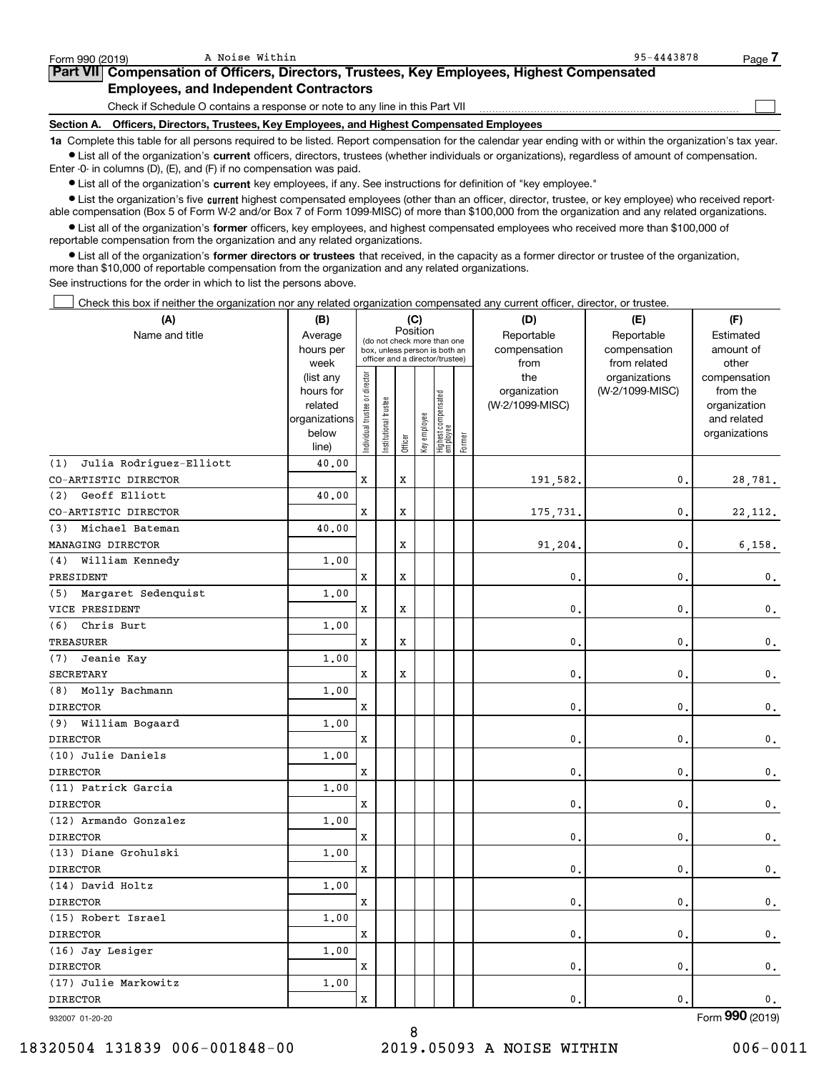| Form 990 (2019)                                                                            | A Noise Within                                                                  | 95-4443878<br>Page                                                                                                                                         |  |  |  |  |  |  |  |
|--------------------------------------------------------------------------------------------|---------------------------------------------------------------------------------|------------------------------------------------------------------------------------------------------------------------------------------------------------|--|--|--|--|--|--|--|
| Part VII Compensation of Officers, Directors, Trustees, Key Employees, Highest Compensated |                                                                                 |                                                                                                                                                            |  |  |  |  |  |  |  |
| <b>Employees, and Independent Contractors</b>                                              |                                                                                 |                                                                                                                                                            |  |  |  |  |  |  |  |
|                                                                                            | Check if Schedule O contains a response or note to any line in this Part VII    |                                                                                                                                                            |  |  |  |  |  |  |  |
| Section A.                                                                                 | Officers, Directors, Trustees, Key Employees, and Highest Compensated Employees |                                                                                                                                                            |  |  |  |  |  |  |  |
|                                                                                            |                                                                                 | 1a Complete this table for all persons required to be listed. Report compensation for the calendar year ending with or within the organization's tax year. |  |  |  |  |  |  |  |

A Noise Within 95-4443878

**•** List all of the organization's current officers, directors, trustees (whether individuals or organizations), regardless of amount of compensation. Enter -0- in columns (D), (E), and (F) if no compensation was paid.

 $\bullet$  List all of the organization's  $\,$ current key employees, if any. See instructions for definition of "key employee."

**•** List the organization's five current highest compensated employees (other than an officer, director, trustee, or key employee) who received reportable compensation (Box 5 of Form W-2 and/or Box 7 of Form 1099-MISC) of more than \$100,000 from the organization and any related organizations.

**•** List all of the organization's former officers, key employees, and highest compensated employees who received more than \$100,000 of reportable compensation from the organization and any related organizations.

**former directors or trustees**  ¥ List all of the organization's that received, in the capacity as a former director or trustee of the organization, more than \$10,000 of reportable compensation from the organization and any related organizations.

See instructions for the order in which to list the persons above.

Check this box if neither the organization nor any related organization compensated any current officer, director, or trustee.  $\mathcal{L}^{\text{max}}$ 

| (A)                            | (B)                                                                          |                               |                                                                                                 | (C)     |              |                                  |        | (D)                                            | (E)                                              | (F)                                                                               |
|--------------------------------|------------------------------------------------------------------------------|-------------------------------|-------------------------------------------------------------------------------------------------|---------|--------------|----------------------------------|--------|------------------------------------------------|--------------------------------------------------|-----------------------------------------------------------------------------------|
| Name and title                 | Average<br>hours per                                                         |                               | (do not check more than one<br>box, unless person is both an<br>officer and a director/trustee) |         | Position     |                                  |        | Reportable<br>compensation                     | Reportable<br>compensation                       | Estimated<br>amount of                                                            |
|                                | week<br>(list any<br>hours for<br>related<br>organizations<br>below<br>line) | ndividual trustee or director | nstitutional trustee                                                                            | Officer | Key employee | Highest compensated<br> employee | Former | from<br>the<br>organization<br>(W-2/1099-MISC) | from related<br>organizations<br>(W-2/1099-MISC) | other<br>compensation<br>from the<br>organization<br>and related<br>organizations |
| Julia Rodriguez-Elliott<br>(1) | 40.00                                                                        |                               |                                                                                                 |         |              |                                  |        |                                                |                                                  |                                                                                   |
| CO-ARTISTIC DIRECTOR           |                                                                              | X                             |                                                                                                 | X       |              |                                  |        | 191,582.                                       | 0.                                               | 28,781.                                                                           |
| Geoff Elliott<br>(2)           | 40.00                                                                        |                               |                                                                                                 |         |              |                                  |        |                                                |                                                  |                                                                                   |
| CO-ARTISTIC DIRECTOR           |                                                                              | x                             |                                                                                                 | X       |              |                                  |        | 175,731.                                       | $\mathbf{0}$ .                                   | 22, 112.                                                                          |
| Michael Bateman<br>(3)         | 40.00                                                                        |                               |                                                                                                 |         |              |                                  |        |                                                |                                                  |                                                                                   |
| MANAGING DIRECTOR              |                                                                              |                               |                                                                                                 | X       |              |                                  |        | 91,204,                                        | $\mathbf{0}$ .                                   | 6,158.                                                                            |
| William Kennedy<br>(4)         | 1,00                                                                         |                               |                                                                                                 |         |              |                                  |        |                                                |                                                  |                                                                                   |
| PRESIDENT                      |                                                                              | x                             |                                                                                                 | X       |              |                                  |        | $\mathbf{0}$ .                                 | $\mathbf{0}$ .                                   | 0.                                                                                |
| (5) Margaret Sedenquist        | 1.00                                                                         |                               |                                                                                                 |         |              |                                  |        |                                                |                                                  |                                                                                   |
| VICE PRESIDENT                 |                                                                              | X                             |                                                                                                 | X       |              |                                  |        | 0.                                             | $\mathbf{0}$ .                                   | $\mathbf 0$ .                                                                     |
| Chris Burt<br>(6)              | 1.00                                                                         |                               |                                                                                                 |         |              |                                  |        |                                                |                                                  |                                                                                   |
| TREASURER                      |                                                                              | x                             |                                                                                                 | X       |              |                                  |        | $\mathbf{0}$ .                                 | $\mathbf{0}$ .                                   | $\mathbf 0$ .                                                                     |
| Jeanie Kay<br>(7)              | 1,00                                                                         |                               |                                                                                                 |         |              |                                  |        |                                                |                                                  |                                                                                   |
| <b>SECRETARY</b>               |                                                                              | x                             |                                                                                                 | X       |              |                                  |        | $\mathbf{0}$ .                                 | $\mathbf{0}$ .                                   | 0.                                                                                |
| Molly Bachmann<br>(8)          | 1,00                                                                         |                               |                                                                                                 |         |              |                                  |        |                                                |                                                  |                                                                                   |
| <b>DIRECTOR</b>                |                                                                              | x                             |                                                                                                 |         |              |                                  |        | 0.                                             | $\mathbf{0}$ .                                   | 0.                                                                                |
| William Bogaard<br>(9)         | 1.00                                                                         |                               |                                                                                                 |         |              |                                  |        |                                                |                                                  |                                                                                   |
| <b>DIRECTOR</b>                |                                                                              | x                             |                                                                                                 |         |              |                                  |        | 0.                                             | $\mathbf{0}$ .                                   | 0.                                                                                |
| (10) Julie Daniels             | 1.00                                                                         |                               |                                                                                                 |         |              |                                  |        |                                                |                                                  |                                                                                   |
| <b>DIRECTOR</b>                |                                                                              | x                             |                                                                                                 |         |              |                                  |        | $\mathbf{0}$ .                                 | $\mathbf{0}$ .                                   | $\mathsf{0}\,.$                                                                   |
| (11) Patrick Garcia            | 1.00                                                                         |                               |                                                                                                 |         |              |                                  |        |                                                |                                                  |                                                                                   |
| <b>DIRECTOR</b>                |                                                                              | x                             |                                                                                                 |         |              |                                  |        | 0.                                             | $\mathbf{0}$ .                                   | $\mathbf 0$ .                                                                     |
| (12) Armando Gonzalez          | 1.00                                                                         |                               |                                                                                                 |         |              |                                  |        |                                                |                                                  |                                                                                   |
| <b>DIRECTOR</b>                |                                                                              | X                             |                                                                                                 |         |              |                                  |        | 0.                                             | $\mathbf{0}$ .                                   | $\mathbf 0$ .                                                                     |
| (13) Diane Grohulski           | 1.00                                                                         |                               |                                                                                                 |         |              |                                  |        |                                                |                                                  |                                                                                   |
| <b>DIRECTOR</b>                |                                                                              | X                             |                                                                                                 |         |              |                                  |        | 0.                                             | $\mathbf{0}$ .                                   | $\mathbf 0$ .                                                                     |
| (14) David Holtz               | 1.00                                                                         |                               |                                                                                                 |         |              |                                  |        |                                                |                                                  |                                                                                   |
| <b>DIRECTOR</b>                |                                                                              | x                             |                                                                                                 |         |              |                                  |        | $\mathbf{0}$ .                                 | $\mathbf{0}$ .                                   | 0.                                                                                |
| (15) Robert Israel             | 1.00                                                                         |                               |                                                                                                 |         |              |                                  |        |                                                |                                                  |                                                                                   |
| <b>DIRECTOR</b>                |                                                                              | x                             |                                                                                                 |         |              |                                  |        | 0.                                             | $\mathbf{0}$ .                                   | 0.                                                                                |
| (16) Jay Lesiger               | 1.00                                                                         |                               |                                                                                                 |         |              |                                  |        |                                                |                                                  |                                                                                   |
| <b>DIRECTOR</b>                |                                                                              | X                             |                                                                                                 |         |              |                                  |        | 0.                                             | $\mathbf{0}$ .                                   | $\mathsf{0}\,.$                                                                   |
| (17) Julie Markowitz           | 1.00                                                                         |                               |                                                                                                 |         |              |                                  |        |                                                |                                                  |                                                                                   |
| <b>DIRECTOR</b>                |                                                                              | X                             |                                                                                                 |         |              |                                  |        | $\mathbf{0}$ .                                 | 0.                                               | 0.                                                                                |

8

932007 01-20-20

Form (2019) **990**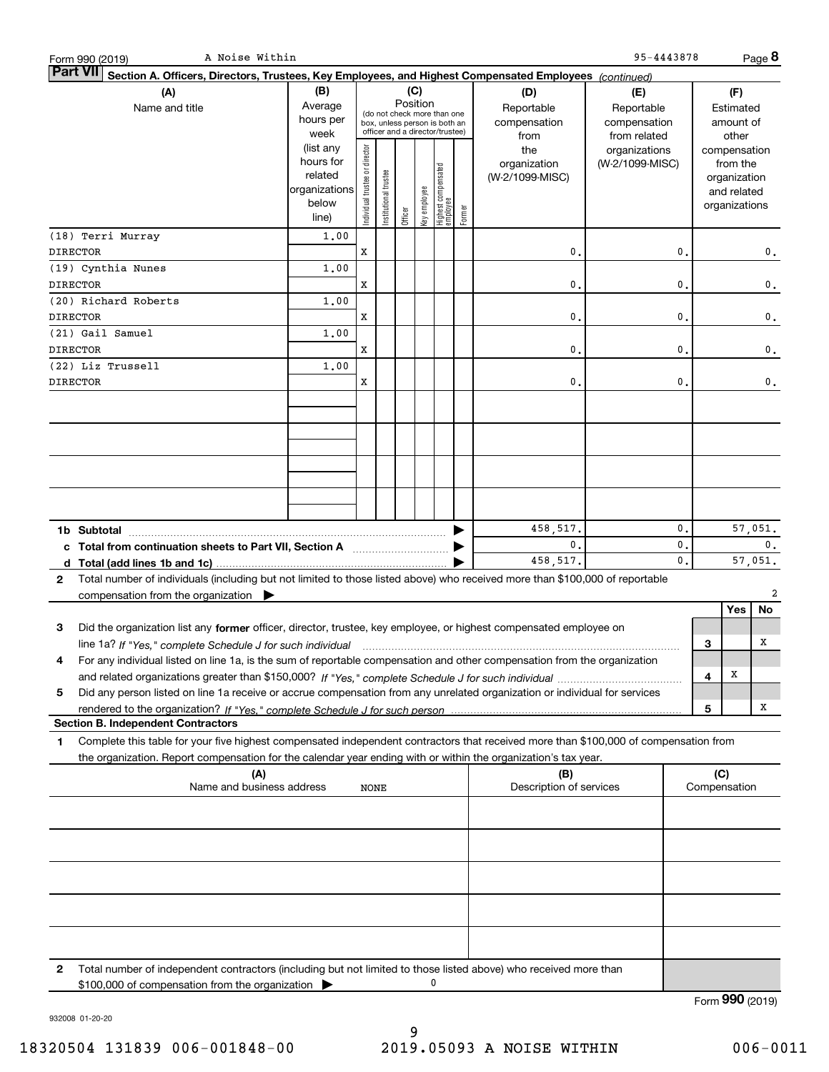| A Noise Within<br>Form 990 (2019)                                                                                                               |                                                    |                                |                                 |         |              |                                  |        |                         | 95-4443878      |    |              |               | Page 8         |
|-------------------------------------------------------------------------------------------------------------------------------------------------|----------------------------------------------------|--------------------------------|---------------------------------|---------|--------------|----------------------------------|--------|-------------------------|-----------------|----|--------------|---------------|----------------|
| <b>Part VII</b><br>Section A. Officers, Directors, Trustees, Key Employees, and Highest Compensated Employees (continued)                       |                                                    |                                |                                 |         |              |                                  |        |                         |                 |    |              |               |                |
| (A)                                                                                                                                             |                                                    |                                | (C)                             |         |              |                                  | (D)    | (E)                     |                 |    | (F)          |               |                |
| Name and title                                                                                                                                  | Position<br>Average<br>(do not check more than one |                                |                                 |         |              |                                  |        | Reportable              | Reportable      |    |              | Estimated     |                |
|                                                                                                                                                 | hours per                                          |                                | box, unless person is both an   |         |              |                                  |        | compensation            | compensation    |    |              | amount of     |                |
|                                                                                                                                                 | week                                               |                                | officer and a director/trustee) |         |              |                                  |        | from                    | from related    |    |              | other         |                |
|                                                                                                                                                 | (list any                                          |                                |                                 |         |              |                                  |        | the                     | organizations   |    |              | compensation  |                |
|                                                                                                                                                 | hours for                                          |                                |                                 |         |              |                                  |        | organization            | (W-2/1099-MISC) |    |              | from the      |                |
|                                                                                                                                                 | related                                            |                                |                                 |         |              |                                  |        | (W-2/1099-MISC)         |                 |    |              | organization  |                |
|                                                                                                                                                 | organizations                                      |                                |                                 |         |              |                                  |        |                         |                 |    |              | and related   |                |
|                                                                                                                                                 | below                                              | Individual trustee or director | Institutional trustee           |         | Key employee |                                  |        |                         |                 |    |              | organizations |                |
|                                                                                                                                                 | line)                                              |                                |                                 | Officer |              | Highest compensated<br> employee | Former |                         |                 |    |              |               |                |
| (18) Terri Murray                                                                                                                               | 1,00                                               |                                |                                 |         |              |                                  |        |                         |                 |    |              |               |                |
| <b>DIRECTOR</b>                                                                                                                                 |                                                    | x                              |                                 |         |              |                                  |        | 0.                      |                 | 0. |              |               | $\mathbf{0}$ . |
| (19) Cynthia Nunes                                                                                                                              | 1,00                                               |                                |                                 |         |              |                                  |        |                         |                 |    |              |               |                |
| <b>DIRECTOR</b>                                                                                                                                 |                                                    | x                              |                                 |         |              |                                  |        | 0.                      |                 | 0. |              |               | 0.             |
| (20) Richard Roberts                                                                                                                            | 1,00                                               |                                |                                 |         |              |                                  |        |                         |                 |    |              |               |                |
| <b>DIRECTOR</b>                                                                                                                                 |                                                    | x                              |                                 |         |              |                                  |        | 0.                      |                 | 0. |              |               | 0.             |
|                                                                                                                                                 |                                                    |                                |                                 |         |              |                                  |        |                         |                 |    |              |               |                |
| (21) Gail Samuel                                                                                                                                | 1,00                                               |                                |                                 |         |              |                                  |        |                         |                 |    |              |               |                |
| <b>DIRECTOR</b>                                                                                                                                 |                                                    | x                              |                                 |         |              |                                  |        | 0.                      |                 | 0. |              |               | 0.             |
| (22) Liz Trussell                                                                                                                               | 1,00                                               |                                |                                 |         |              |                                  |        |                         |                 |    |              |               |                |
| <b>DIRECTOR</b>                                                                                                                                 |                                                    | x                              |                                 |         |              |                                  |        | 0.                      |                 | 0. |              |               | 0.             |
|                                                                                                                                                 |                                                    |                                |                                 |         |              |                                  |        |                         |                 |    |              |               |                |
|                                                                                                                                                 |                                                    |                                |                                 |         |              |                                  |        |                         |                 |    |              |               |                |
|                                                                                                                                                 |                                                    |                                |                                 |         |              |                                  |        |                         |                 |    |              |               |                |
|                                                                                                                                                 |                                                    |                                |                                 |         |              |                                  |        |                         |                 |    |              |               |                |
|                                                                                                                                                 |                                                    |                                |                                 |         |              |                                  |        |                         |                 |    |              |               |                |
|                                                                                                                                                 |                                                    |                                |                                 |         |              |                                  |        |                         |                 |    |              |               |                |
|                                                                                                                                                 |                                                    |                                |                                 |         |              |                                  |        |                         |                 |    |              |               |                |
|                                                                                                                                                 |                                                    |                                |                                 |         |              |                                  |        |                         |                 |    |              |               |                |
|                                                                                                                                                 |                                                    |                                |                                 |         |              |                                  |        |                         |                 |    |              |               |                |
|                                                                                                                                                 |                                                    |                                |                                 |         |              |                                  |        | 458,517.                |                 | 0. |              |               | 57,051.        |
| c Total from continuation sheets to Part VII, Section A <b>manual</b> Testion Section 3                                                         |                                                    |                                |                                 |         |              |                                  |        | $\mathbf 0$ .           |                 | 0. |              |               | $\mathbf{0}$ . |
|                                                                                                                                                 |                                                    |                                |                                 |         |              |                                  |        | 458,517.                |                 | 0. |              |               | 57,051.        |
| Total number of individuals (including but not limited to those listed above) who received more than \$100,000 of reportable<br>2               |                                                    |                                |                                 |         |              |                                  |        |                         |                 |    |              |               |                |
| compensation from the organization $\blacktriangleright$                                                                                        |                                                    |                                |                                 |         |              |                                  |        |                         |                 |    |              |               | $\overline{a}$ |
|                                                                                                                                                 |                                                    |                                |                                 |         |              |                                  |        |                         |                 |    |              | Yes           | No             |
| 3<br>Did the organization list any former officer, director, trustee, key employee, or highest compensated employee on                          |                                                    |                                |                                 |         |              |                                  |        |                         |                 |    |              |               |                |
|                                                                                                                                                 |                                                    |                                |                                 |         |              |                                  |        |                         |                 |    | 3            |               | х              |
| line 1a? If "Yes," complete Schedule J for such individual manufactured contained and the 1a? If "Yes," complete Schedule J for such individual |                                                    |                                |                                 |         |              |                                  |        |                         |                 |    |              |               |                |
| For any individual listed on line 1a, is the sum of reportable compensation and other compensation from the organization                        |                                                    |                                |                                 |         |              |                                  |        |                         |                 |    |              |               |                |
|                                                                                                                                                 |                                                    |                                |                                 |         |              |                                  |        |                         |                 |    | 4            | х             |                |
| Did any person listed on line 1a receive or accrue compensation from any unrelated organization or individual for services<br>5                 |                                                    |                                |                                 |         |              |                                  |        |                         |                 |    |              |               |                |
|                                                                                                                                                 |                                                    |                                |                                 |         |              |                                  |        |                         |                 |    | 5            |               | х              |
| <b>Section B. Independent Contractors</b>                                                                                                       |                                                    |                                |                                 |         |              |                                  |        |                         |                 |    |              |               |                |
| Complete this table for your five highest compensated independent contractors that received more than \$100,000 of compensation from<br>1       |                                                    |                                |                                 |         |              |                                  |        |                         |                 |    |              |               |                |
| the organization. Report compensation for the calendar year ending with or within the organization's tax year.                                  |                                                    |                                |                                 |         |              |                                  |        |                         |                 |    |              |               |                |
| (A)                                                                                                                                             |                                                    |                                |                                 |         |              |                                  |        | (B)                     |                 |    | (C)          |               |                |
| Name and business address                                                                                                                       |                                                    | NONE                           |                                 |         |              |                                  |        | Description of services |                 |    | Compensation |               |                |
|                                                                                                                                                 |                                                    |                                |                                 |         |              |                                  |        |                         |                 |    |              |               |                |
|                                                                                                                                                 |                                                    |                                |                                 |         |              |                                  |        |                         |                 |    |              |               |                |
|                                                                                                                                                 |                                                    |                                |                                 |         |              |                                  |        |                         |                 |    |              |               |                |
|                                                                                                                                                 |                                                    |                                |                                 |         |              |                                  |        |                         |                 |    |              |               |                |
|                                                                                                                                                 |                                                    |                                |                                 |         |              |                                  |        |                         |                 |    |              |               |                |
|                                                                                                                                                 |                                                    |                                |                                 |         |              |                                  |        |                         |                 |    |              |               |                |
|                                                                                                                                                 |                                                    |                                |                                 |         |              |                                  |        |                         |                 |    |              |               |                |
|                                                                                                                                                 |                                                    |                                |                                 |         |              |                                  |        |                         |                 |    |              |               |                |
|                                                                                                                                                 |                                                    |                                |                                 |         |              |                                  |        |                         |                 |    |              |               |                |
|                                                                                                                                                 |                                                    |                                |                                 |         |              |                                  |        |                         |                 |    |              |               |                |
|                                                                                                                                                 |                                                    |                                |                                 |         |              |                                  |        |                         |                 |    |              |               |                |
| Total number of independent contractors (including but not limited to those listed above) who received more than<br>2                           |                                                    |                                |                                 |         |              |                                  |        |                         |                 |    |              |               |                |
| \$100,000 of compensation from the organization                                                                                                 |                                                    |                                |                                 |         |              | 0                                |        |                         |                 |    |              |               |                |

932008 01-20-20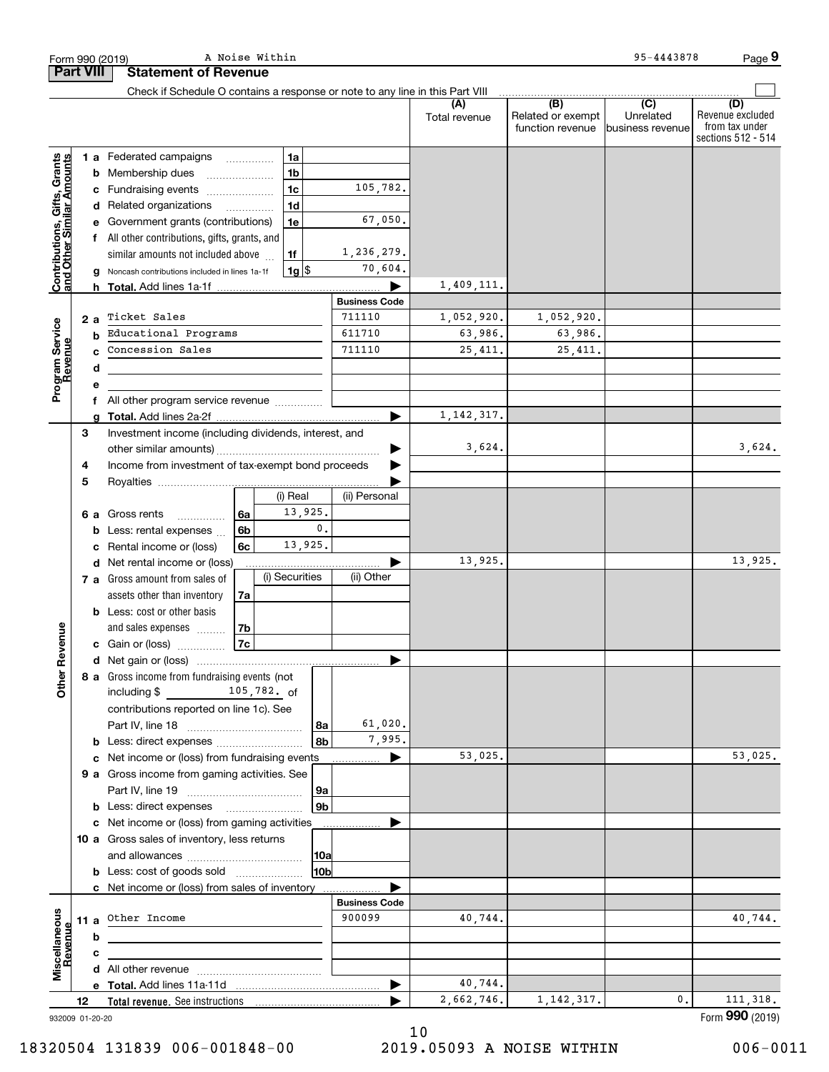|                                                           |                  | A Noise Within<br>Form 990 (2019)                                                  |                      |                      |                                              | 95-4443878                                      | Page 9                                                          |
|-----------------------------------------------------------|------------------|------------------------------------------------------------------------------------|----------------------|----------------------|----------------------------------------------|-------------------------------------------------|-----------------------------------------------------------------|
|                                                           | <b>Part VIII</b> | <b>Statement of Revenue</b>                                                        |                      |                      |                                              |                                                 |                                                                 |
|                                                           |                  | Check if Schedule O contains a response or note to any line in this Part VIII      |                      |                      |                                              |                                                 |                                                                 |
|                                                           |                  |                                                                                    |                      | (A)<br>Total revenue | (B)<br>Related or exempt<br>function revenue | $\overline{C}$<br>Unrelated<br>business revenue | (D)<br>Revenue excluded<br>from tax under<br>sections 512 - 514 |
|                                                           |                  | 1a<br>1 a Federated campaigns                                                      |                      |                      |                                              |                                                 |                                                                 |
|                                                           |                  | 1 <sub>b</sub><br><b>b</b> Membership dues<br>$\ldots \ldots \ldots \ldots \ldots$ |                      |                      |                                              |                                                 |                                                                 |
|                                                           |                  | 1 <sub>c</sub><br>c Fundraising events                                             | 105,782.             |                      |                                              |                                                 |                                                                 |
|                                                           |                  | 1 <sub>d</sub><br>d Related organizations                                          |                      |                      |                                              |                                                 |                                                                 |
|                                                           |                  | 1e<br>e Government grants (contributions)                                          | 67,050.              |                      |                                              |                                                 |                                                                 |
|                                                           |                  | f All other contributions, gifts, grants, and                                      |                      |                      |                                              |                                                 |                                                                 |
|                                                           |                  | similar amounts not included above<br>1f                                           | 1,236,279.           |                      |                                              |                                                 |                                                                 |
| Contributions, Gifts, Grants<br>and Other Similar Amounts | g                | $1g$ \$<br>Noncash contributions included in lines 1a-1f                           | 70,604.              |                      |                                              |                                                 |                                                                 |
|                                                           |                  |                                                                                    |                      | 1,409,111.           |                                              |                                                 |                                                                 |
|                                                           |                  |                                                                                    | <b>Business Code</b> |                      |                                              |                                                 |                                                                 |
|                                                           | 2a               | Ticket Sales                                                                       | 711110               | 1,052,920.           | 1,052,920.                                   |                                                 |                                                                 |
|                                                           | b                | Educational Programs                                                               | 611710               | 63,986.              | 63,986.                                      |                                                 |                                                                 |
| Program Service<br>Revenue                                | C                | Concession Sales                                                                   | 711110               | 25,411.              | 25,411.                                      |                                                 |                                                                 |
|                                                           | d                | the contract of the contract of the contract of the contract of the contract of    |                      |                      |                                              |                                                 |                                                                 |
|                                                           | е                |                                                                                    |                      |                      |                                              |                                                 |                                                                 |
|                                                           | f                | All other program service revenue                                                  |                      |                      |                                              |                                                 |                                                                 |
|                                                           | g                |                                                                                    |                      | 1, 142, 317.         |                                              |                                                 |                                                                 |
|                                                           | 3                | Investment income (including dividends, interest, and                              |                      |                      |                                              |                                                 |                                                                 |
|                                                           |                  |                                                                                    | ▶                    | 3,624.               |                                              |                                                 | 3,624.                                                          |
|                                                           | 4                | Income from investment of tax-exempt bond proceeds                                 |                      |                      |                                              |                                                 |                                                                 |
|                                                           | 5                |                                                                                    |                      |                      |                                              |                                                 |                                                                 |
|                                                           |                  | (i) Real                                                                           | (ii) Personal        |                      |                                              |                                                 |                                                                 |
|                                                           |                  | 13,925.<br>6a<br>6 a Gross rents                                                   |                      |                      |                                              |                                                 |                                                                 |
|                                                           |                  | 6 <sub>b</sub><br><b>b</b> Less: rental expenses                                   | $\mathfrak o$ .      |                      |                                              |                                                 |                                                                 |
|                                                           | c                | 13,925.<br>Rental income or (loss)<br>6c                                           |                      |                      |                                              |                                                 |                                                                 |
|                                                           |                  | d Net rental income or (loss)                                                      |                      | 13,925.              |                                              |                                                 | 13,925.                                                         |
|                                                           |                  | (i) Securities<br>7 a Gross amount from sales of                                   | (ii) Other           |                      |                                              |                                                 |                                                                 |
|                                                           |                  | assets other than inventory<br>7a                                                  |                      |                      |                                              |                                                 |                                                                 |
|                                                           |                  | <b>b</b> Less: cost or other basis                                                 |                      |                      |                                              |                                                 |                                                                 |
|                                                           |                  | 7 <sub>b</sub><br>and sales expenses                                               |                      |                      |                                              |                                                 |                                                                 |
| evenue                                                    |                  | 7c<br>c Gain or (loss)                                                             |                      |                      |                                              |                                                 |                                                                 |
|                                                           |                  |                                                                                    |                      |                      |                                              |                                                 |                                                                 |
| Other <sub>R</sub>                                        |                  | 8 a Gross income from fundraising events (not                                      |                      |                      |                                              |                                                 |                                                                 |
|                                                           |                  | including $$$ 105, 782. of                                                         |                      |                      |                                              |                                                 |                                                                 |
|                                                           |                  | contributions reported on line 1c). See                                            |                      |                      |                                              |                                                 |                                                                 |
|                                                           |                  |                                                                                    | 61,020.<br>  8a      |                      |                                              |                                                 |                                                                 |
|                                                           |                  |                                                                                    | 7,995.<br>8b         |                      |                                              |                                                 |                                                                 |
|                                                           |                  | c Net income or (loss) from fundraising events                                     | ▶                    | 53,025.              |                                              |                                                 | 53,025.                                                         |
|                                                           |                  | 9 a Gross income from gaming activities. See                                       |                      |                      |                                              |                                                 |                                                                 |
|                                                           |                  |                                                                                    | 9a                   |                      |                                              |                                                 |                                                                 |
|                                                           |                  |                                                                                    | 9 <sub>b</sub>       |                      |                                              |                                                 |                                                                 |
|                                                           |                  | c Net income or (loss) from gaming activities                                      |                      |                      |                                              |                                                 |                                                                 |
|                                                           |                  | 10 a Gross sales of inventory, less returns                                        |                      |                      |                                              |                                                 |                                                                 |
|                                                           |                  |                                                                                    | 10a                  |                      |                                              |                                                 |                                                                 |
|                                                           |                  | <b>b</b> Less: cost of goods sold                                                  | 10b                  |                      |                                              |                                                 |                                                                 |
|                                                           |                  | c Net income or (loss) from sales of inventory                                     |                      |                      |                                              |                                                 |                                                                 |
|                                                           |                  |                                                                                    | <b>Business Code</b> |                      |                                              |                                                 |                                                                 |
| Miscellaneous<br>Revenue                                  |                  | 11 a Other Income                                                                  | 900099               | 40,744.              |                                              |                                                 | 40,744.                                                         |
|                                                           | b                |                                                                                    |                      |                      |                                              |                                                 |                                                                 |
|                                                           | c                |                                                                                    |                      |                      |                                              |                                                 |                                                                 |
|                                                           |                  |                                                                                    |                      |                      |                                              |                                                 |                                                                 |
|                                                           |                  |                                                                                    | ▶                    | 40,744.              |                                              |                                                 |                                                                 |
|                                                           | 12               |                                                                                    |                      | 2,662,746.           | 1, 142, 317.                                 | 0.                                              | 111, 318.                                                       |
|                                                           | 932009 01-20-20  |                                                                                    |                      |                      |                                              |                                                 | Form 990 (2019)                                                 |

932009 01-20-20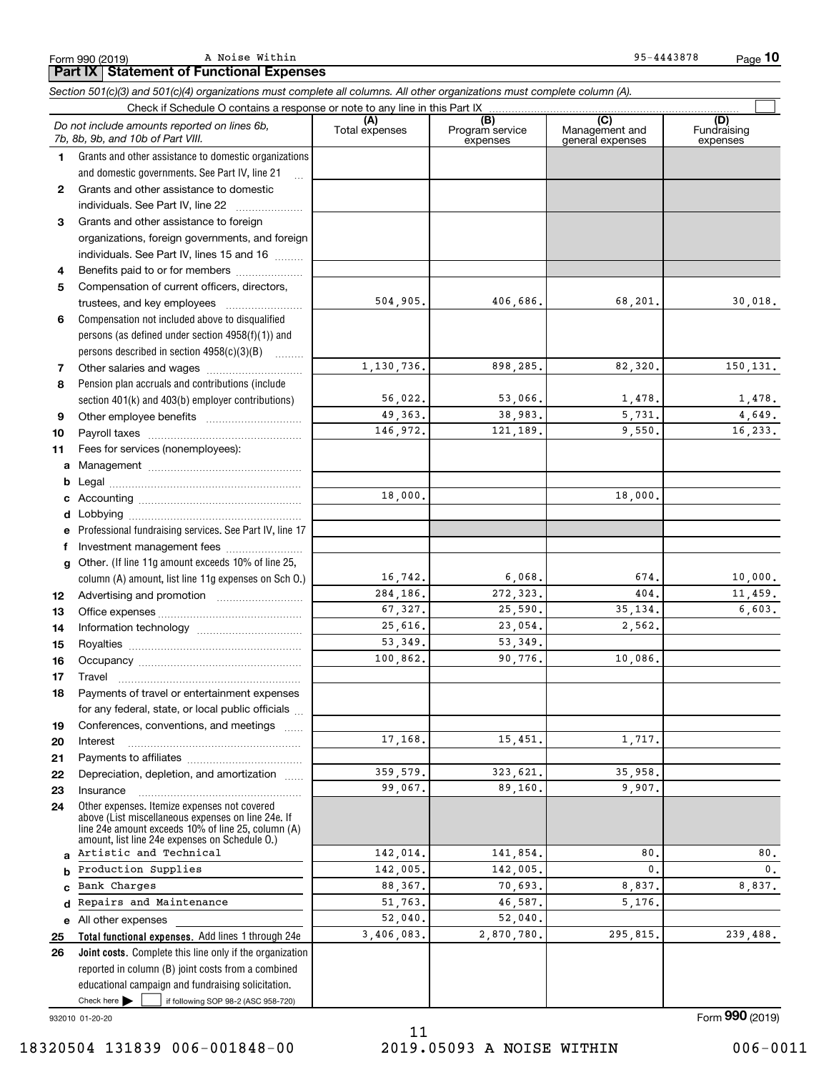Form 990 (2019) A Noise Within 35-4443878 A Noise Within

*Section 501(c)(3) and 501(c)(4) organizations must complete all columns. All other organizations must complete column (A).*

|              | Do not include amounts reported on lines 6b,<br>7b, 8b, 9b, and 10b of Part VIII.                                                                                                                          | (A)<br>Total expenses | (B)<br>Program service<br>expenses | $\overline{C}$<br>Management and<br>general expenses | (D)<br>Fundraising<br>expenses |
|--------------|------------------------------------------------------------------------------------------------------------------------------------------------------------------------------------------------------------|-----------------------|------------------------------------|------------------------------------------------------|--------------------------------|
| 1.           | Grants and other assistance to domestic organizations                                                                                                                                                      |                       |                                    |                                                      |                                |
|              | and domestic governments. See Part IV, line 21                                                                                                                                                             |                       |                                    |                                                      |                                |
| $\mathbf{2}$ | Grants and other assistance to domestic                                                                                                                                                                    |                       |                                    |                                                      |                                |
|              | individuals. See Part IV, line 22                                                                                                                                                                          |                       |                                    |                                                      |                                |
| 3            | Grants and other assistance to foreign                                                                                                                                                                     |                       |                                    |                                                      |                                |
|              | organizations, foreign governments, and foreign                                                                                                                                                            |                       |                                    |                                                      |                                |
|              | individuals. See Part IV, lines 15 and 16                                                                                                                                                                  |                       |                                    |                                                      |                                |
| 4            | Benefits paid to or for members                                                                                                                                                                            |                       |                                    |                                                      |                                |
| 5            | Compensation of current officers, directors,                                                                                                                                                               |                       |                                    |                                                      |                                |
|              | trustees, and key employees                                                                                                                                                                                | 504,905.              | 406,686.                           | 68,201.                                              | 30,018.                        |
| 6            | Compensation not included above to disqualified                                                                                                                                                            |                       |                                    |                                                      |                                |
|              | persons (as defined under section $4958(f)(1)$ ) and                                                                                                                                                       |                       |                                    |                                                      |                                |
|              | persons described in section 4958(c)(3)(B)                                                                                                                                                                 |                       |                                    |                                                      |                                |
| 7            |                                                                                                                                                                                                            | 1,130,736.            | 898,285.                           | 82,320.                                              | 150,131.                       |
| 8            | Pension plan accruals and contributions (include                                                                                                                                                           |                       |                                    |                                                      |                                |
|              | section 401(k) and 403(b) employer contributions)                                                                                                                                                          | 56,022.               | 53,066.                            | 1,478.                                               | 1,478.                         |
| 9            |                                                                                                                                                                                                            | 49,363.               | 38,983.                            | 5,731.                                               | 4,649.                         |
| 10           |                                                                                                                                                                                                            | 146,972.              | 121.189.                           | 9,550.                                               | 16,233.                        |
| 11           | Fees for services (nonemployees):                                                                                                                                                                          |                       |                                    |                                                      |                                |
| a            |                                                                                                                                                                                                            |                       |                                    |                                                      |                                |
| b            |                                                                                                                                                                                                            |                       |                                    |                                                      |                                |
| c            |                                                                                                                                                                                                            | 18,000.               |                                    | 18,000.                                              |                                |
| d            |                                                                                                                                                                                                            |                       |                                    |                                                      |                                |
| e            | Professional fundraising services. See Part IV, line 17                                                                                                                                                    |                       |                                    |                                                      |                                |
| f            | Investment management fees                                                                                                                                                                                 |                       |                                    |                                                      |                                |
| g            | Other. (If line 11g amount exceeds 10% of line 25,                                                                                                                                                         |                       |                                    |                                                      |                                |
|              | column (A) amount, list line 11g expenses on Sch O.)                                                                                                                                                       | 16,742.               | 6,068.                             | 674.                                                 | 10,000.                        |
| 12           |                                                                                                                                                                                                            | 284,186.              | 272,323.                           | 404.                                                 | 11,459.                        |
| 13           |                                                                                                                                                                                                            | 67,327.               | 25,590.                            | 35, 134.                                             | 6,603.                         |
| 14           |                                                                                                                                                                                                            | 25,616.               | 23,054.                            | 2,562.                                               |                                |
| 15           |                                                                                                                                                                                                            | 53,349.               | 53, 349.                           |                                                      |                                |
| 16           |                                                                                                                                                                                                            | 100,862.              | 90,776.                            | 10,086.                                              |                                |
| 17           | Travel                                                                                                                                                                                                     |                       |                                    |                                                      |                                |
| 18           | Payments of travel or entertainment expenses                                                                                                                                                               |                       |                                    |                                                      |                                |
|              | for any federal, state, or local public officials                                                                                                                                                          |                       |                                    |                                                      |                                |
| 19           | Conferences, conventions, and meetings                                                                                                                                                                     | 17,168.               |                                    | 1,717.                                               |                                |
| 20           | Interest                                                                                                                                                                                                   |                       | 15,451.                            |                                                      |                                |
| 21           |                                                                                                                                                                                                            | 359,579.              | 323,621.                           | 35,958.                                              |                                |
| 22           | Depreciation, depletion, and amortization                                                                                                                                                                  | 99,067.               | 89,160.                            | 9,907.                                               |                                |
| 23           | Insurance                                                                                                                                                                                                  |                       |                                    |                                                      |                                |
| 24           | Other expenses. Itemize expenses not covered<br>above (List miscellaneous expenses on line 24e. If<br>line 24e amount exceeds 10% of line 25, column (A)<br>amount, list line 24e expenses on Schedule 0.) |                       |                                    |                                                      |                                |
| a            | Artistic and Technical                                                                                                                                                                                     | 142,014.              | 141,854.                           | 80.                                                  | 80.                            |
| b            | Production Supplies                                                                                                                                                                                        | 142,005.              | 142,005.                           | 0.                                                   | 0.                             |
| C            | Bank Charges                                                                                                                                                                                               | 88,367.               | 70,693.                            | 8,837.                                               | 8,837.                         |
| d            | Repairs and Maintenance                                                                                                                                                                                    | 51,763.               | 46,587.                            | 5,176.                                               |                                |
| е            | All other expenses                                                                                                                                                                                         | 52,040.               | 52,040.                            |                                                      |                                |
| 25           | Total functional expenses. Add lines 1 through 24e                                                                                                                                                         | 3,406,083.            | 2,870,780.                         | 295,815.                                             | 239,488.                       |
| 26           | Joint costs. Complete this line only if the organization                                                                                                                                                   |                       |                                    |                                                      |                                |
|              | reported in column (B) joint costs from a combined                                                                                                                                                         |                       |                                    |                                                      |                                |
|              | educational campaign and fundraising solicitation.                                                                                                                                                         |                       |                                    |                                                      |                                |
|              | Check here $\blacktriangleright$<br>if following SOP 98-2 (ASC 958-720)                                                                                                                                    |                       |                                    |                                                      |                                |

932010 01-20-20

Form (2019) **990**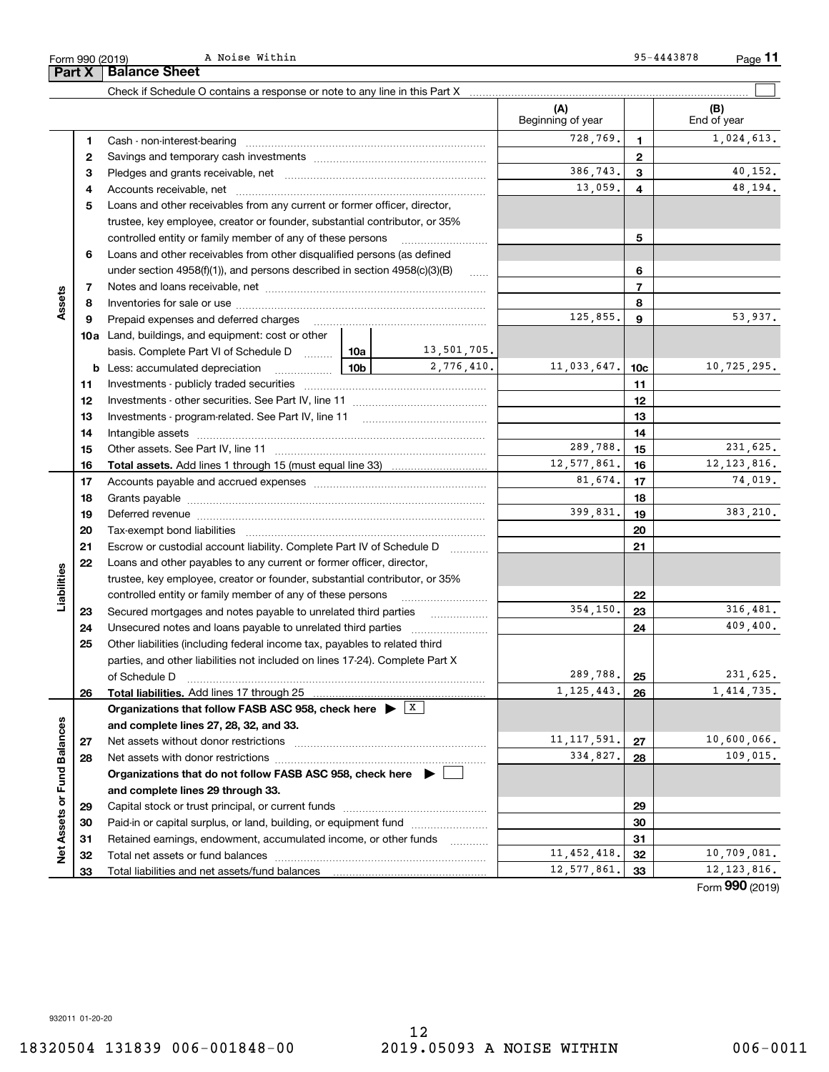|                   | З        |                                                                                            |                 |               | 386,743.      | 3                        | 40,152.       |
|-------------------|----------|--------------------------------------------------------------------------------------------|-----------------|---------------|---------------|--------------------------|---------------|
|                   | 4        | Accounts receivable, net                                                                   |                 |               | 13,059.       | 4                        | 48,194.       |
|                   | 5        | Loans and other receivables from any current or former officer, director,                  |                 |               |               |                          |               |
|                   |          | trustee, key employee, creator or founder, substantial contributor, or 35%                 |                 |               |               |                          |               |
|                   |          | controlled entity or family member of any of these persons                                 |                 |               |               | 5                        |               |
|                   | 6        | Loans and other receivables from other disqualified persons (as defined                    |                 |               |               |                          |               |
|                   |          | under section $4958(f)(1)$ , and persons described in section $4958(c)(3)(B)$              |                 | 1.1.1.1.1     |               | 6                        |               |
|                   | 7        |                                                                                            |                 |               |               | $\overline{\phantom{a}}$ |               |
| Assets            | 8        |                                                                                            |                 |               |               | 8                        |               |
|                   | 9        | Prepaid expenses and deferred charges                                                      |                 |               | 125,855.      | 9                        | 53,937.       |
|                   |          | <b>10a</b> Land, buildings, and equipment: cost or other                                   |                 |               |               |                          |               |
|                   |          | basis. Complete Part VI of Schedule D  10a   10a   13, 501, 705.                           |                 |               |               |                          |               |
|                   |          | <b>b</b> Less: accumulated depreciation<br>. 1                                             | 10 <sub>b</sub> | 2,776,410.    | 11,033,647.   | 10 <sub>c</sub>          | 10,725,295.   |
|                   | 11       |                                                                                            |                 |               |               | 11                       |               |
|                   | 12       |                                                                                            |                 |               |               | 12                       |               |
|                   | 13       | Investments - program-related. See Part IV, line 11                                        |                 |               |               | 13                       |               |
|                   | 14       |                                                                                            |                 |               |               | 14                       |               |
|                   | 15       |                                                                                            |                 |               | 289,788.      | 15                       | 231,625.      |
|                   | 16       |                                                                                            |                 |               | 12,577,861.   | 16                       | 12, 123, 816. |
|                   | 17       |                                                                                            |                 | 81,674.       | 17            | 74,019.                  |               |
|                   | 18       |                                                                                            |                 |               | 18            |                          |               |
|                   | 19       |                                                                                            |                 | 399,831.      | 19            | 383,210.                 |               |
|                   | 20       |                                                                                            |                 |               | 20            |                          |               |
|                   | 21       | Escrow or custodial account liability. Complete Part IV of Schedule D                      | .               |               | 21            |                          |               |
|                   | 22       | Loans and other payables to any current or former officer, director,                       |                 |               |               |                          |               |
| Liabilities       |          | trustee, key employee, creator or founder, substantial contributor, or 35%                 |                 |               |               |                          |               |
|                   |          | controlled entity or family member of any of these persons                                 |                 |               | 22            |                          |               |
|                   | 23       | Secured mortgages and notes payable to unrelated third parties                             |                 | .             | 354,150.      | 23                       | 316,481.      |
|                   | 24       |                                                                                            |                 |               | 24            | 409, 400.                |               |
|                   | 25       | Other liabilities (including federal income tax, payables to related third                 |                 |               |               |                          |               |
|                   |          | parties, and other liabilities not included on lines 17-24). Complete Part X               |                 |               |               |                          |               |
|                   |          | of Schedule D                                                                              |                 |               | 289,788.      | 25                       | 231,625.      |
|                   | 26       | Total liabilities. Add lines 17 through 25                                                 |                 |               | 1, 125, 443.  | 26                       | 1,414,735.    |
|                   |          | Organizations that follow FASB ASC 958, check here $\blacktriangleright \lfloor X \rfloor$ |                 |               |               |                          |               |
| <b>Balances</b>   |          | and complete lines 27, 28, 32, and 33.                                                     |                 |               |               |                          |               |
|                   | 27       |                                                                                            |                 |               | 11, 117, 591. | 27                       | 10,600,066.   |
| σ                 | 28       |                                                                                            |                 |               | 334,827.      | 28                       | 109,015.      |
|                   |          | Organizations that do not follow FASB ASC 958, check here $\blacktriangleright$            |                 |               |               |                          |               |
|                   |          | and complete lines 29 through 33.                                                          |                 |               |               |                          |               |
|                   | 29       |                                                                                            |                 |               |               | 29                       |               |
|                   | 30       | Paid-in or capital surplus, or land, building, or equipment fund                           |                 |               |               | 30                       |               |
| Net Assets or Fur | 31       | Retained earnings, endowment, accumulated income, or other funds                           |                 | .             |               | 31                       |               |
|                   |          |                                                                                            |                 | 11, 452, 418. | 32            | 10,709,081.              |               |
|                   | 32<br>33 |                                                                                            |                 |               | 12,577,861.   | 33                       | 12, 123, 816. |

**12**

**(A) (B)**

Beginning of year | | End of year

**12**

728,769. 1,024,613.

Form 990 (2019) **A** Noise Within **Page 1966 Page 1966 Page 1966 Page 1966 Page 1966 Page 1966 Page 1966 Page 1966 Page 1966 Page 1966 Page 1966 Page 1966 Page 1966 Page 1966 Page 1966 Page 196 Part X** | Balance Sheet A Noise Within

Check if Schedule O contains a response or note to any line in this Part X

Cash - non-interest-bearing ~~~~~~~~~~~~~~~~~~~~~~~~~ Savings and temporary cash investments ~~~~~~~~~~~~~~~~~~

(B)<br>End of year

 $\mathcal{L}^{\text{max}}$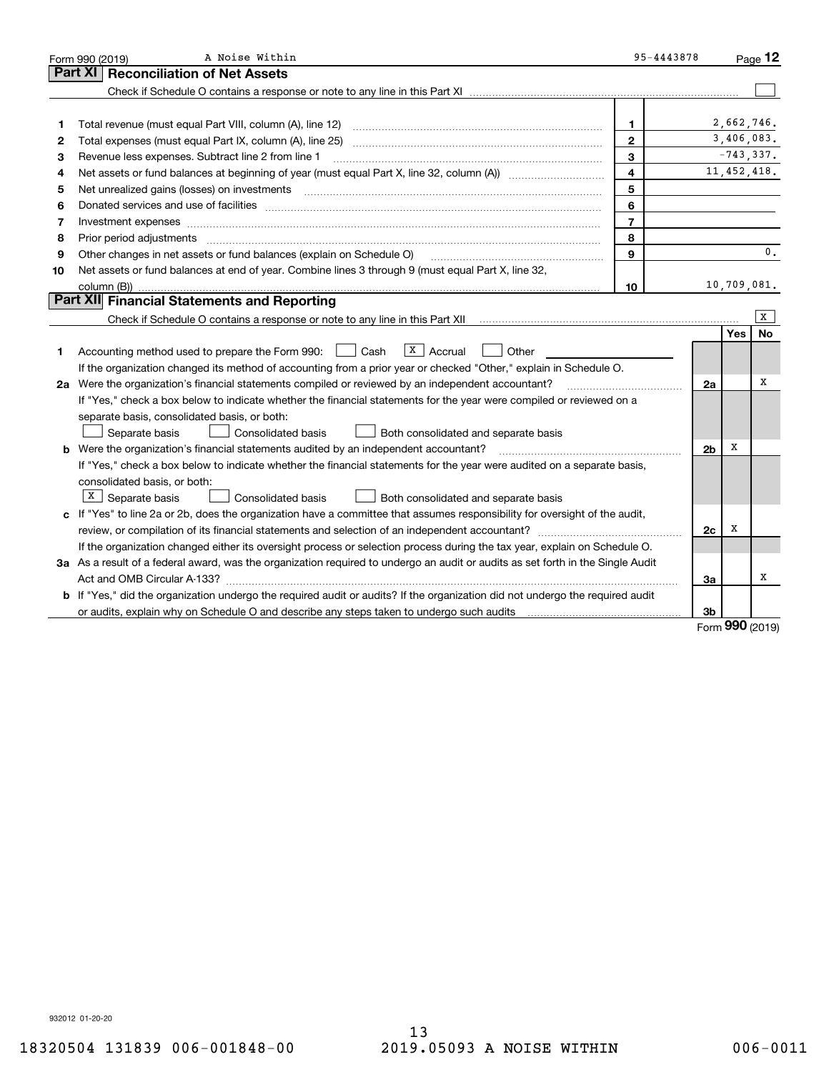|    | A Noise Within<br>Form 990 (2019)                                                                                                                                                                                              | 95-4443878     |                |               | Page $12$      |
|----|--------------------------------------------------------------------------------------------------------------------------------------------------------------------------------------------------------------------------------|----------------|----------------|---------------|----------------|
|    | <b>Reconciliation of Net Assets</b><br>Part XI                                                                                                                                                                                 |                |                |               |                |
|    |                                                                                                                                                                                                                                |                |                |               |                |
|    |                                                                                                                                                                                                                                |                |                |               |                |
| 1  | Total revenue (must equal Part VIII, column (A), line 12)                                                                                                                                                                      | 1              |                | 2,662,746.    |                |
| 2  |                                                                                                                                                                                                                                | $\mathbf{2}$   |                | 3,406,083.    |                |
| з  | Revenue less expenses. Subtract line 2 from line 1                                                                                                                                                                             | 3              |                | $-743, 337.$  |                |
| 4  |                                                                                                                                                                                                                                | $\overline{4}$ |                | 11, 452, 418. |                |
| 5  | Net unrealized gains (losses) on investments                                                                                                                                                                                   | 5              |                |               |                |
| 6  | Donated services and use of facilities [111] Donated and the service of facilities [11] Donated services and use of facilities [11] Donated and the service of the service of the service of the service of the service of the | 6              |                |               |                |
| 7  | Investment expenses www.communication.communication.com/www.communication.com/www.communication.com                                                                                                                            | $\overline{7}$ |                |               |                |
| 8  | Prior period adjustments                                                                                                                                                                                                       | 8              |                |               |                |
| 9  | Other changes in net assets or fund balances (explain on Schedule O)                                                                                                                                                           | $\mathbf{Q}$   |                |               | $\mathbf{0}$ . |
| 10 | Net assets or fund balances at end of year. Combine lines 3 through 9 (must equal Part X, line 32,                                                                                                                             |                |                |               |                |
|    | column (B))                                                                                                                                                                                                                    | 10             |                | 10,709,081.   |                |
|    | Part XII Financial Statements and Reporting                                                                                                                                                                                    |                |                |               |                |
|    |                                                                                                                                                                                                                                |                |                |               | X              |
|    |                                                                                                                                                                                                                                |                |                | Yes           | No             |
| 1  | $X \vert$ Accrual<br>Accounting method used to prepare the Form 990: <u>II</u> Cash<br>Other                                                                                                                                   |                |                |               |                |
|    | If the organization changed its method of accounting from a prior year or checked "Other," explain in Schedule O.                                                                                                              |                |                |               |                |
|    | 2a Were the organization's financial statements compiled or reviewed by an independent accountant?                                                                                                                             |                | 2a             |               | х              |
|    | If "Yes," check a box below to indicate whether the financial statements for the year were compiled or reviewed on a                                                                                                           |                |                |               |                |
|    | separate basis, consolidated basis, or both:                                                                                                                                                                                   |                |                |               |                |
|    | Separate basis<br>Both consolidated and separate basis<br>Consolidated basis                                                                                                                                                   |                |                |               |                |
|    | <b>b</b> Were the organization's financial statements audited by an independent accountant?                                                                                                                                    |                | 2 <sub>b</sub> | х             |                |
|    | If "Yes," check a box below to indicate whether the financial statements for the year were audited on a separate basis,                                                                                                        |                |                |               |                |
|    | consolidated basis, or both:                                                                                                                                                                                                   |                |                |               |                |
|    | $X$ Separate basis<br><b>Consolidated basis</b><br>Both consolidated and separate basis                                                                                                                                        |                |                |               |                |
|    | c If "Yes" to line 2a or 2b, does the organization have a committee that assumes responsibility for oversight of the audit,                                                                                                    |                |                |               |                |
|    | review, or compilation of its financial statements and selection of an independent accountant?                                                                                                                                 |                | 2c             | х             |                |
|    | If the organization changed either its oversight process or selection process during the tax year, explain on Schedule O.                                                                                                      |                |                |               |                |
|    | 3a As a result of a federal award, was the organization required to undergo an audit or audits as set forth in the Single Audit                                                                                                |                |                |               |                |
|    |                                                                                                                                                                                                                                |                | 3a             |               | х              |
|    | b If "Yes," did the organization undergo the required audit or audits? If the organization did not undergo the required audit                                                                                                  |                |                |               |                |
|    | or audits, explain why on Schedule O and describe any steps taken to undergo such audits                                                                                                                                       |                | 3b             | nnn           |                |

Form (2019) **990**

932012 01-20-20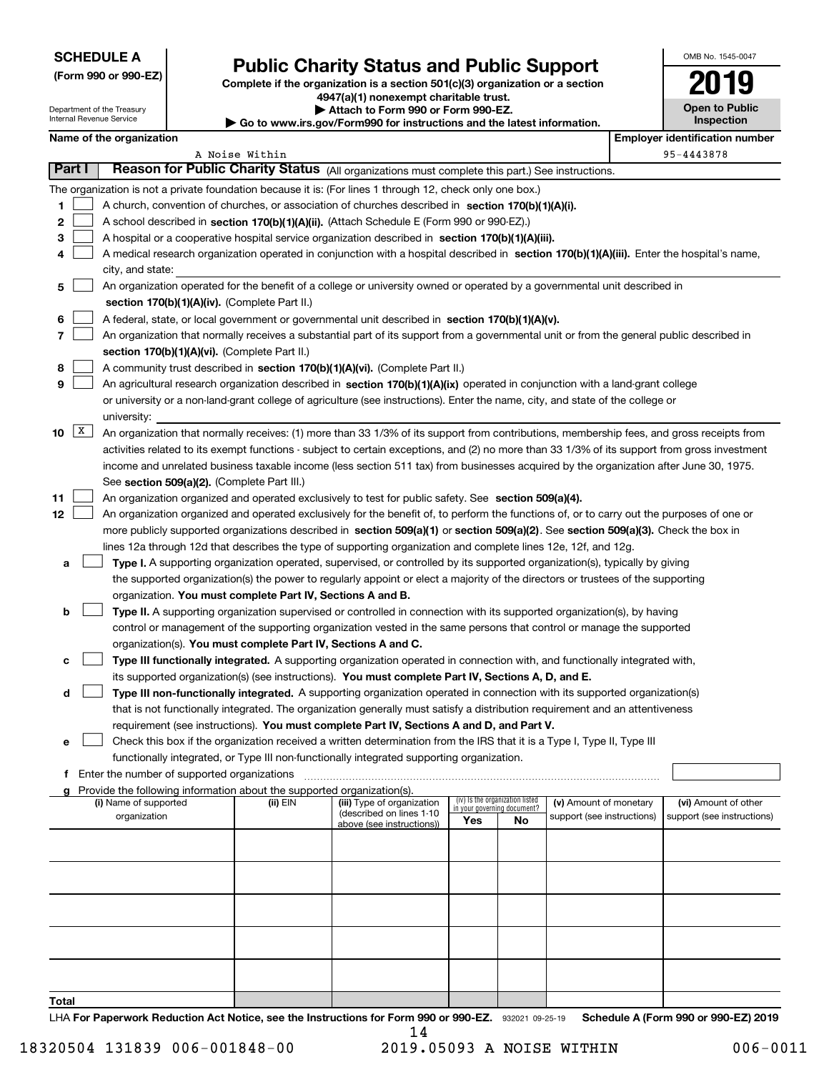Department of the Treasury

**(Form 990 or 990-EZ)**

# **Public Charity Status and Public Support**

**Complete if the organization is a section 501(c)(3) organization or a section 4947(a)(1) nonexempt charitable trust. | Attach to Form 990 or Form 990-EZ.** 

| OMB No. 1545-0047                   |
|-------------------------------------|
| 2019                                |
| <b>Open to Public</b><br>Inspection |

| Internal Revenue Service<br>$\blacktriangleright$ Go to www.irs.gov/Form990 for instructions and the latest information. |                                               |  |                                                                                    |                                                                                                                                               |                             |                                 |                            | <b>Inspection</b>                     |  |
|--------------------------------------------------------------------------------------------------------------------------|-----------------------------------------------|--|------------------------------------------------------------------------------------|-----------------------------------------------------------------------------------------------------------------------------------------------|-----------------------------|---------------------------------|----------------------------|---------------------------------------|--|
| Name of the organization                                                                                                 |                                               |  |                                                                                    |                                                                                                                                               |                             |                                 |                            | <b>Employer identification number</b> |  |
|                                                                                                                          |                                               |  | A Noise Within                                                                     |                                                                                                                                               |                             |                                 |                            | 95-4443878                            |  |
| <b>Part I</b>                                                                                                            |                                               |  |                                                                                    | Reason for Public Charity Status (All organizations must complete this part.) See instructions.                                               |                             |                                 |                            |                                       |  |
|                                                                                                                          |                                               |  |                                                                                    | The organization is not a private foundation because it is: (For lines 1 through 12, check only one box.)                                     |                             |                                 |                            |                                       |  |
| 1                                                                                                                        |                                               |  |                                                                                    | A church, convention of churches, or association of churches described in section 170(b)(1)(A)(i).                                            |                             |                                 |                            |                                       |  |
| 2                                                                                                                        |                                               |  |                                                                                    | A school described in section 170(b)(1)(A)(ii). (Attach Schedule E (Form 990 or 990-EZ).)                                                     |                             |                                 |                            |                                       |  |
| з                                                                                                                        |                                               |  |                                                                                    | A hospital or a cooperative hospital service organization described in section 170(b)(1)(A)(iii).                                             |                             |                                 |                            |                                       |  |
| 4                                                                                                                        |                                               |  |                                                                                    | A medical research organization operated in conjunction with a hospital described in section 170(b)(1)(A)(iii). Enter the hospital's name,    |                             |                                 |                            |                                       |  |
|                                                                                                                          | city, and state:                              |  |                                                                                    |                                                                                                                                               |                             |                                 |                            |                                       |  |
| 5                                                                                                                        |                                               |  |                                                                                    | An organization operated for the benefit of a college or university owned or operated by a governmental unit described in                     |                             |                                 |                            |                                       |  |
|                                                                                                                          |                                               |  | section 170(b)(1)(A)(iv). (Complete Part II.)                                      |                                                                                                                                               |                             |                                 |                            |                                       |  |
| 6                                                                                                                        |                                               |  |                                                                                    | A federal, state, or local government or governmental unit described in section 170(b)(1)(A)(v).                                              |                             |                                 |                            |                                       |  |
| 7                                                                                                                        |                                               |  |                                                                                    | An organization that normally receives a substantial part of its support from a governmental unit or from the general public described in     |                             |                                 |                            |                                       |  |
|                                                                                                                          |                                               |  | section 170(b)(1)(A)(vi). (Complete Part II.)                                      |                                                                                                                                               |                             |                                 |                            |                                       |  |
| 8                                                                                                                        |                                               |  |                                                                                    | A community trust described in section 170(b)(1)(A)(vi). (Complete Part II.)                                                                  |                             |                                 |                            |                                       |  |
| 9                                                                                                                        |                                               |  |                                                                                    | An agricultural research organization described in section 170(b)(1)(A)(ix) operated in conjunction with a land-grant college                 |                             |                                 |                            |                                       |  |
|                                                                                                                          |                                               |  |                                                                                    | or university or a non-land-grant college of agriculture (see instructions). Enter the name, city, and state of the college or                |                             |                                 |                            |                                       |  |
|                                                                                                                          | university:                                   |  |                                                                                    |                                                                                                                                               |                             |                                 |                            |                                       |  |
| X <br>10                                                                                                                 |                                               |  |                                                                                    | An organization that normally receives: (1) more than 33 1/3% of its support from contributions, membership fees, and gross receipts from     |                             |                                 |                            |                                       |  |
|                                                                                                                          |                                               |  |                                                                                    | activities related to its exempt functions - subject to certain exceptions, and (2) no more than 33 1/3% of its support from gross investment |                             |                                 |                            |                                       |  |
|                                                                                                                          |                                               |  |                                                                                    | income and unrelated business taxable income (less section 511 tax) from businesses acquired by the organization after June 30, 1975.         |                             |                                 |                            |                                       |  |
|                                                                                                                          |                                               |  | See section 509(a)(2). (Complete Part III.)                                        |                                                                                                                                               |                             |                                 |                            |                                       |  |
| 11                                                                                                                       |                                               |  |                                                                                    | An organization organized and operated exclusively to test for public safety. See section 509(a)(4).                                          |                             |                                 |                            |                                       |  |
| 12                                                                                                                       |                                               |  |                                                                                    | An organization organized and operated exclusively for the benefit of, to perform the functions of, or to carry out the purposes of one or    |                             |                                 |                            |                                       |  |
|                                                                                                                          |                                               |  |                                                                                    | more publicly supported organizations described in section 509(a)(1) or section 509(a)(2). See section 509(a)(3). Check the box in            |                             |                                 |                            |                                       |  |
|                                                                                                                          |                                               |  |                                                                                    | lines 12a through 12d that describes the type of supporting organization and complete lines 12e, 12f, and 12g.                                |                             |                                 |                            |                                       |  |
| а                                                                                                                        |                                               |  |                                                                                    | Type I. A supporting organization operated, supervised, or controlled by its supported organization(s), typically by giving                   |                             |                                 |                            |                                       |  |
|                                                                                                                          |                                               |  |                                                                                    | the supported organization(s) the power to regularly appoint or elect a majority of the directors or trustees of the supporting               |                             |                                 |                            |                                       |  |
|                                                                                                                          |                                               |  | organization. You must complete Part IV, Sections A and B.                         |                                                                                                                                               |                             |                                 |                            |                                       |  |
| b                                                                                                                        |                                               |  |                                                                                    | Type II. A supporting organization supervised or controlled in connection with its supported organization(s), by having                       |                             |                                 |                            |                                       |  |
|                                                                                                                          |                                               |  |                                                                                    | control or management of the supporting organization vested in the same persons that control or manage the supported                          |                             |                                 |                            |                                       |  |
|                                                                                                                          |                                               |  | organization(s). You must complete Part IV, Sections A and C.                      |                                                                                                                                               |                             |                                 |                            |                                       |  |
| с                                                                                                                        |                                               |  |                                                                                    | Type III functionally integrated. A supporting organization operated in connection with, and functionally integrated with,                    |                             |                                 |                            |                                       |  |
|                                                                                                                          |                                               |  |                                                                                    | its supported organization(s) (see instructions). You must complete Part IV, Sections A, D, and E.                                            |                             |                                 |                            |                                       |  |
| d                                                                                                                        |                                               |  |                                                                                    | Type III non-functionally integrated. A supporting organization operated in connection with its supported organization(s)                     |                             |                                 |                            |                                       |  |
|                                                                                                                          |                                               |  |                                                                                    | that is not functionally integrated. The organization generally must satisfy a distribution requirement and an attentiveness                  |                             |                                 |                            |                                       |  |
|                                                                                                                          |                                               |  |                                                                                    | requirement (see instructions). You must complete Part IV, Sections A and D, and Part V.                                                      |                             |                                 |                            |                                       |  |
| е                                                                                                                        |                                               |  |                                                                                    | Check this box if the organization received a written determination from the IRS that it is a Type I, Type II, Type III                       |                             |                                 |                            |                                       |  |
|                                                                                                                          |                                               |  |                                                                                    | functionally integrated, or Type III non-functionally integrated supporting organization.                                                     |                             |                                 |                            |                                       |  |
|                                                                                                                          | f Enter the number of supported organizations |  |                                                                                    |                                                                                                                                               |                             |                                 |                            |                                       |  |
|                                                                                                                          | (i) Name of supported                         |  | Provide the following information about the supported organization(s).<br>(ii) EIN | (iii) Type of organization                                                                                                                    |                             | (iv) Is the organization listed | (v) Amount of monetary     | (vi) Amount of other                  |  |
|                                                                                                                          | organization                                  |  |                                                                                    | (described on lines 1-10                                                                                                                      | in your governing document? |                                 | support (see instructions) | support (see instructions)            |  |
|                                                                                                                          |                                               |  |                                                                                    | above (see instructions))                                                                                                                     | Yes                         | No                              |                            |                                       |  |
|                                                                                                                          |                                               |  |                                                                                    |                                                                                                                                               |                             |                                 |                            |                                       |  |
|                                                                                                                          |                                               |  |                                                                                    |                                                                                                                                               |                             |                                 |                            |                                       |  |
|                                                                                                                          |                                               |  |                                                                                    |                                                                                                                                               |                             |                                 |                            |                                       |  |
|                                                                                                                          |                                               |  |                                                                                    |                                                                                                                                               |                             |                                 |                            |                                       |  |
|                                                                                                                          |                                               |  |                                                                                    |                                                                                                                                               |                             |                                 |                            |                                       |  |
|                                                                                                                          |                                               |  |                                                                                    |                                                                                                                                               |                             |                                 |                            |                                       |  |
|                                                                                                                          |                                               |  |                                                                                    |                                                                                                                                               |                             |                                 |                            |                                       |  |
|                                                                                                                          |                                               |  |                                                                                    |                                                                                                                                               |                             |                                 |                            |                                       |  |
|                                                                                                                          |                                               |  |                                                                                    |                                                                                                                                               |                             |                                 |                            |                                       |  |
|                                                                                                                          |                                               |  |                                                                                    |                                                                                                                                               |                             |                                 |                            |                                       |  |
| Total                                                                                                                    |                                               |  |                                                                                    |                                                                                                                                               |                             |                                 |                            |                                       |  |

LHA For Paperwork Reduction Act Notice, see the Instructions for Form 990 or 990-EZ. 932021 09-25-19 Schedule A (Form 990 or 990-EZ) 2019 14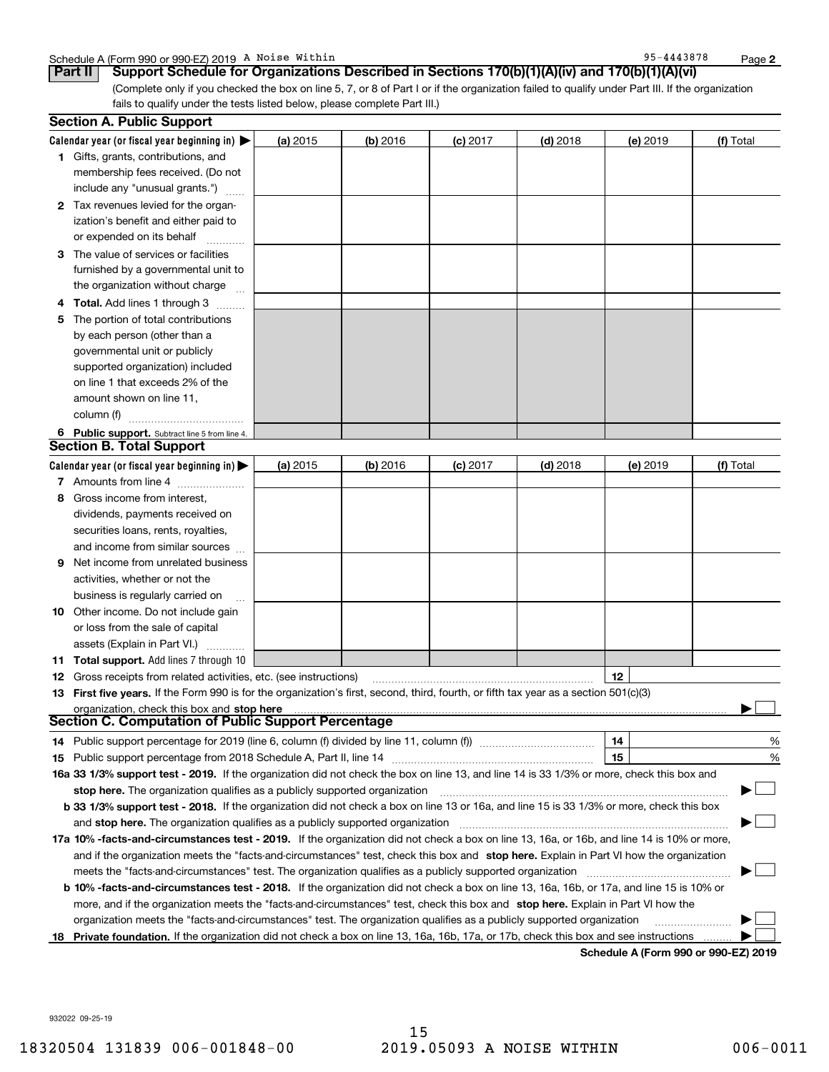**2**

**6** Public support. Subtract line 5 from line 4. **Calendar year (or fiscal year beginning in)**  | **(a)** 2015 **| (b)** 2016 **| (c)** 2017 **| (d)** 2018 **| (e)** 2019 **| (f) 1**Gifts, grants, contributions, and **2**Tax revenues levied for the organ-**3**The value of services or facilities **4 Total.** Add lines 1 through 3  $\quad$ **5** The portion of total contributions **(a)** 2015 **| (b)** 2016 **| (c)** 2017 **| (d)** 2018 **| (e)** 2019 **| (f)** Schedule A (Form 990 or 990-EZ) 2019 A Noise Within Page Research Marian Constants of the Mage Page Page Page (Complete only if you checked the box on line 5, 7, or 8 of Part I or if the organization failed to qualify under Part III. If the organization fails to qualify under the tests listed below, please complete Part III.) (a) 2015 15 **| (b)** 2016 **| (c)** 2017 **| (d)** 2018 **| (e)** 2019 **| (f)** Total membership fees received. (Do not include any "unusual grants.") ization's benefit and either paid to or expended on its behalf ~~~~furnished by a governmental unit to the organization without charge by each person (other than a governmental unit or publicly supported organization) included on line 1 that exceeds 2% of the amount shown on line 11, column (f) <sub>……………………………</sub>… 15 **| (b)** 2016 **| (c)** 2017 **| (d)** 2018 **| (e)** 2019 **| (f)** Total **Part II Support Schedule for Organizations Described in Sections 170(b)(1)(A)(iv) and 170(b)(1)(A)(vi) Section A. Public Support Section B. Total Support**

#### **Calendar year (or fiscal year beginning in) | 7** Amounts from line 4  $\ldots$  **Amounts 8**Gross income from interest, **9** Net income from unrelated business (a) 2015 dividends, payments received on securities loans, rents, royalties, and income from similar sources activities, whether or not the business is regularly carried on <sup>~</sup>

**10** Other income. Do not include gain or loss from the sale of capital assets (Explain in Part VI.) ..........

**11Total support.**  Add lines 7 through 10

**12** Gross receipts from related activities, etc. (see instructions) ~~~~~~~~~~~~~~~~~~~~~~~ **13** First five years. If the Form 990 is for the organization's first, second, third, fourth, or fifth tax year as a section 501(c)(3) **12stop here** organization, check this box and |

**Section C. Computation of Public Support Percentage**

| 14 Public support percentage for 2019 (line 6, column (f) divided by line 11, column (f) <i></i>                                                | 14 |  | % |
|-------------------------------------------------------------------------------------------------------------------------------------------------|----|--|---|
| <b>15</b> Public support percentage from 2018 Schedule A, Part II, line 14                                                                      | 15 |  | % |
| 16a 33 1/3% support test - 2019. If the organization did not check the box on line 13, and line 14 is 33 1/3% or more, check this box and       |    |  |   |
| stop here. The organization qualifies as a publicly supported organization                                                                      |    |  |   |
| <b>b</b> 33 1/3% support test - 2018. If the organization did not check a box on line 13 or 16a, and line 15 is 33 1/3% or more, check this box |    |  |   |
| and stop here. The organization qualifies as a publicly supported organization                                                                  |    |  |   |
| 17a 10% -facts-and-circumstances test - 2019. If the organization did not check a box on line 13, 16a, or 16b, and line 14 is 10% or more,      |    |  |   |
| and if the organization meets the "facts-and-circumstances" test, check this box and stop here. Explain in Part VI how the organization         |    |  |   |
| meets the "facts-and-circumstances" test. The organization qualifies as a publicly supported organization                                       |    |  |   |

**b 10% -facts-and-circumstances test - 2018.** If the organization did not check a box on line 13, 16a, 16b, or 17a, and line 15 is 10% or more, and if the organization meets the "facts-and-circumstances" test, check this box and **stop here.** Explain in Part VI how the organization meets the "facts-and-circumstances" test. The organization qualifies as a publicly supported organization

18 Private foundation. If the organization did not check a box on line 13, 16a, 16b, 17a, or 17b, check this box and see instructions .........

**Schedule A (Form 990 or 990-EZ) 2019**

932022 09-25-19

15

 $\mathcal{L}^{\text{max}}$ 

 $\mathcal{L}^{\text{max}}$  $\mathcal{L}^{\text{max}}$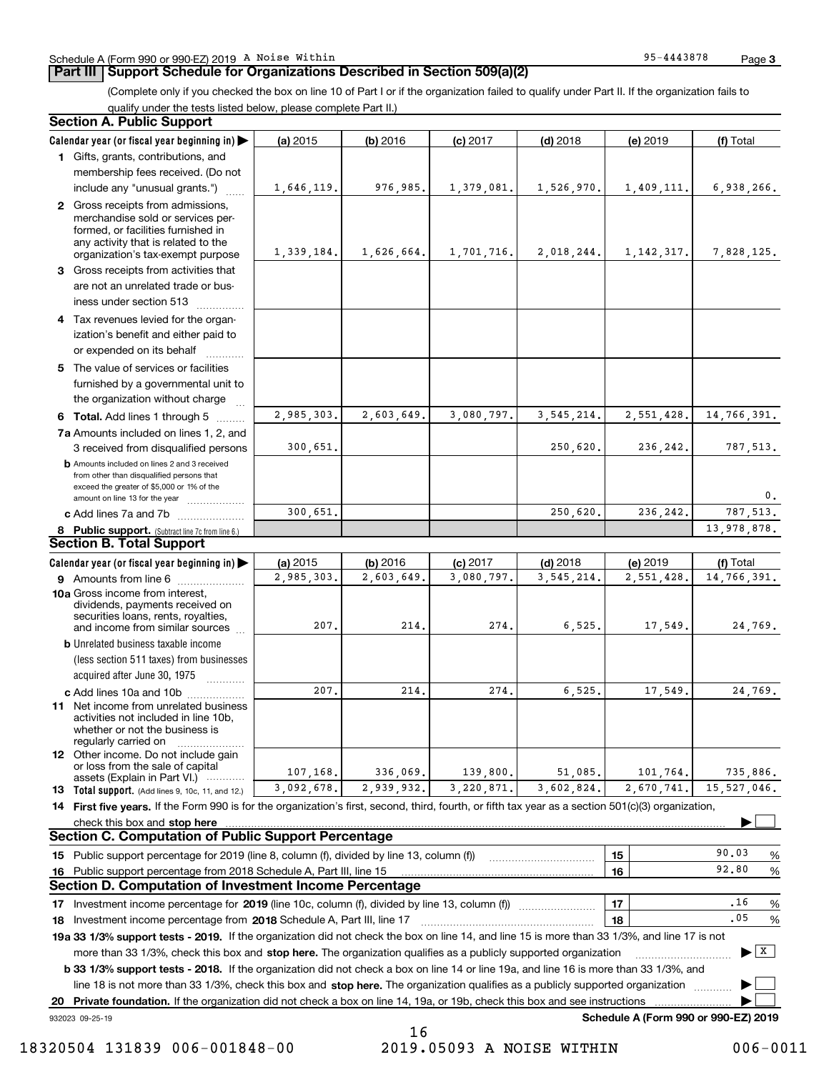#### Schedule A (Form 990 or 990-EZ) 2019 A Noise Within Page Research Marian Constants of the Mage Page Page Page

### **Part III Support Schedule for Organizations Described in Section 509(a)(2)**

**3**

(Complete only if you checked the box on line 10 of Part I or if the organization failed to qualify under Part II. If the organization fails to qualify under the tests listed below, please complete Part II.)

|    | <b>Section A. Public Support</b>                                                                                                                                                         |            |            |            |              |                                      |                               |
|----|------------------------------------------------------------------------------------------------------------------------------------------------------------------------------------------|------------|------------|------------|--------------|--------------------------------------|-------------------------------|
|    | Calendar year (or fiscal year beginning in)                                                                                                                                              | (a) 2015   | (b) 2016   | $(c)$ 2017 | $(d)$ 2018   | (e) 2019                             | (f) Total                     |
|    | 1 Gifts, grants, contributions, and                                                                                                                                                      |            |            |            |              |                                      |                               |
|    | membership fees received. (Do not                                                                                                                                                        |            |            |            |              |                                      |                               |
|    | include any "unusual grants.")                                                                                                                                                           | 1,646,119. | 976,985.   | 1,379,081. | 1,526,970.   | 1,409,111.                           | 6,938,266.                    |
|    | 2 Gross receipts from admissions,<br>merchandise sold or services per-<br>formed, or facilities furnished in<br>any activity that is related to the<br>organization's tax-exempt purpose | 1,339,184. | 1,626,664. | 1,701,716. | 2,018,244.   | 1, 142, 317.                         | 7,828,125.                    |
|    | 3 Gross receipts from activities that<br>are not an unrelated trade or bus-<br>iness under section 513                                                                                   |            |            |            |              |                                      |                               |
|    | 4 Tax revenues levied for the organ-<br>ization's benefit and either paid to<br>or expended on its behalf<br>.                                                                           |            |            |            |              |                                      |                               |
|    | 5 The value of services or facilities<br>furnished by a governmental unit to<br>the organization without charge                                                                          |            |            |            |              |                                      |                               |
|    | 6 Total. Add lines 1 through 5                                                                                                                                                           | 2.985.303. | 2,603,649. | 3,080,797. | 3, 545, 214. | 2,551,428.                           | 14,766,391.                   |
|    | 7a Amounts included on lines 1, 2, and<br>3 received from disqualified persons                                                                                                           | 300,651.   |            |            | 250,620.     | 236,242.                             | 787,513.                      |
|    | <b>b</b> Amounts included on lines 2 and 3 received<br>from other than disqualified persons that<br>exceed the greater of \$5,000 or 1% of the<br>amount on line 13 for the year         |            |            |            |              |                                      | 0.                            |
|    | c Add lines 7a and 7b                                                                                                                                                                    | 300,651.   |            |            | 250,620.     | 236,242.                             | 787,513.                      |
|    | 8 Public support. (Subtract line 7c from line 6.)                                                                                                                                        |            |            |            |              |                                      | 13,978,878.                   |
|    | <b>Section B. Total Support</b>                                                                                                                                                          |            |            |            |              |                                      |                               |
|    | Calendar year (or fiscal year beginning in)                                                                                                                                              | (a) 2015   | (b) 2016   | $(c)$ 2017 | $(d)$ 2018   | (e) 2019                             | (f) Total                     |
|    | 9 Amounts from line 6                                                                                                                                                                    | 2,985,303. | 2,603,649. | 3,080,797. | 3, 545, 214. | 2,551,428.                           | 14,766,391.                   |
|    | 10a Gross income from interest,<br>dividends, payments received on<br>securities loans, rents, royalties,<br>and income from similar sources                                             | 207.       | 214.       | 274.       | 6, 525.      | 17,549.                              | 24,769.                       |
|    | <b>b</b> Unrelated business taxable income<br>(less section 511 taxes) from businesses<br>acquired after June 30, 1975<br>1.1.1.1.1.1.1.1.1                                              |            |            |            |              |                                      |                               |
|    | c Add lines 10a and 10b                                                                                                                                                                  | 207.       | 214        | 274.       | 6,525.       | 17,549.                              | 24,769.                       |
|    | 11 Net income from unrelated business<br>activities not included in line 10b,<br>whether or not the business is<br>regularly carried on                                                  |            |            |            |              |                                      |                               |
|    | <b>12</b> Other income. Do not include gain<br>or loss from the sale of capital<br>assets (Explain in Part VI.)                                                                          | 107,168.   | 336,069.   | 139,800.   | 51,085.      | 101,764.                             | 735,886.                      |
|    | <b>13</b> Total support. (Add lines 9, 10c, 11, and 12.)                                                                                                                                 | 3,092,678. | 2,939,932. | 3,220,871. | 3,602,824.   | 2,670,741.                           | 15,527,046.                   |
|    | 14 First five years. If the Form 990 is for the organization's first, second, third, fourth, or fifth tax year as a section 501(c)(3) organization,                                      |            |            |            |              |                                      |                               |
|    |                                                                                                                                                                                          |            |            |            |              |                                      |                               |
|    | <b>Section C. Computation of Public Support Percentage</b>                                                                                                                               |            |            |            |              |                                      |                               |
|    | 15 Public support percentage for 2019 (line 8, column (f), divided by line 13, column (f))                                                                                               |            |            |            |              | 15                                   | 90.03<br>%                    |
|    | 16 Public support percentage from 2018 Schedule A, Part III, line 15                                                                                                                     |            |            |            |              | 16                                   | 92.80<br>%                    |
|    | <b>Section D. Computation of Investment Income Percentage</b>                                                                                                                            |            |            |            |              |                                      |                               |
|    | 17 Investment income percentage for 2019 (line 10c, column (f), divided by line 13, column (f))                                                                                          |            |            |            |              | 17                                   | .16<br>%                      |
|    | 18 Investment income percentage from 2018 Schedule A, Part III, line 17                                                                                                                  |            |            |            |              | 18                                   | .05<br>%                      |
|    | 19a 33 1/3% support tests - 2019. If the organization did not check the box on line 14, and line 15 is more than 33 1/3%, and line 17 is not                                             |            |            |            |              |                                      |                               |
|    | more than 33 1/3%, check this box and stop here. The organization qualifies as a publicly supported organization                                                                         |            |            |            |              |                                      | $\blacktriangleright$   $X$ ] |
|    | <b>b 33 1/3% support tests - 2018.</b> If the organization did not check a box on line 14 or line 19a, and line 16 is more than 33 1/3%, and                                             |            |            |            |              |                                      |                               |
|    | line 18 is not more than 33 1/3%, check this box and stop here. The organization qualifies as a publicly supported organization                                                          |            |            |            |              |                                      |                               |
| 20 | Private foundation. If the organization did not check a box on line 14, 19a, or 19b, check this box and see instructions                                                                 |            |            |            |              |                                      |                               |
|    | 932023 09-25-19                                                                                                                                                                          |            |            |            |              | Schedule A (Form 990 or 990-EZ) 2019 |                               |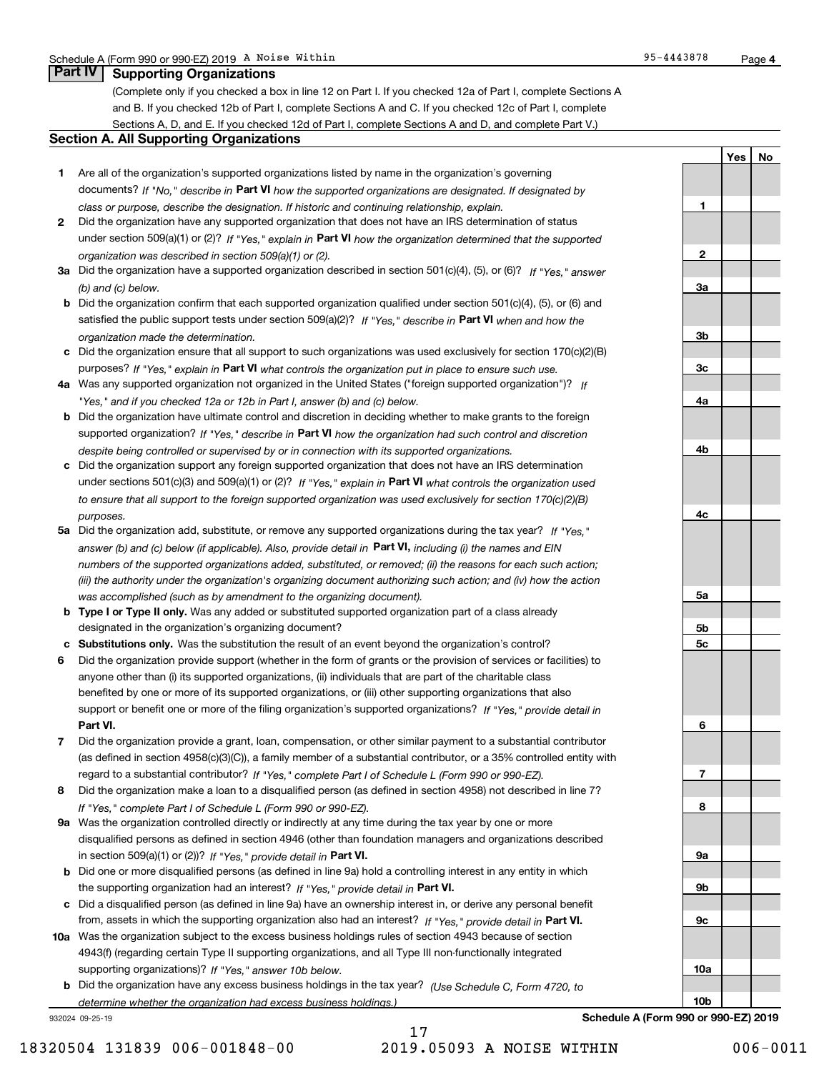**YesNo**

**1**

**2**

## **Part IV Supporting Organizations**

(Complete only if you checked a box in line 12 on Part I. If you checked 12a of Part I, complete Sections A and B. If you checked 12b of Part I, complete Sections A and C. If you checked 12c of Part I, complete Sections A, D, and E. If you checked 12d of Part I, complete Sections A and D, and complete Part V.)

### **Section A. All Supporting Organizations**

- **1** Are all of the organization's supported organizations listed by name in the organization's governing documents? If "No," describe in **Part VI** how the supported organizations are designated. If designated by *class or purpose, describe the designation. If historic and continuing relationship, explain.*
- **2** Did the organization have any supported organization that does not have an IRS determination of status under section 509(a)(1) or (2)? If "Yes," explain in Part VI how the organization determined that the supported *organization was described in section 509(a)(1) or (2).*
- **3a** Did the organization have a supported organization described in section 501(c)(4), (5), or (6)? If "Yes," answer *(b) and (c) below.*
- **b** Did the organization confirm that each supported organization qualified under section 501(c)(4), (5), or (6) and satisfied the public support tests under section 509(a)(2)? If "Yes," describe in **Part VI** when and how the *organization made the determination.*
- **c**Did the organization ensure that all support to such organizations was used exclusively for section 170(c)(2)(B) purposes? If "Yes," explain in **Part VI** what controls the organization put in place to ensure such use.
- **4a***If* Was any supported organization not organized in the United States ("foreign supported organization")? *"Yes," and if you checked 12a or 12b in Part I, answer (b) and (c) below.*
- **b** Did the organization have ultimate control and discretion in deciding whether to make grants to the foreign supported organization? If "Yes," describe in **Part VI** how the organization had such control and discretion *despite being controlled or supervised by or in connection with its supported organizations.*
- **c** Did the organization support any foreign supported organization that does not have an IRS determination under sections 501(c)(3) and 509(a)(1) or (2)? If "Yes," explain in **Part VI** what controls the organization used *to ensure that all support to the foreign supported organization was used exclusively for section 170(c)(2)(B) purposes.*
- **5a** Did the organization add, substitute, or remove any supported organizations during the tax year? If "Yes," answer (b) and (c) below (if applicable). Also, provide detail in **Part VI,** including (i) the names and EIN *numbers of the supported organizations added, substituted, or removed; (ii) the reasons for each such action; (iii) the authority under the organization's organizing document authorizing such action; and (iv) how the action was accomplished (such as by amendment to the organizing document).*
- **b** Type I or Type II only. Was any added or substituted supported organization part of a class already designated in the organization's organizing document?
- **cSubstitutions only.**  Was the substitution the result of an event beyond the organization's control?
- **6** Did the organization provide support (whether in the form of grants or the provision of services or facilities) to **Part VI.** *If "Yes," provide detail in* support or benefit one or more of the filing organization's supported organizations? anyone other than (i) its supported organizations, (ii) individuals that are part of the charitable class benefited by one or more of its supported organizations, or (iii) other supporting organizations that also
- **7**Did the organization provide a grant, loan, compensation, or other similar payment to a substantial contributor *If "Yes," complete Part I of Schedule L (Form 990 or 990-EZ).* regard to a substantial contributor? (as defined in section 4958(c)(3)(C)), a family member of a substantial contributor, or a 35% controlled entity with
- **8** Did the organization make a loan to a disqualified person (as defined in section 4958) not described in line 7? *If "Yes," complete Part I of Schedule L (Form 990 or 990-EZ).*
- **9a** Was the organization controlled directly or indirectly at any time during the tax year by one or more in section 509(a)(1) or (2))? If "Yes," *provide detail in* <code>Part VI.</code> disqualified persons as defined in section 4946 (other than foundation managers and organizations described
- **b** Did one or more disqualified persons (as defined in line 9a) hold a controlling interest in any entity in which the supporting organization had an interest? If "Yes," provide detail in P**art VI**.
- **c**Did a disqualified person (as defined in line 9a) have an ownership interest in, or derive any personal benefit from, assets in which the supporting organization also had an interest? If "Yes," provide detail in P**art VI.**
- **10a** Was the organization subject to the excess business holdings rules of section 4943 because of section supporting organizations)? If "Yes," answer 10b below. 4943(f) (regarding certain Type II supporting organizations, and all Type III non-functionally integrated
- **b** Did the organization have any excess business holdings in the tax year? (Use Schedule C, Form 4720, to *determine whether the organization had excess business holdings.)*

932024 09-25-19

**3a3b3c4a4b4c5a 5b5c6789a 9b9c10a10b**

**Schedule A (Form 990 or 990-EZ) 2019**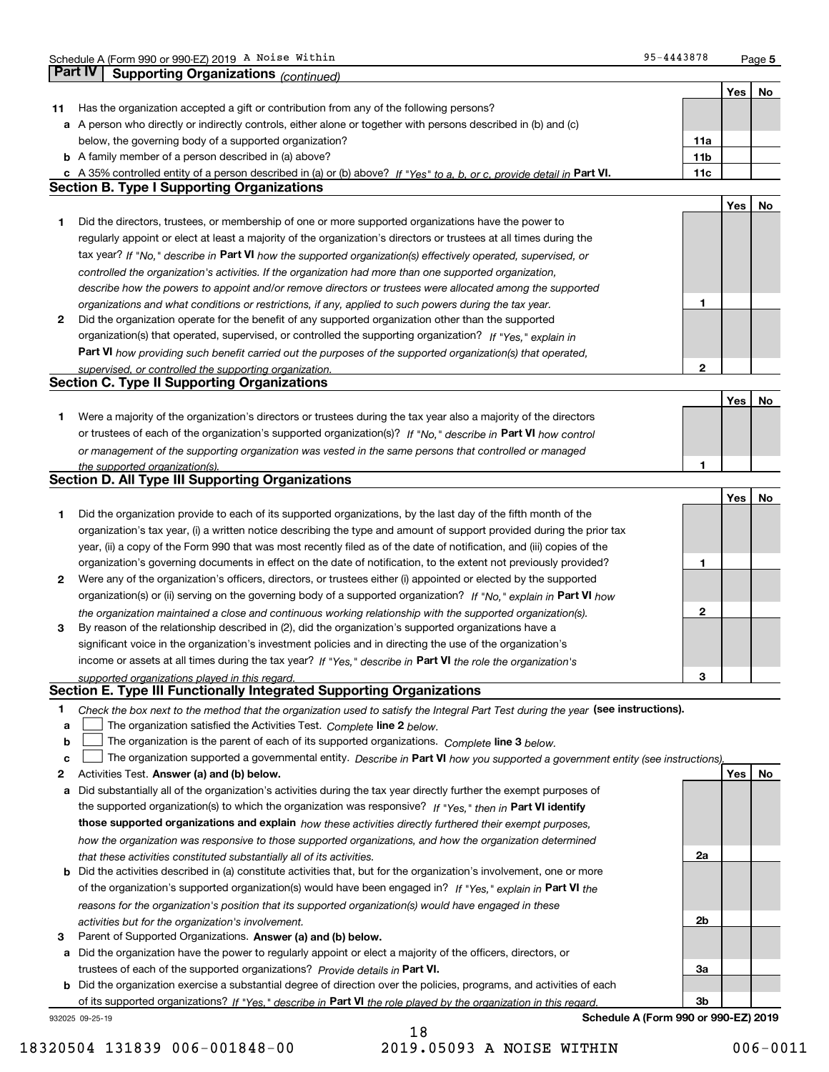**5**

|    | Part IV<br>Supporting Organizations (continued)                                                                                   |     |     |    |
|----|-----------------------------------------------------------------------------------------------------------------------------------|-----|-----|----|
|    |                                                                                                                                   |     | Yes | No |
| 11 | Has the organization accepted a gift or contribution from any of the following persons?                                           |     |     |    |
|    | a A person who directly or indirectly controls, either alone or together with persons described in (b) and (c)                    |     |     |    |
|    | below, the governing body of a supported organization?                                                                            | 11a |     |    |
|    | 11 <sub>b</sub><br><b>b</b> A family member of a person described in (a) above?                                                   |     |     |    |
| c  | A 35% controlled entity of a person described in (a) or (b) above? If "Yes" to a, b, or c, provide detail in Part VI.             | 11c |     |    |
|    | <b>Section B. Type I Supporting Organizations</b>                                                                                 |     |     |    |
|    |                                                                                                                                   |     | Yes | No |
|    |                                                                                                                                   |     |     |    |
| 1  | Did the directors, trustees, or membership of one or more supported organizations have the power to                               |     |     |    |
|    | regularly appoint or elect at least a majority of the organization's directors or trustees at all times during the                |     |     |    |
|    | tax year? If "No," describe in Part VI how the supported organization(s) effectively operated, supervised, or                     |     |     |    |
|    | controlled the organization's activities. If the organization had more than one supported organization,                           |     |     |    |
|    | describe how the powers to appoint and/or remove directors or trustees were allocated among the supported                         |     |     |    |
|    | 1<br>organizations and what conditions or restrictions, if any, applied to such powers during the tax year.                       |     |     |    |
| 2  | Did the organization operate for the benefit of any supported organization other than the supported                               |     |     |    |
|    | organization(s) that operated, supervised, or controlled the supporting organization? If "Yes," explain in                        |     |     |    |
|    | Part VI how providing such benefit carried out the purposes of the supported organization(s) that operated,                       |     |     |    |
|    | supervised, or controlled the supporting organization.                                                                            | 2   |     |    |
|    | <b>Section C. Type II Supporting Organizations</b>                                                                                |     |     |    |
|    |                                                                                                                                   |     | Yes | No |
| 1. | Were a majority of the organization's directors or trustees during the tax year also a majority of the directors                  |     |     |    |
|    | or trustees of each of the organization's supported organization(s)? If "No," describe in Part VI how control                     |     |     |    |
|    | or management of the supporting organization was vested in the same persons that controlled or managed                            |     |     |    |
|    | 1<br>the supported organization(s).                                                                                               |     |     |    |
|    | <b>Section D. All Type III Supporting Organizations</b>                                                                           |     |     |    |
|    |                                                                                                                                   |     | Yes | No |
| 1  | Did the organization provide to each of its supported organizations, by the last day of the fifth month of the                    |     |     |    |
|    | organization's tax year, (i) a written notice describing the type and amount of support provided during the prior tax             |     |     |    |
|    | year, (ii) a copy of the Form 990 that was most recently filed as of the date of notification, and (iii) copies of the            |     |     |    |
|    | organization's governing documents in effect on the date of notification, to the extent not previously provided?<br>1             |     |     |    |
| 2  | Were any of the organization's officers, directors, or trustees either (i) appointed or elected by the supported                  |     |     |    |
|    | organization(s) or (ii) serving on the governing body of a supported organization? If "No," explain in Part VI how                |     |     |    |
|    | the organization maintained a close and continuous working relationship with the supported organization(s).                       | 2   |     |    |
| 3  | By reason of the relationship described in (2), did the organization's supported organizations have a                             |     |     |    |
|    | significant voice in the organization's investment policies and in directing the use of the organization's                        |     |     |    |
|    | income or assets at all times during the tax year? If "Yes," describe in Part VI the role the organization's                      |     |     |    |
|    | supported organizations played in this regard.                                                                                    | 3   |     |    |
|    | Section E. Type III Functionally Integrated Supporting Organizations                                                              |     |     |    |
| 1  | Check the box next to the method that the organization used to satisfy the Integral Part Test during the year (see instructions). |     |     |    |
| a  | The organization satisfied the Activities Test. Complete line 2 below.                                                            |     |     |    |
| b  | The organization is the parent of each of its supported organizations. Complete line 3 below.                                     |     |     |    |
| c  | The organization supported a governmental entity. Describe in Part VI how you supported a government entity (see instructions),   |     |     |    |
| 2  | Activities Test. Answer (a) and (b) below.                                                                                        |     | Yes | No |
| а  | Did substantially all of the organization's activities during the tax year directly further the exempt purposes of                |     |     |    |
|    | the supported organization(s) to which the organization was responsive? If "Yes," then in Part VI identify                        |     |     |    |
|    | those supported organizations and explain how these activities directly furthered their exempt purposes,                          |     |     |    |
|    |                                                                                                                                   |     |     |    |
|    | how the organization was responsive to those supported organizations, and how the organization determined<br>2a                   |     |     |    |
|    | that these activities constituted substantially all of its activities.                                                            |     |     |    |
| b  | Did the activities described in (a) constitute activities that, but for the organization's involvement, one or more               |     |     |    |
|    | of the organization's supported organization(s) would have been engaged in? If "Yes," explain in Part VI the                      |     |     |    |
|    | reasons for the organization's position that its supported organization(s) would have engaged in these                            |     |     |    |
|    | 2b<br>activities but for the organization's involvement.                                                                          |     |     |    |
| 3  | Parent of Supported Organizations. Answer (a) and (b) below.                                                                      |     |     |    |
| а  | Did the organization have the power to regularly appoint or elect a majority of the officers, directors, or                       |     |     |    |
|    | trustees of each of the supported organizations? Provide details in Part VI.<br>За                                                |     |     |    |
|    | <b>b</b> Did the organization exercise a substantial degree of direction over the policies, programs, and activities of each      |     |     |    |
|    | of its supported organizations? If "Yes," describe in Part VI the role played by the organization in this regard<br>Зb            |     |     |    |
|    | Schedule A (Form 990 or 990-EZ) 2019<br>932025 09-25-19                                                                           |     |     |    |
|    | 18                                                                                                                                |     |     |    |

18320504 131839 006-001848-00 2019.05093 A NOISE WITHIN 006-0011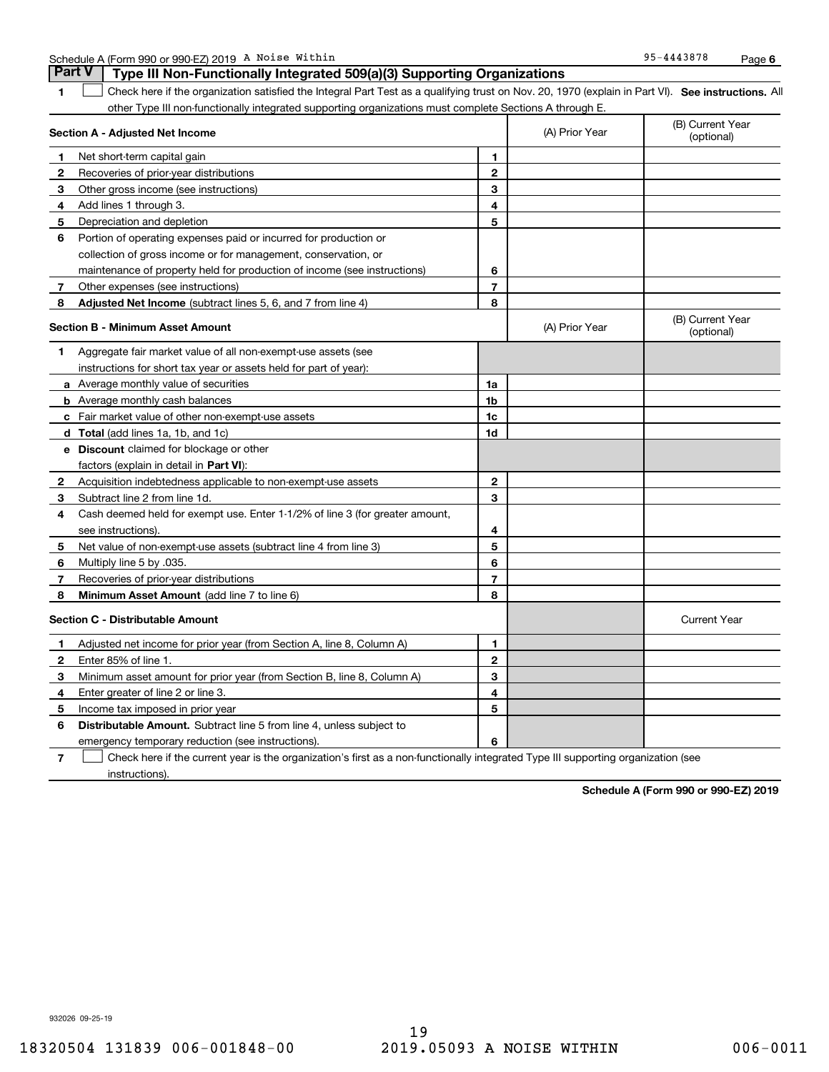| Noise<br>Within<br>4 (Form 990 or 990-EZ) 2019<br>Schedule<br>$\mathbf{r}$<br>$\overline{11}$ | -43878<br>$\Omega$<br>$-444$ | Page |  |
|-----------------------------------------------------------------------------------------------|------------------------------|------|--|
|-----------------------------------------------------------------------------------------------|------------------------------|------|--|

|              | <b>Part V</b><br>Type III Non-Functionally Integrated 509(a)(3) Supporting Organizations                                                          |                |                |                                |
|--------------|---------------------------------------------------------------------------------------------------------------------------------------------------|----------------|----------------|--------------------------------|
| 1.           | Check here if the organization satisfied the Integral Part Test as a qualifying trust on Nov. 20, 1970 (explain in Part VI). See instructions. Al |                |                |                                |
|              | other Type III non-functionally integrated supporting organizations must complete Sections A through E.                                           |                |                |                                |
|              | Section A - Adjusted Net Income                                                                                                                   |                | (A) Prior Year | (B) Current Year<br>(optional) |
| 1            | Net short-term capital gain                                                                                                                       | 1              |                |                                |
| $\mathbf{2}$ | Recoveries of prior-year distributions                                                                                                            | $\mathbf{2}$   |                |                                |
| 3            | Other gross income (see instructions)                                                                                                             | 3              |                |                                |
| 4            | Add lines 1 through 3.                                                                                                                            | 4              |                |                                |
| 5            | Depreciation and depletion                                                                                                                        | 5              |                |                                |
| 6            | Portion of operating expenses paid or incurred for production or                                                                                  |                |                |                                |
|              | collection of gross income or for management, conservation, or                                                                                    |                |                |                                |
|              | maintenance of property held for production of income (see instructions)                                                                          | 6              |                |                                |
| 7            | Other expenses (see instructions)                                                                                                                 | $\overline{7}$ |                |                                |
| 8            | Adjusted Net Income (subtract lines 5, 6, and 7 from line 4)                                                                                      | 8              |                |                                |
|              | <b>Section B - Minimum Asset Amount</b>                                                                                                           |                | (A) Prior Year | (B) Current Year<br>(optional) |
| 1            | Aggregate fair market value of all non-exempt-use assets (see                                                                                     |                |                |                                |
|              | instructions for short tax year or assets held for part of year):                                                                                 |                |                |                                |
|              | <b>a</b> Average monthly value of securities                                                                                                      | 1a             |                |                                |
|              | <b>b</b> Average monthly cash balances                                                                                                            | 1b             |                |                                |
|              | c Fair market value of other non-exempt-use assets                                                                                                | 1c             |                |                                |
|              | d Total (add lines 1a, 1b, and 1c)                                                                                                                | 1d             |                |                                |
|              | <b>e</b> Discount claimed for blockage or other                                                                                                   |                |                |                                |
|              | factors (explain in detail in Part VI):                                                                                                           |                |                |                                |
| $\mathbf{2}$ | Acquisition indebtedness applicable to non-exempt-use assets                                                                                      | $\mathbf{2}$   |                |                                |
| 3            | Subtract line 2 from line 1d.                                                                                                                     | 3              |                |                                |
| 4            | Cash deemed held for exempt use. Enter 1-1/2% of line 3 (for greater amount,                                                                      |                |                |                                |
|              | see instructions).                                                                                                                                | 4              |                |                                |
| 5            | Net value of non-exempt-use assets (subtract line 4 from line 3)                                                                                  | 5              |                |                                |
| 6            | Multiply line 5 by .035.                                                                                                                          | 6              |                |                                |
| 7            | Recoveries of prior-year distributions                                                                                                            | $\overline{7}$ |                |                                |
| 8            | <b>Minimum Asset Amount</b> (add line 7 to line 6)                                                                                                | 8              |                |                                |
|              | <b>Section C - Distributable Amount</b>                                                                                                           |                |                | <b>Current Year</b>            |
| 1            | Adjusted net income for prior year (from Section A, line 8, Column A)                                                                             | 1              |                |                                |
| $\mathbf{2}$ | Enter 85% of line 1.                                                                                                                              | $\overline{2}$ |                |                                |
| 3            | Minimum asset amount for prior year (from Section B, line 8, Column A)                                                                            | 3              |                |                                |
| 4            | Enter greater of line 2 or line 3.                                                                                                                | 4              |                |                                |
| 5            | Income tax imposed in prior year                                                                                                                  | 5              |                |                                |
| 6            | <b>Distributable Amount.</b> Subtract line 5 from line 4, unless subject to                                                                       |                |                |                                |
|              | emergency temporary reduction (see instructions).                                                                                                 | 6              |                |                                |

**7**Check here if the current year is the organization's first as a non-functionally integrated Type III supporting organization (see instructions).

**Schedule A (Form 990 or 990-EZ) 2019**

932026 09-25-19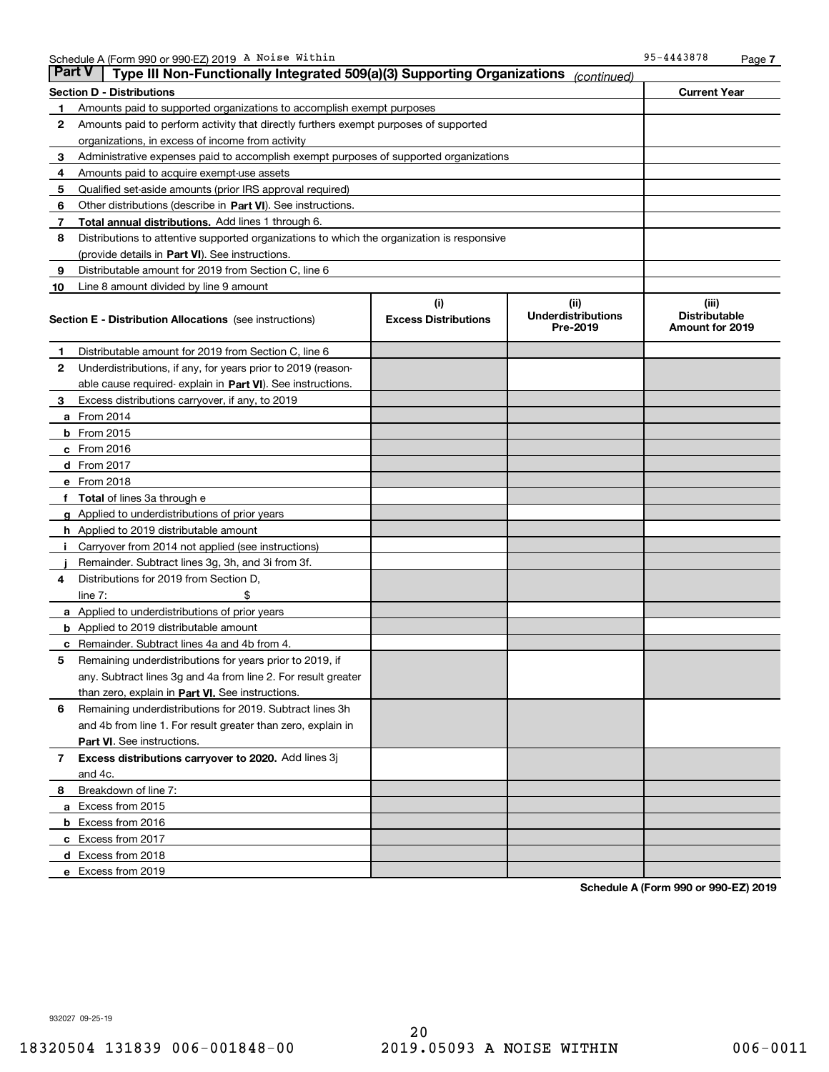| Part V | Type III Non-Functionally Integrated 509(a)(3) Supporting Organizations                    |                                    | (continued)                                   |                                                  |  |
|--------|--------------------------------------------------------------------------------------------|------------------------------------|-----------------------------------------------|--------------------------------------------------|--|
|        | Section D - Distributions                                                                  | <b>Current Year</b>                |                                               |                                                  |  |
| 1      | Amounts paid to supported organizations to accomplish exempt purposes                      |                                    |                                               |                                                  |  |
| 2      | Amounts paid to perform activity that directly furthers exempt purposes of supported       |                                    |                                               |                                                  |  |
|        | organizations, in excess of income from activity                                           |                                    |                                               |                                                  |  |
| 3      | Administrative expenses paid to accomplish exempt purposes of supported organizations      |                                    |                                               |                                                  |  |
| 4      | Amounts paid to acquire exempt-use assets                                                  |                                    |                                               |                                                  |  |
| 5      | Qualified set-aside amounts (prior IRS approval required)                                  |                                    |                                               |                                                  |  |
| 6      | Other distributions (describe in Part VI). See instructions.                               |                                    |                                               |                                                  |  |
| 7      | Total annual distributions. Add lines 1 through 6.                                         |                                    |                                               |                                                  |  |
| 8      | Distributions to attentive supported organizations to which the organization is responsive |                                    |                                               |                                                  |  |
|        | (provide details in Part VI). See instructions.                                            |                                    |                                               |                                                  |  |
| 9      | Distributable amount for 2019 from Section C, line 6                                       |                                    |                                               |                                                  |  |
| 10     | Line 8 amount divided by line 9 amount                                                     |                                    |                                               |                                                  |  |
|        | Section E - Distribution Allocations (see instructions)                                    | (i)<br><b>Excess Distributions</b> | (ii)<br><b>Underdistributions</b><br>Pre-2019 | (iii)<br><b>Distributable</b><br>Amount for 2019 |  |
| 1      | Distributable amount for 2019 from Section C, line 6                                       |                                    |                                               |                                                  |  |
| 2      | Underdistributions, if any, for years prior to 2019 (reason-                               |                                    |                                               |                                                  |  |
|        | able cause required- explain in Part VI). See instructions.                                |                                    |                                               |                                                  |  |
| з      | Excess distributions carryover, if any, to 2019                                            |                                    |                                               |                                                  |  |
|        | <b>a</b> From 2014                                                                         |                                    |                                               |                                                  |  |
|        | <b>b</b> From $2015$                                                                       |                                    |                                               |                                                  |  |
|        | c From 2016                                                                                |                                    |                                               |                                                  |  |
|        | <b>d</b> From 2017                                                                         |                                    |                                               |                                                  |  |
|        | e From 2018                                                                                |                                    |                                               |                                                  |  |
|        | <b>Total</b> of lines 3a through e                                                         |                                    |                                               |                                                  |  |
|        | <b>g</b> Applied to underdistributions of prior years                                      |                                    |                                               |                                                  |  |
|        | <b>h</b> Applied to 2019 distributable amount                                              |                                    |                                               |                                                  |  |
|        | Carryover from 2014 not applied (see instructions)                                         |                                    |                                               |                                                  |  |
|        | Remainder. Subtract lines 3g, 3h, and 3i from 3f.                                          |                                    |                                               |                                                  |  |
| 4      | Distributions for 2019 from Section D,                                                     |                                    |                                               |                                                  |  |
|        | line $7:$                                                                                  |                                    |                                               |                                                  |  |
|        | <b>a</b> Applied to underdistributions of prior years                                      |                                    |                                               |                                                  |  |
|        | <b>b</b> Applied to 2019 distributable amount                                              |                                    |                                               |                                                  |  |
| c      | Remainder. Subtract lines 4a and 4b from 4.                                                |                                    |                                               |                                                  |  |
| 5      | Remaining underdistributions for years prior to 2019, if                                   |                                    |                                               |                                                  |  |
|        | any. Subtract lines 3g and 4a from line 2. For result greater                              |                                    |                                               |                                                  |  |
|        | than zero, explain in Part VI. See instructions.                                           |                                    |                                               |                                                  |  |
| 6      | Remaining underdistributions for 2019. Subtract lines 3h                                   |                                    |                                               |                                                  |  |
|        | and 4b from line 1. For result greater than zero, explain in                               |                                    |                                               |                                                  |  |
|        | <b>Part VI.</b> See instructions.                                                          |                                    |                                               |                                                  |  |
| 7      | Excess distributions carryover to 2020. Add lines 3j                                       |                                    |                                               |                                                  |  |
|        | and 4c.                                                                                    |                                    |                                               |                                                  |  |
| 8      | Breakdown of line 7:                                                                       |                                    |                                               |                                                  |  |
|        | a Excess from 2015                                                                         |                                    |                                               |                                                  |  |
|        | b Excess from 2016                                                                         |                                    |                                               |                                                  |  |
|        | c Excess from 2017                                                                         |                                    |                                               |                                                  |  |
|        | d Excess from 2018                                                                         |                                    |                                               |                                                  |  |
|        | e Excess from 2019                                                                         |                                    |                                               |                                                  |  |

**Schedule A (Form 990 or 990-EZ) 2019**

932027 09-25-19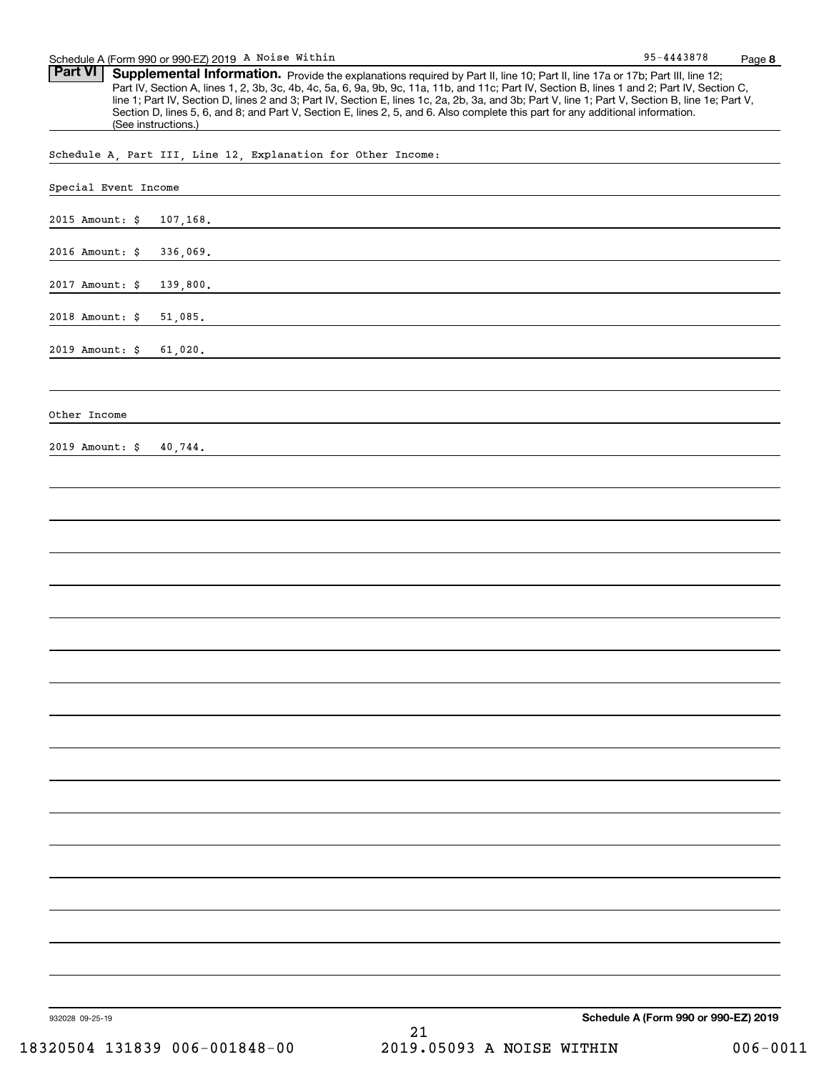Part VI | Supplemental Information. Provide the explanations required by Part II, line 10; Part II, line 17a or 17b; Part III, line 12; Part IV, Section A, lines 1, 2, 3b, 3c, 4b, 4c, 5a, 6, 9a, 9b, 9c, 11a, 11b, and 11c; Part IV, Section B, lines 1 and 2; Part IV, Section C, line 1; Part IV, Section D, lines 2 and 3; Part IV, Section E, lines 1c, 2a, 2b, 3a, and 3b; Part V, line 1; Part V, Section B, line 1e; Part V, Section D, lines 5, 6, and 8; and Part V, Section E, lines 2, 5, and 6. Also complete this part for any additional information. (See instructions.)

Schedule A, Part III, Line 12, Explanation for Other Income:

| Special Event Income |          |    |                                      |
|----------------------|----------|----|--------------------------------------|
| 2015 Amount: \$      | 107,168. |    |                                      |
| 2016 Amount: $\zeta$ | 336,069. |    |                                      |
| 2017 Amount: \$      | 139,800. |    |                                      |
| 2018 Amount: \$      | 51,085.  |    |                                      |
| 2019 Amount: \$      | 61,020.  |    |                                      |
|                      |          |    |                                      |
| Other Income         |          |    |                                      |
| 2019 Amount: \$      | 40,744.  |    |                                      |
|                      |          |    |                                      |
|                      |          |    |                                      |
|                      |          |    |                                      |
|                      |          |    |                                      |
|                      |          |    |                                      |
|                      |          |    |                                      |
|                      |          |    |                                      |
|                      |          |    |                                      |
|                      |          |    |                                      |
|                      |          |    |                                      |
|                      |          |    |                                      |
|                      |          |    |                                      |
|                      |          |    |                                      |
|                      |          |    |                                      |
|                      |          |    |                                      |
|                      |          |    |                                      |
|                      |          |    |                                      |
| 932028 09-25-19      |          | 21 | Schedule A (Form 990 or 990-EZ) 2019 |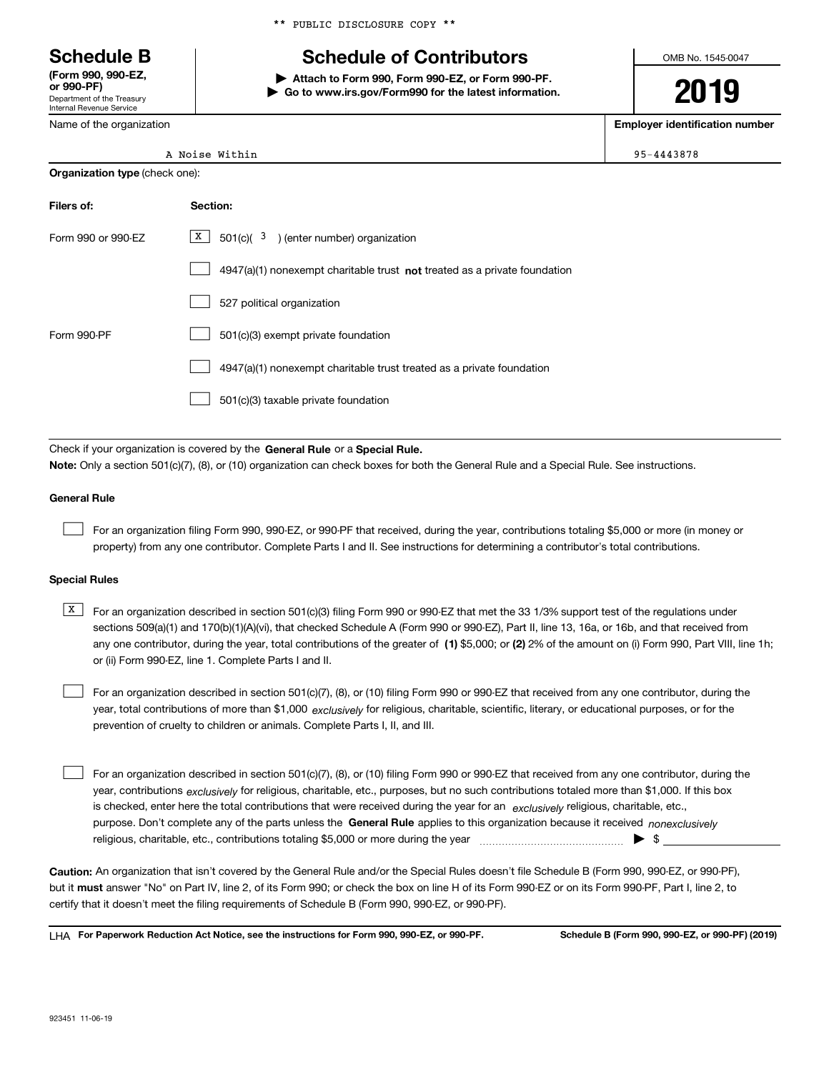Department of the Treasury Internal Revenue Service **(Form 990, 990-EZ, or 990-PF)**

Name of the organization

\*\* PUBLIC DISCLOSURE COPY \*\*

# **Schedule B Schedule of Contributors**

**| Attach to Form 990, Form 990-EZ, or Form 990-PF. | Go to www.irs.gov/Form990 for the latest information.** OMB No. 1545-0047

**2019**

**Employer identification number**

| 95-4443878 |
|------------|
|            |

| <b>Organization type (check one):</b> |  |
|---------------------------------------|--|
|                                       |  |

| Filers of:         | Section:                                                                    |
|--------------------|-----------------------------------------------------------------------------|
| Form 990 or 990-EZ | $\boxed{\text{X}}$ 501(c)( 3) (enter number) organization                   |
|                    | $4947(a)(1)$ nonexempt charitable trust not treated as a private foundation |
|                    | 527 political organization                                                  |
| Form 990-PF        | 501(c)(3) exempt private foundation                                         |
|                    | 4947(a)(1) nonexempt charitable trust treated as a private foundation       |
|                    | 501(c)(3) taxable private foundation                                        |

Check if your organization is covered by the **General Rule** or a **Special Rule. Note:**  Only a section 501(c)(7), (8), or (10) organization can check boxes for both the General Rule and a Special Rule. See instructions.

### **General Rule**

 $\mathcal{L}^{\text{max}}$ 

For an organization filing Form 990, 990-EZ, or 990-PF that received, during the year, contributions totaling \$5,000 or more (in money or property) from any one contributor. Complete Parts I and II. See instructions for determining a contributor's total contributions.

#### **Special Rules**

any one contributor, during the year, total contributions of the greater of  $\,$  (1) \$5,000; or **(2)** 2% of the amount on (i) Form 990, Part VIII, line 1h;  $\overline{X}$  For an organization described in section 501(c)(3) filing Form 990 or 990-EZ that met the 33 1/3% support test of the regulations under sections 509(a)(1) and 170(b)(1)(A)(vi), that checked Schedule A (Form 990 or 990-EZ), Part II, line 13, 16a, or 16b, and that received from or (ii) Form 990-EZ, line 1. Complete Parts I and II.

year, total contributions of more than \$1,000 *exclusively* for religious, charitable, scientific, literary, or educational purposes, or for the For an organization described in section 501(c)(7), (8), or (10) filing Form 990 or 990-EZ that received from any one contributor, during the prevention of cruelty to children or animals. Complete Parts I, II, and III.  $\mathcal{L}^{\text{max}}$ 

purpose. Don't complete any of the parts unless the **General Rule** applies to this organization because it received *nonexclusively* year, contributions <sub>exclusively</sub> for religious, charitable, etc., purposes, but no such contributions totaled more than \$1,000. If this box is checked, enter here the total contributions that were received during the year for an  $\;$ exclusively religious, charitable, etc., For an organization described in section 501(c)(7), (8), or (10) filing Form 990 or 990-EZ that received from any one contributor, during the religious, charitable, etc., contributions totaling \$5,000 or more during the year  $\Box$ — $\Box$   $\Box$  $\mathcal{L}^{\text{max}}$ 

**Caution:**  An organization that isn't covered by the General Rule and/or the Special Rules doesn't file Schedule B (Form 990, 990-EZ, or 990-PF),  **must** but it answer "No" on Part IV, line 2, of its Form 990; or check the box on line H of its Form 990-EZ or on its Form 990-PF, Part I, line 2, to certify that it doesn't meet the filing requirements of Schedule B (Form 990, 990-EZ, or 990-PF).

**For Paperwork Reduction Act Notice, see the instructions for Form 990, 990-EZ, or 990-PF. Schedule B (Form 990, 990-EZ, or 990-PF) (2019)** LHA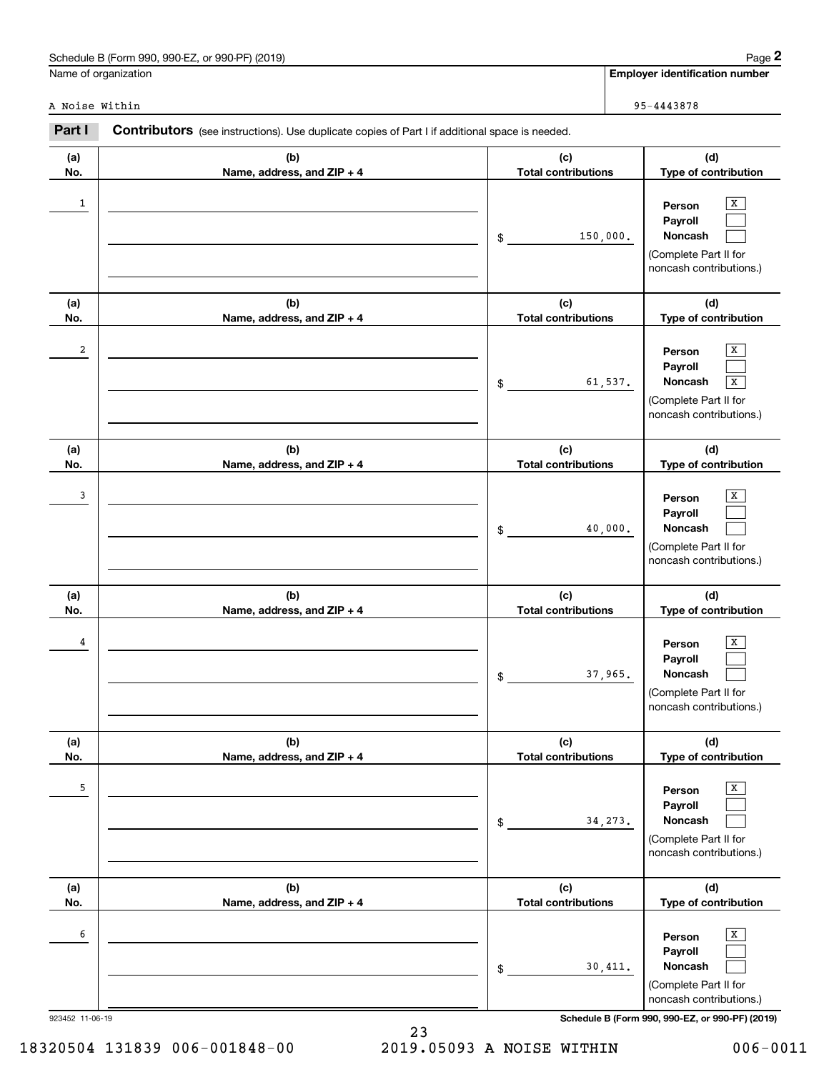|                 | Schedule B (Form 990, 990-EZ, or 990-PF) (2019)                                                |                                   | Page 2                                                                                     |
|-----------------|------------------------------------------------------------------------------------------------|-----------------------------------|--------------------------------------------------------------------------------------------|
|                 | Name of organization                                                                           |                                   | <b>Employer identification number</b>                                                      |
| A Noise Within  |                                                                                                |                                   | 95-4443878                                                                                 |
| Part I          | Contributors (see instructions). Use duplicate copies of Part I if additional space is needed. |                                   |                                                                                            |
| (a)<br>No.      | (b)<br>Name, address, and ZIP + 4                                                              | (c)<br><b>Total contributions</b> | (d)<br>Type of contribution                                                                |
| 1               |                                                                                                | 150,000.<br>\$                    | x<br>Person<br>Payroll<br>Noncash<br>(Complete Part II for<br>noncash contributions.)      |
| (a)<br>No.      | (b)<br>Name, address, and ZIP + 4                                                              | (c)<br><b>Total contributions</b> | (d)<br>Type of contribution                                                                |
| 2               |                                                                                                | 61,537.<br>$\$$                   | x<br>Person<br>Payroll<br>Noncash<br>X<br>(Complete Part II for<br>noncash contributions.) |
| (a)<br>No.      | (b)                                                                                            | (c)<br><b>Total contributions</b> | (d)<br>Type of contribution                                                                |
| 3               | Name, address, and ZIP + 4                                                                     | 40,000.<br>\$                     | x<br>Person<br>Payroll<br>Noncash<br>(Complete Part II for<br>noncash contributions.)      |
| (a)<br>No.      | (b)<br>Name, address, and ZIP + 4                                                              | (c)<br><b>Total contributions</b> | (d)<br>Type of contribution                                                                |
| 4               |                                                                                                | 37,965.<br>$\$$                   | X<br>Person<br>Payroll<br>Noncash<br>(Complete Part II for<br>noncash contributions.)      |
| (a)<br>No.      | (b)<br>Name, address, and ZIP + 4                                                              | (c)<br><b>Total contributions</b> | (d)<br>Type of contribution                                                                |
| 5               |                                                                                                | 34, 273.<br>\$                    | x<br>Person<br>Payroll<br>Noncash<br>(Complete Part II for<br>noncash contributions.)      |
| (a)<br>No.      | (b)<br>Name, address, and ZIP + 4                                                              | (c)<br><b>Total contributions</b> | (d)<br>Type of contribution                                                                |
| 6               |                                                                                                | 30,411.<br>\$                     | x<br>Person<br>Payroll<br>Noncash<br>(Complete Part II for<br>noncash contributions.)      |
| 923452 11-06-19 |                                                                                                |                                   | Schedule B (Form 990, 990-EZ, or 990-PF) (2019)                                            |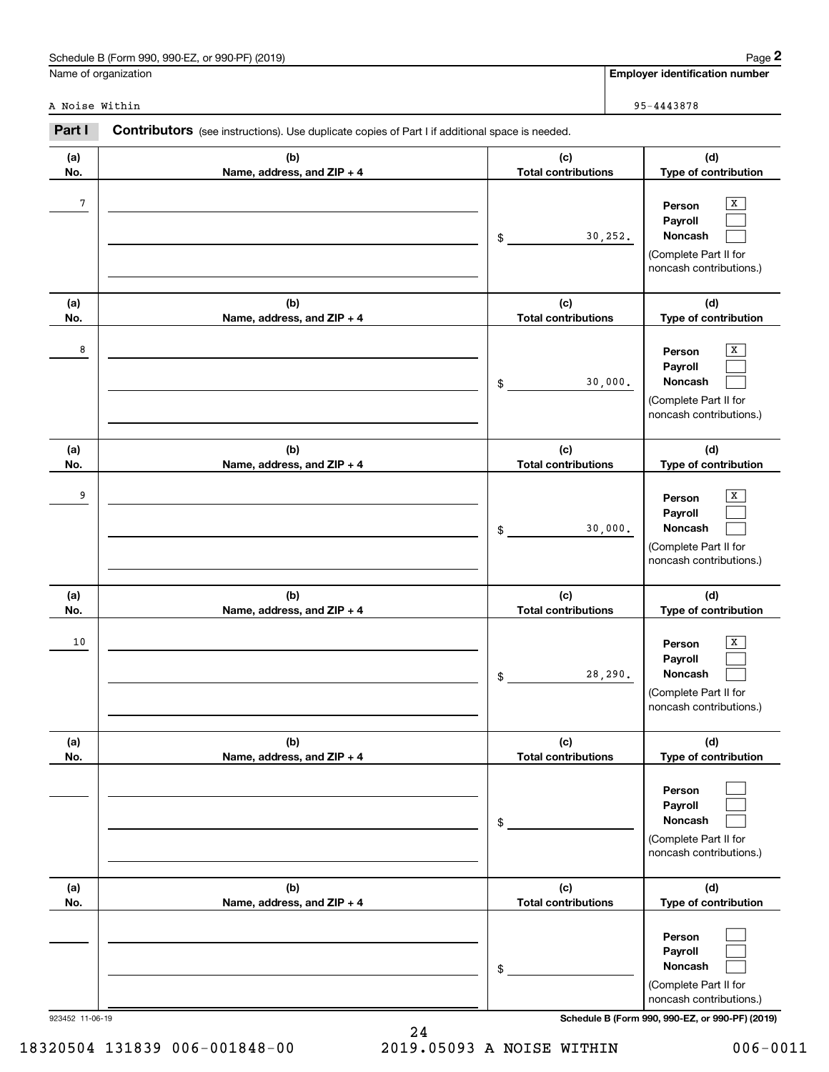|                | Schedule B (Form 990, 990-EZ, or 990-PF) (2019)                                                       |                                   | $Page$ 2                                                                                                |
|----------------|-------------------------------------------------------------------------------------------------------|-----------------------------------|---------------------------------------------------------------------------------------------------------|
|                | Name of organization                                                                                  |                                   | <b>Employer identification number</b>                                                                   |
| A Noise Within |                                                                                                       |                                   | 95-4443878                                                                                              |
| Part I         | <b>Contributors</b> (see instructions). Use duplicate copies of Part I if additional space is needed. |                                   |                                                                                                         |
| (a)<br>No.     | (b)<br>Name, address, and ZIP + 4                                                                     | (c)<br><b>Total contributions</b> | (d)<br>Type of contribution                                                                             |
| 7              |                                                                                                       | \$                                | x<br>Person<br>Payroll<br>Noncash<br>30, 252.<br>(Complete Part II for<br>noncash contributions.)       |
| (a)<br>No.     | (b)<br>Name, address, and ZIP + 4                                                                     | (c)<br><b>Total contributions</b> | (d)<br>Type of contribution                                                                             |
| 8              |                                                                                                       | \$                                | Х<br>Person<br>Payroll<br>Noncash<br>30,000.<br>(Complete Part II for<br>noncash contributions.)        |
| (a)<br>No.     | (b)<br>Name, address, and ZIP + 4                                                                     | (c)<br><b>Total contributions</b> | (d)<br>Type of contribution                                                                             |
| 9              |                                                                                                       | \$                                | X<br>Person<br>Payroll<br>Noncash<br>30,000.<br>(Complete Part II for<br>noncash contributions.)        |
| (a)<br>No.     | (b)<br>Name, address, and ZIP + 4                                                                     | (c)<br><b>Total contributions</b> | (d)<br>Type of contribution                                                                             |
| 10             |                                                                                                       | \$                                | х<br>Person<br><b>Payroll</b><br>Noncash<br>28,290.<br>(Complete Part II for<br>noncash contributions.) |
| (a)<br>No.     | (b)<br>Name, address, and ZIP + 4                                                                     | (c)<br><b>Total contributions</b> | (d)<br>Type of contribution                                                                             |

|    |                            | \$<br>30,000.              | Noncash<br>(Complete Part II for                      |
|----|----------------------------|----------------------------|-------------------------------------------------------|
|    |                            |                            | noncash contributions.)                               |
| ı) | (b)                        | (c)                        | (d)                                                   |
| D. | Name, address, and ZIP + 4 | <b>Total contributions</b> | Type of contribution                                  |
| 10 |                            | \$<br>28, 290.             | X<br>Person<br>Payroll<br><b>Noncash</b>              |
|    |                            |                            | (Complete Part II for<br>noncash contributions.)      |
| ı) | (b)                        | (c)                        | (d)                                                   |
| о. | Name, address, and ZIP + 4 | <b>Total contributions</b> | Type of contribution                                  |
|    |                            | \$                         | Person<br>Payroll<br><b>Noncash</b>                   |
|    |                            |                            | (Complete Part II for<br>noncash contributions.)      |
|    | (b)                        | (c)                        | (d)                                                   |
| D. | Name, address, and ZIP + 4 | <b>Total contributions</b> | Type of contribution                                  |
|    |                            | \$                         | Person<br>Payroll<br>Noncash<br>(Complete Part II for |
|    |                            |                            | noncash contributions.)                               |

24

923452 11-06-19 **Schedule B (Form 990, 990-EZ, or 990-PF) (2019)**

| Schedule B (Form 990, 990-EZ, or 990-PF) (2019) | $Page =$                       |
|-------------------------------------------------|--------------------------------|
| Name of organization                            | Emplover identification number |

**(a) No.**

18320504 131839 006-001848-00 2019.05093 A NOISE WITHIN 006-0011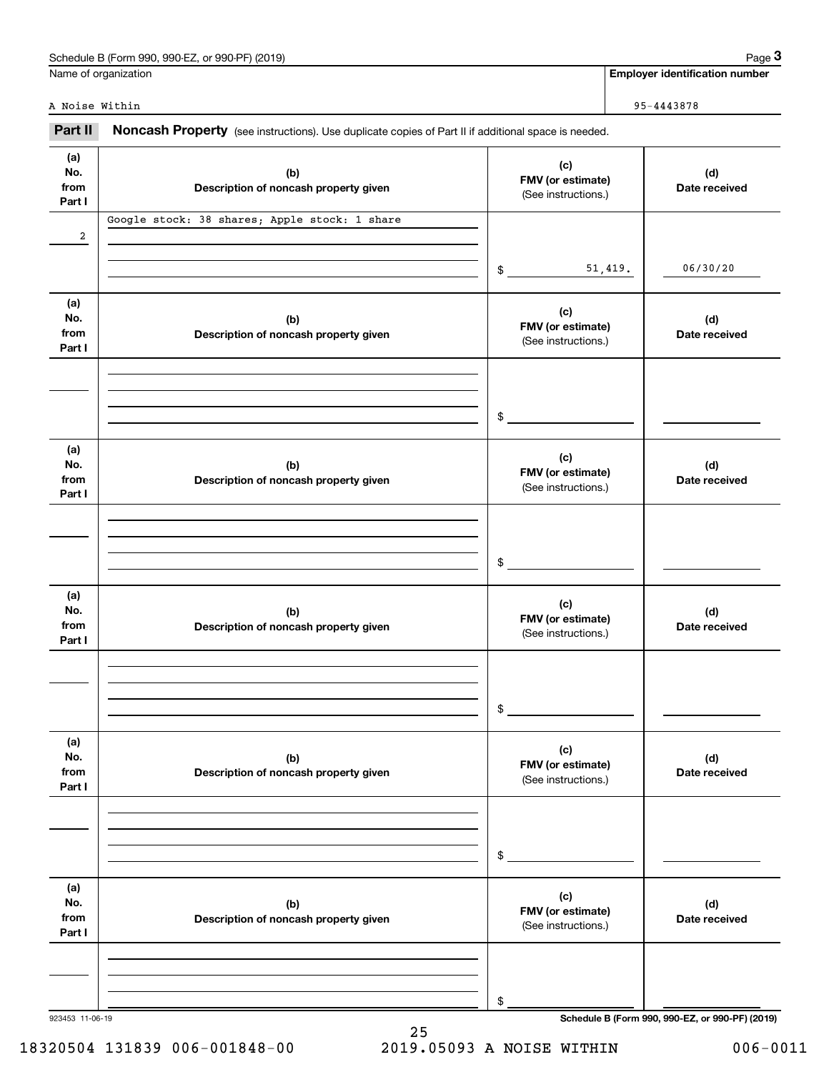| Schedule B (Form 990,<br>or 990-PF) (2019)<br>990-EZ<br>the contract of the con- | Paɑe |
|----------------------------------------------------------------------------------|------|
|                                                                                  |      |

|                              | Schedule B (Form 990, 990-EZ, or 990-PF) (2019)                                                     |                                                 |         | Page 3                                          |
|------------------------------|-----------------------------------------------------------------------------------------------------|-------------------------------------------------|---------|-------------------------------------------------|
|                              | Name of organization                                                                                |                                                 |         | <b>Employer identification number</b>           |
| A Noise Within               |                                                                                                     |                                                 |         | 95-4443878                                      |
| Part II                      | Noncash Property (see instructions). Use duplicate copies of Part II if additional space is needed. |                                                 |         |                                                 |
| (a)<br>No.<br>from<br>Part I | (b)<br>Description of noncash property given                                                        | (c)<br>FMV (or estimate)<br>(See instructions.) |         | (d)<br>Date received                            |
| $\overline{a}$               | Google stock: 38 shares; Apple stock: 1 share                                                       |                                                 |         |                                                 |
|                              |                                                                                                     | \$                                              | 51,419. | 06/30/20                                        |
| (a)<br>No.<br>from<br>Part I | (b)<br>Description of noncash property given                                                        | (c)<br>FMV (or estimate)<br>(See instructions.) |         | (d)<br>Date received                            |
|                              |                                                                                                     | \$                                              |         |                                                 |
| (a)<br>No.<br>from<br>Part I | (b)<br>Description of noncash property given                                                        | (c)<br>FMV (or estimate)<br>(See instructions.) |         | (d)<br>Date received                            |
|                              |                                                                                                     | \$                                              |         |                                                 |
| (a)<br>No.<br>from<br>Part I | (b)<br>Description of noncash property given                                                        | (c)<br>FMV (or estimate)<br>(See instructions.) |         | (d)<br>Date received                            |
|                              |                                                                                                     | \$                                              |         |                                                 |
| (a)<br>No.<br>from<br>Part I | (b)<br>Description of noncash property given                                                        | (c)<br>FMV (or estimate)<br>(See instructions.) |         | (d)<br>Date received                            |
|                              |                                                                                                     | \$                                              |         |                                                 |
| (a)<br>No.<br>from<br>Part I | (b)<br>Description of noncash property given                                                        | (c)<br>FMV (or estimate)<br>(See instructions.) |         | (d)<br>Date received                            |
|                              |                                                                                                     | \$                                              |         |                                                 |
| 923453 11-06-19              |                                                                                                     |                                                 |         | Schedule B (Form 990, 990-EZ, or 990-PF) (2019) |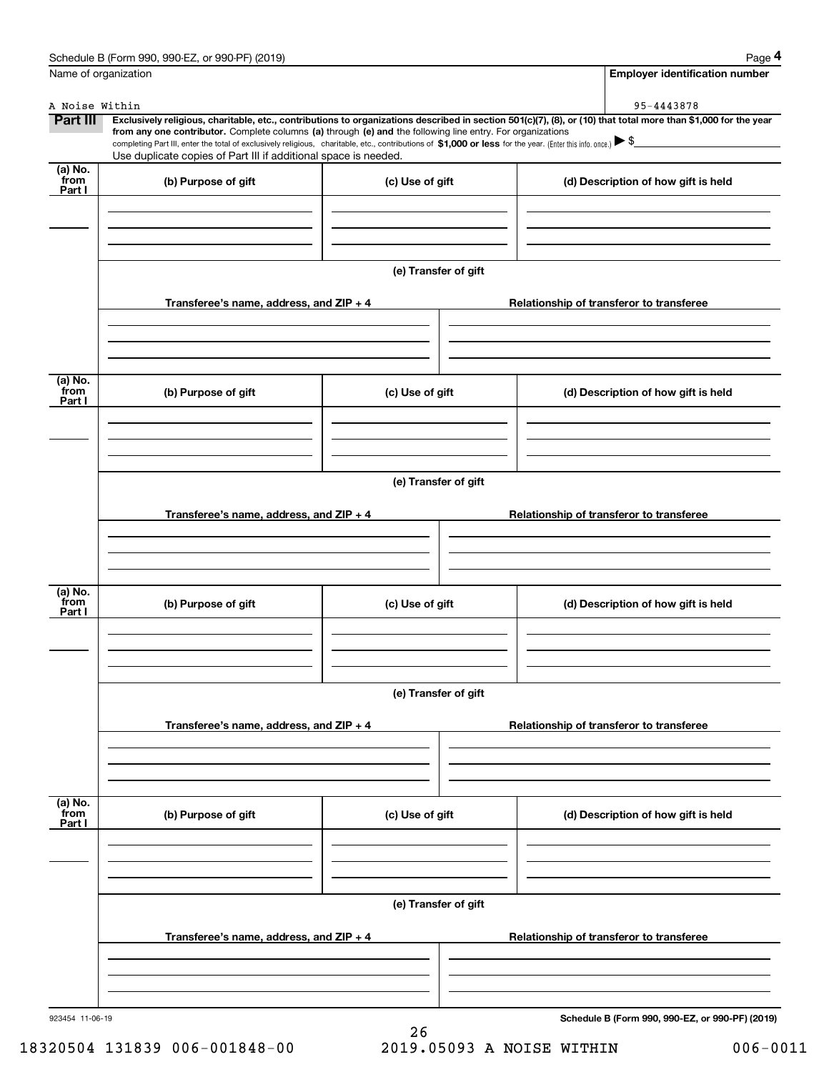|                           | Schedule B (Form 990, 990-EZ, or 990-PF) (2019)                                                                                                                                                                                                                                                 |                      |  | Page 4                                          |
|---------------------------|-------------------------------------------------------------------------------------------------------------------------------------------------------------------------------------------------------------------------------------------------------------------------------------------------|----------------------|--|-------------------------------------------------|
| Name of organization      |                                                                                                                                                                                                                                                                                                 |                      |  | <b>Employer identification number</b>           |
| A Noise Within            |                                                                                                                                                                                                                                                                                                 |                      |  | 95-4443878                                      |
| <b>Part III</b>           | Exclusively religious, charitable, etc., contributions to organizations described in section 501(c)(7), (8), or (10) that total more than \$1,000 for the year                                                                                                                                  |                      |  |                                                 |
|                           | from any one contributor. Complete columns (a) through (e) and the following line entry. For organizations<br>completing Part III, enter the total of exclusively religious, charitable, etc., contributions of \$1,000 or less for the year. (Enter this info. once.) $\blacktriangleright$ \$ |                      |  |                                                 |
|                           | Use duplicate copies of Part III if additional space is needed.                                                                                                                                                                                                                                 |                      |  |                                                 |
| (a) No.<br>from<br>Part I | (b) Purpose of gift                                                                                                                                                                                                                                                                             | (c) Use of gift      |  | (d) Description of how gift is held             |
|                           |                                                                                                                                                                                                                                                                                                 |                      |  |                                                 |
|                           |                                                                                                                                                                                                                                                                                                 | (e) Transfer of gift |  |                                                 |
|                           | Transferee's name, address, and ZIP + 4                                                                                                                                                                                                                                                         |                      |  | Relationship of transferor to transferee        |
|                           |                                                                                                                                                                                                                                                                                                 |                      |  |                                                 |
| (a) No.<br>from<br>Part I | (b) Purpose of gift                                                                                                                                                                                                                                                                             | (c) Use of gift      |  | (d) Description of how gift is held             |
|                           |                                                                                                                                                                                                                                                                                                 |                      |  |                                                 |
|                           | (e) Transfer of gift                                                                                                                                                                                                                                                                            |                      |  |                                                 |
|                           | Transferee's name, address, and ZIP + 4                                                                                                                                                                                                                                                         |                      |  | Relationship of transferor to transferee        |
|                           |                                                                                                                                                                                                                                                                                                 |                      |  |                                                 |
|                           |                                                                                                                                                                                                                                                                                                 |                      |  |                                                 |
| (a) No.<br>from<br>Part I | (b) Purpose of gift                                                                                                                                                                                                                                                                             | (c) Use of gift      |  | (d) Description of how gift is held             |
|                           |                                                                                                                                                                                                                                                                                                 |                      |  |                                                 |
|                           |                                                                                                                                                                                                                                                                                                 | (e) Transfer of gift |  |                                                 |
|                           |                                                                                                                                                                                                                                                                                                 |                      |  |                                                 |
|                           | Transferee's name, address, and $ZIP + 4$                                                                                                                                                                                                                                                       |                      |  | Relationship of transferor to transferee        |
|                           |                                                                                                                                                                                                                                                                                                 |                      |  |                                                 |
| (a) No.<br>from<br>Part I | (b) Purpose of gift                                                                                                                                                                                                                                                                             | (c) Use of gift      |  | (d) Description of how gift is held             |
|                           |                                                                                                                                                                                                                                                                                                 |                      |  |                                                 |
|                           |                                                                                                                                                                                                                                                                                                 |                      |  |                                                 |
|                           |                                                                                                                                                                                                                                                                                                 | (e) Transfer of gift |  |                                                 |
|                           | Transferee's name, address, and $ZIP + 4$                                                                                                                                                                                                                                                       |                      |  | Relationship of transferor to transferee        |
|                           |                                                                                                                                                                                                                                                                                                 |                      |  |                                                 |
|                           |                                                                                                                                                                                                                                                                                                 |                      |  |                                                 |
| 923454 11-06-19           |                                                                                                                                                                                                                                                                                                 |                      |  | Schedule B (Form 990, 990-EZ, or 990-PF) (2019) |

18320504 131839 006-001848-00 2019.05093 A NOISE WITHIN 006-0011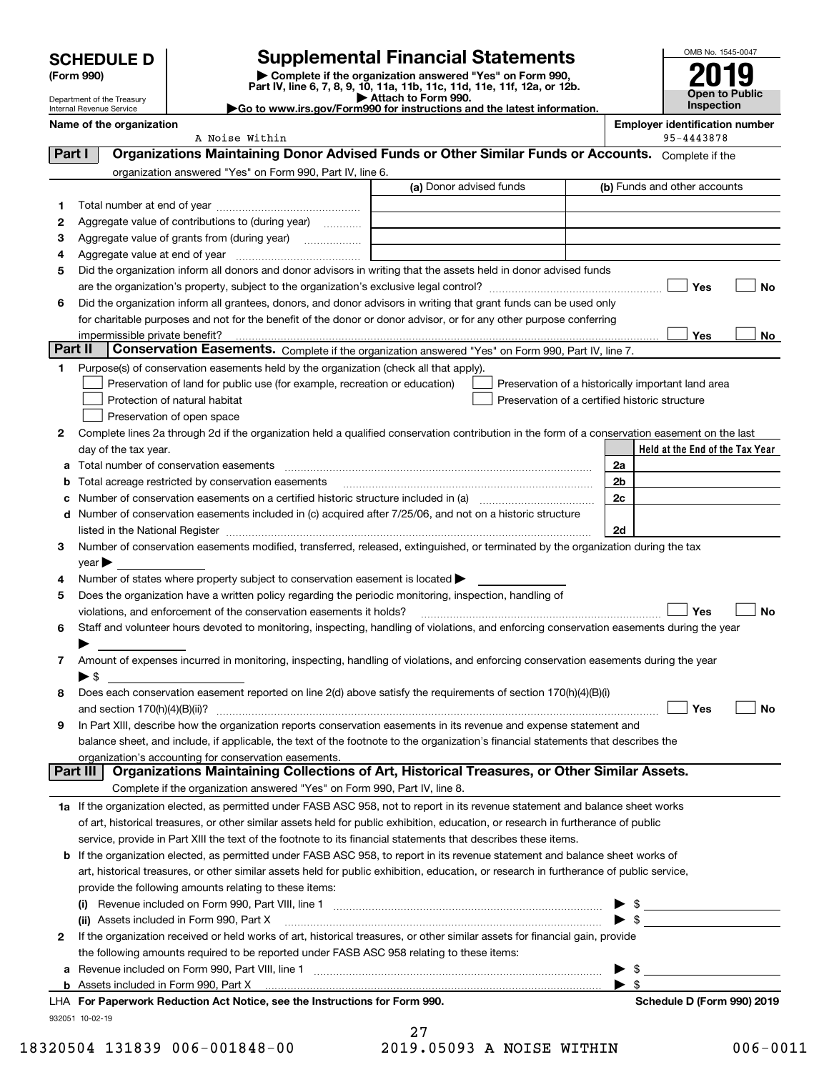| <b>SCHEDULE D</b> |
|-------------------|
|                   |

Department of the Treasury Internal Revenue Service

# **SCHEDULE D Supplemental Financial Statements**

(Form 990)<br>
Pepartment of the Treasury<br>
Department of the Treasury<br>
Department of the Treasury<br>
Department of the Treasury<br> **Co to www.irs.gov/Form990 for instructions and the latest information.**<br> **Co to www.irs.gov/Form9** 



A Noise Within

**Name of the organization**<br>**A** Noise Within **A** Noise Within **Bellinger and the Constantine of the Security of the Security of the Security of the Security of the Security of the Security of the Security of the Security of** 

|          | organization answered "Yes" on Form 990, Part IV, line 6.                                                                                                                                                                     |                         |                                                    |
|----------|-------------------------------------------------------------------------------------------------------------------------------------------------------------------------------------------------------------------------------|-------------------------|----------------------------------------------------|
|          |                                                                                                                                                                                                                               | (a) Donor advised funds | (b) Funds and other accounts                       |
| 1.       |                                                                                                                                                                                                                               |                         |                                                    |
| 2        | Aggregate value of contributions to (during year)                                                                                                                                                                             |                         |                                                    |
| з        | Aggregate value of grants from (during year) <i>mimimimim</i>                                                                                                                                                                 |                         |                                                    |
| 4        |                                                                                                                                                                                                                               |                         |                                                    |
| 5        | Did the organization inform all donors and donor advisors in writing that the assets held in donor advised funds                                                                                                              |                         |                                                    |
|          |                                                                                                                                                                                                                               |                         | Yes<br>No                                          |
| 6        | Did the organization inform all grantees, donors, and donor advisors in writing that grant funds can be used only                                                                                                             |                         |                                                    |
|          | for charitable purposes and not for the benefit of the donor or donor advisor, or for any other purpose conferring                                                                                                            |                         |                                                    |
|          | impermissible private benefit?                                                                                                                                                                                                |                         | Yes<br>No                                          |
| Part II  | Conservation Easements. Complete if the organization answered "Yes" on Form 990, Part IV, line 7.                                                                                                                             |                         |                                                    |
| 1.       | Purpose(s) of conservation easements held by the organization (check all that apply).                                                                                                                                         |                         |                                                    |
|          | Preservation of land for public use (for example, recreation or education)                                                                                                                                                    |                         | Preservation of a historically important land area |
|          | Protection of natural habitat                                                                                                                                                                                                 |                         | Preservation of a certified historic structure     |
|          | Preservation of open space                                                                                                                                                                                                    |                         |                                                    |
| 2        | Complete lines 2a through 2d if the organization held a qualified conservation contribution in the form of a conservation easement on the last                                                                                |                         |                                                    |
|          | day of the tax year.                                                                                                                                                                                                          |                         | Held at the End of the Tax Year                    |
|          | a Total number of conservation easements                                                                                                                                                                                      |                         | 2a                                                 |
| b        | Total acreage restricted by conservation easements                                                                                                                                                                            |                         | 2 <sub>b</sub>                                     |
| с        |                                                                                                                                                                                                                               |                         | 2c                                                 |
|          | d Number of conservation easements included in (c) acquired after 7/25/06, and not on a historic structure                                                                                                                    |                         |                                                    |
|          | listed in the National Register [11, 1200] [12] The National Register [11, 1200] [12] The National Register [11, 1200] [12] The National Register [11, 1200] [12] The National Register [11, 1200] [12] The National Register |                         | 2d                                                 |
| 3        | Number of conservation easements modified, transferred, released, extinguished, or terminated by the organization during the tax                                                                                              |                         |                                                    |
|          | $year \blacktriangleright$                                                                                                                                                                                                    |                         |                                                    |
| 4        | Number of states where property subject to conservation easement is located >                                                                                                                                                 |                         |                                                    |
| 5        | Does the organization have a written policy regarding the periodic monitoring, inspection, handling of                                                                                                                        |                         |                                                    |
|          | violations, and enforcement of the conservation easements it holds?                                                                                                                                                           |                         | <b>No</b><br>Yes                                   |
| 6        | Staff and volunteer hours devoted to monitoring, inspecting, handling of violations, and enforcing conservation easements during the year                                                                                     |                         |                                                    |
|          |                                                                                                                                                                                                                               |                         |                                                    |
| 7        | Amount of expenses incurred in monitoring, inspecting, handling of violations, and enforcing conservation easements during the year                                                                                           |                         |                                                    |
|          | $\blacktriangleright$ \$                                                                                                                                                                                                      |                         |                                                    |
| 8        | Does each conservation easement reported on line 2(d) above satisfy the requirements of section 170(h)(4)(B)(i)                                                                                                               |                         |                                                    |
|          |                                                                                                                                                                                                                               |                         | Yes<br>No                                          |
| 9        | In Part XIII, describe how the organization reports conservation easements in its revenue and expense statement and                                                                                                           |                         |                                                    |
|          | balance sheet, and include, if applicable, the text of the footnote to the organization's financial statements that describes the                                                                                             |                         |                                                    |
| Part III | organization's accounting for conservation easements.<br>Organizations Maintaining Collections of Art, Historical Treasures, or Other Similar Assets.                                                                         |                         |                                                    |
|          | Complete if the organization answered "Yes" on Form 990, Part IV, line 8.                                                                                                                                                     |                         |                                                    |
|          | 1a If the organization elected, as permitted under FASB ASC 958, not to report in its revenue statement and balance sheet works                                                                                               |                         |                                                    |
|          | of art, historical treasures, or other similar assets held for public exhibition, education, or research in furtherance of public                                                                                             |                         |                                                    |
|          | service, provide in Part XIII the text of the footnote to its financial statements that describes these items.                                                                                                                |                         |                                                    |
|          | <b>b</b> If the organization elected, as permitted under FASB ASC 958, to report in its revenue statement and balance sheet works of                                                                                          |                         |                                                    |
|          | art, historical treasures, or other similar assets held for public exhibition, education, or research in furtherance of public service,                                                                                       |                         |                                                    |
|          | provide the following amounts relating to these items:                                                                                                                                                                        |                         |                                                    |
|          | $\mathbf{u}$                                                                                                                                                                                                                  |                         | \$                                                 |
|          |                                                                                                                                                                                                                               |                         | $\blacktriangleright$ s                            |
| 2        | If the organization received or held works of art, historical treasures, or other similar assets for financial gain, provide                                                                                                  |                         |                                                    |
|          | the following amounts required to be reported under FASB ASC 958 relating to these items:                                                                                                                                     |                         |                                                    |
|          |                                                                                                                                                                                                                               |                         |                                                    |
| a        |                                                                                                                                                                                                                               |                         | - \$<br>\$                                         |
|          | LHA For Paperwork Reduction Act Notice, see the Instructions for Form 990.                                                                                                                                                    |                         | Schedule D (Form 990) 2019                         |
|          | 932051 10-02-19                                                                                                                                                                                                               |                         |                                                    |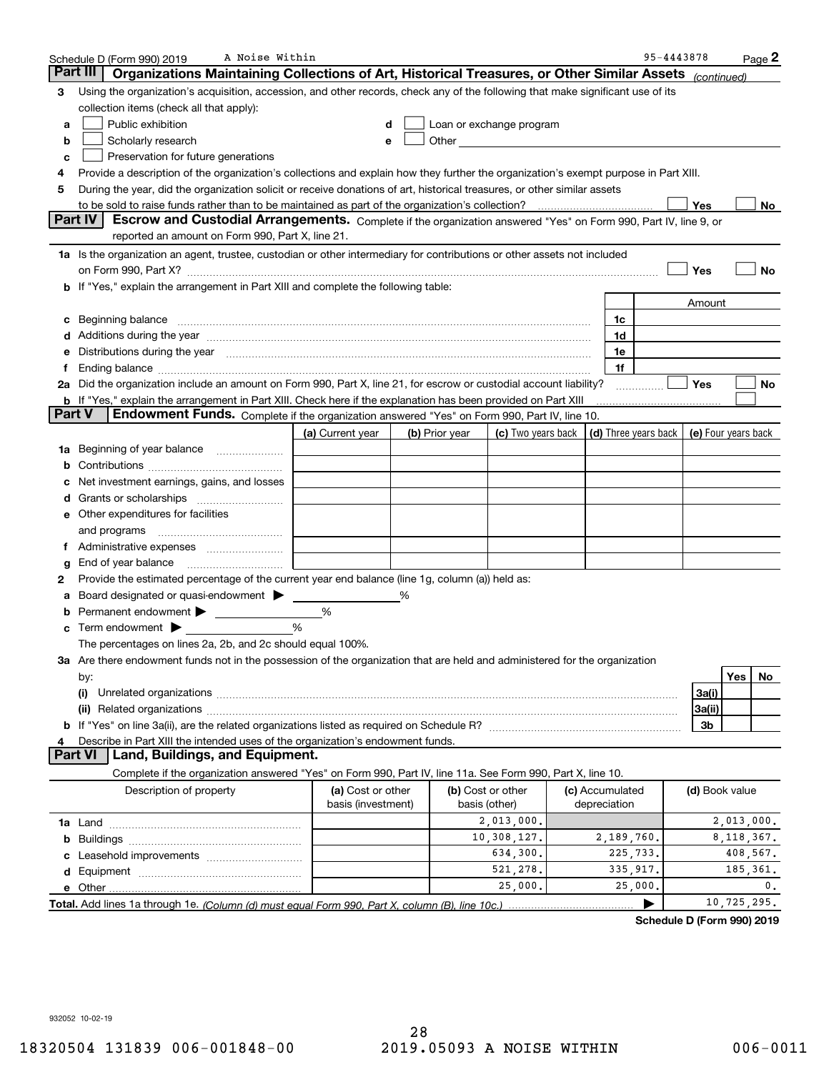| Part III<br>Organizations Maintaining Collections of Art, Historical Treasures, or Other Similar Assets (continued)                                                                                                                  |                     |  |  |  |  |  |  |  |  |
|--------------------------------------------------------------------------------------------------------------------------------------------------------------------------------------------------------------------------------------|---------------------|--|--|--|--|--|--|--|--|
|                                                                                                                                                                                                                                      |                     |  |  |  |  |  |  |  |  |
| Using the organization's acquisition, accession, and other records, check any of the following that make significant use of its<br>З                                                                                                 |                     |  |  |  |  |  |  |  |  |
| collection items (check all that apply):                                                                                                                                                                                             |                     |  |  |  |  |  |  |  |  |
| Public exhibition<br>Loan or exchange program<br>а                                                                                                                                                                                   |                     |  |  |  |  |  |  |  |  |
| Other and the contract of the contract of the contract of the contract of the contract of the contract of the<br>Scholarly research<br>b                                                                                             |                     |  |  |  |  |  |  |  |  |
| Preservation for future generations<br>c                                                                                                                                                                                             |                     |  |  |  |  |  |  |  |  |
| Provide a description of the organization's collections and explain how they further the organization's exempt purpose in Part XIII.<br>4                                                                                            |                     |  |  |  |  |  |  |  |  |
| During the year, did the organization solicit or receive donations of art, historical treasures, or other similar assets<br>5                                                                                                        |                     |  |  |  |  |  |  |  |  |
| to be sold to raise funds rather than to be maintained as part of the organization's collection?                                                                                                                                     | Yes<br>No           |  |  |  |  |  |  |  |  |
| <b>Part IV</b><br>Escrow and Custodial Arrangements. Complete if the organization answered "Yes" on Form 990, Part IV, line 9, or                                                                                                    |                     |  |  |  |  |  |  |  |  |
| reported an amount on Form 990, Part X, line 21.                                                                                                                                                                                     |                     |  |  |  |  |  |  |  |  |
| 1a Is the organization an agent, trustee, custodian or other intermediary for contributions or other assets not included                                                                                                             |                     |  |  |  |  |  |  |  |  |
| on Form 990, Part X? [11] matter contracts and contracts and contracts are contracted as a form 990, Part X?                                                                                                                         | Yes<br>No           |  |  |  |  |  |  |  |  |
| b If "Yes," explain the arrangement in Part XIII and complete the following table:                                                                                                                                                   |                     |  |  |  |  |  |  |  |  |
|                                                                                                                                                                                                                                      | Amount              |  |  |  |  |  |  |  |  |
| Beginning balance measurements and contain a series of the series of the series of the series of the series of<br>1c<br>c                                                                                                            |                     |  |  |  |  |  |  |  |  |
| 1d<br>Additions during the year manufactured and an account of the year manufactured and account of the year manufactured and account of the state of the state of the state of the state of the state of the state of the state of  |                     |  |  |  |  |  |  |  |  |
| 1e<br>Distributions during the year manufactured and content to the year manufactured and the year manufactured and the year manufactured and the year manufactured and the year manufactured and the state of the state of the stat |                     |  |  |  |  |  |  |  |  |
| 1f<br>Ť.                                                                                                                                                                                                                             |                     |  |  |  |  |  |  |  |  |
| 2a Did the organization include an amount on Form 990, Part X, line 21, for escrow or custodial account liability?                                                                                                                   | Yes<br>No           |  |  |  |  |  |  |  |  |
| <b>b</b> If "Yes," explain the arrangement in Part XIII. Check here if the explanation has been provided on Part XIII                                                                                                                |                     |  |  |  |  |  |  |  |  |
| Part V<br><b>Endowment Funds.</b> Complete if the organization answered "Yes" on Form 990, Part IV, line 10.                                                                                                                         |                     |  |  |  |  |  |  |  |  |
| (d) Three years back<br>(a) Current year<br>(c) Two years back<br>(b) Prior year                                                                                                                                                     | (e) Four years back |  |  |  |  |  |  |  |  |
| 1a Beginning of year balance                                                                                                                                                                                                         |                     |  |  |  |  |  |  |  |  |
|                                                                                                                                                                                                                                      |                     |  |  |  |  |  |  |  |  |
| Net investment earnings, gains, and losses                                                                                                                                                                                           |                     |  |  |  |  |  |  |  |  |
| Grants or scholarships                                                                                                                                                                                                               |                     |  |  |  |  |  |  |  |  |
| e Other expenditures for facilities                                                                                                                                                                                                  |                     |  |  |  |  |  |  |  |  |
| and programs                                                                                                                                                                                                                         |                     |  |  |  |  |  |  |  |  |
|                                                                                                                                                                                                                                      |                     |  |  |  |  |  |  |  |  |
| End of year balance<br>g                                                                                                                                                                                                             |                     |  |  |  |  |  |  |  |  |
| Provide the estimated percentage of the current year end balance (line 1g, column (a)) held as:<br>2                                                                                                                                 |                     |  |  |  |  |  |  |  |  |
| Board designated or quasi-endowment<br>%                                                                                                                                                                                             |                     |  |  |  |  |  |  |  |  |
| %                                                                                                                                                                                                                                    |                     |  |  |  |  |  |  |  |  |
| %<br>Term endowment $\blacktriangleright$                                                                                                                                                                                            |                     |  |  |  |  |  |  |  |  |
| The percentages on lines 2a, 2b, and 2c should equal 100%.                                                                                                                                                                           |                     |  |  |  |  |  |  |  |  |
| 3a Are there endowment funds not in the possession of the organization that are held and administered for the organization                                                                                                           |                     |  |  |  |  |  |  |  |  |
| by:                                                                                                                                                                                                                                  | Yes<br>No.          |  |  |  |  |  |  |  |  |
| (i)                                                                                                                                                                                                                                  | 3a(i)               |  |  |  |  |  |  |  |  |
|                                                                                                                                                                                                                                      | 3a(ii)<br>3b        |  |  |  |  |  |  |  |  |
| Describe in Part XIII the intended uses of the organization's endowment funds.<br>4                                                                                                                                                  |                     |  |  |  |  |  |  |  |  |
| Land, Buildings, and Equipment.<br><b>Part VI</b>                                                                                                                                                                                    |                     |  |  |  |  |  |  |  |  |
| Complete if the organization answered "Yes" on Form 990, Part IV, line 11a. See Form 990, Part X, line 10.                                                                                                                           |                     |  |  |  |  |  |  |  |  |
| Description of property<br>(a) Cost or other<br>(b) Cost or other<br>(c) Accumulated                                                                                                                                                 | (d) Book value      |  |  |  |  |  |  |  |  |
| basis (investment)<br>basis (other)<br>depreciation                                                                                                                                                                                  |                     |  |  |  |  |  |  |  |  |
| 2,013,000.                                                                                                                                                                                                                           | 2,013,000.          |  |  |  |  |  |  |  |  |
| 10,308,127.<br>2,189,760.<br>b                                                                                                                                                                                                       | 8, 118, 367.        |  |  |  |  |  |  |  |  |
| 634,300.<br>225,733.                                                                                                                                                                                                                 | 408,567.            |  |  |  |  |  |  |  |  |
| 521,278.<br>335, 917.<br>d                                                                                                                                                                                                           | 185,361.            |  |  |  |  |  |  |  |  |
| 25,000.<br>25,000.                                                                                                                                                                                                                   | 0.                  |  |  |  |  |  |  |  |  |
|                                                                                                                                                                                                                                      | 10,725,295.         |  |  |  |  |  |  |  |  |

**Schedule D (Form 990) 2019**

932052 10-02-19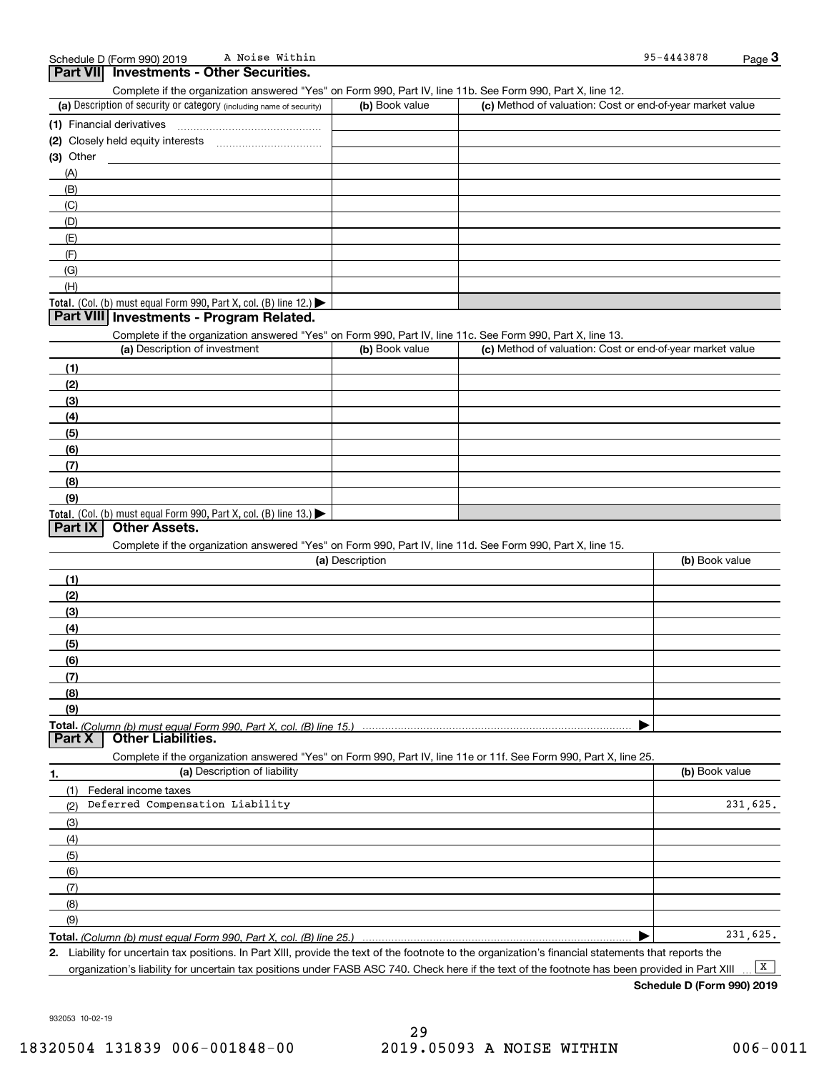| A Noise Within<br>Schedule D (Form 990) 2019                                                                                                |                 |                                                           | 95-4443878     | Page 3   |
|---------------------------------------------------------------------------------------------------------------------------------------------|-----------------|-----------------------------------------------------------|----------------|----------|
| <b>Part VII</b> Investments - Other Securities.                                                                                             |                 |                                                           |                |          |
| Complete if the organization answered "Yes" on Form 990, Part IV, line 11b. See Form 990, Part X, line 12.                                  |                 |                                                           |                |          |
| (a) Description of security or category (including name of security)                                                                        | (b) Book value  | (c) Method of valuation: Cost or end-of-year market value |                |          |
|                                                                                                                                             |                 |                                                           |                |          |
|                                                                                                                                             |                 |                                                           |                |          |
| (3) Other                                                                                                                                   |                 |                                                           |                |          |
| (A)                                                                                                                                         |                 |                                                           |                |          |
| (B)                                                                                                                                         |                 |                                                           |                |          |
| (C)                                                                                                                                         |                 |                                                           |                |          |
| (D)                                                                                                                                         |                 |                                                           |                |          |
| (E)                                                                                                                                         |                 |                                                           |                |          |
| (F)                                                                                                                                         |                 |                                                           |                |          |
| (G)                                                                                                                                         |                 |                                                           |                |          |
| (H)                                                                                                                                         |                 |                                                           |                |          |
| Total. (Col. (b) must equal Form 990, Part X, col. (B) line $12$ .)                                                                         |                 |                                                           |                |          |
| Part VIII Investments - Program Related.                                                                                                    |                 |                                                           |                |          |
|                                                                                                                                             |                 |                                                           |                |          |
| Complete if the organization answered "Yes" on Form 990, Part IV, line 11c. See Form 990, Part X, line 13.<br>(a) Description of investment | (b) Book value  | (c) Method of valuation: Cost or end-of-year market value |                |          |
|                                                                                                                                             |                 |                                                           |                |          |
| (1)                                                                                                                                         |                 |                                                           |                |          |
| (2)                                                                                                                                         |                 |                                                           |                |          |
| (3)                                                                                                                                         |                 |                                                           |                |          |
| (4)                                                                                                                                         |                 |                                                           |                |          |
| (5)                                                                                                                                         |                 |                                                           |                |          |
| (6)                                                                                                                                         |                 |                                                           |                |          |
| (7)                                                                                                                                         |                 |                                                           |                |          |
| (8)                                                                                                                                         |                 |                                                           |                |          |
| (9)                                                                                                                                         |                 |                                                           |                |          |
| Total. (Col. (b) must equal Form $990$ , Part X, col. (B) line 13.)                                                                         |                 |                                                           |                |          |
| <b>Part IX</b><br><b>Other Assets.</b>                                                                                                      |                 |                                                           |                |          |
| Complete if the organization answered "Yes" on Form 990, Part IV, line 11d. See Form 990, Part X, line 15.                                  |                 |                                                           |                |          |
|                                                                                                                                             | (a) Description |                                                           | (b) Book value |          |
| (1)                                                                                                                                         |                 |                                                           |                |          |
| (2)                                                                                                                                         |                 |                                                           |                |          |
| (3)                                                                                                                                         |                 |                                                           |                |          |
| (4)                                                                                                                                         |                 |                                                           |                |          |
| (5)                                                                                                                                         |                 |                                                           |                |          |
| (6)                                                                                                                                         |                 |                                                           |                |          |
| (7)                                                                                                                                         |                 |                                                           |                |          |
| (8)                                                                                                                                         |                 |                                                           |                |          |
| (9)                                                                                                                                         |                 |                                                           |                |          |
| Total. (Column (b) must equal Form 990. Part X. col. (B) line 15.)                                                                          |                 |                                                           |                |          |
| <b>Part X</b><br><b>Other Liabilities.</b>                                                                                                  |                 |                                                           |                |          |
| Complete if the organization answered "Yes" on Form 990, Part IV, line 11e or 11f. See Form 990, Part X, line 25.                           |                 |                                                           |                |          |
| (a) Description of liability<br>1.                                                                                                          |                 |                                                           | (b) Book value |          |
| (1)<br>Federal income taxes                                                                                                                 |                 |                                                           |                |          |
| Deferred Compensation Liability<br>(2)                                                                                                      |                 |                                                           |                | 231,625. |
|                                                                                                                                             |                 |                                                           |                |          |
| (3)                                                                                                                                         |                 |                                                           |                |          |
| (4)                                                                                                                                         |                 |                                                           |                |          |
| (5)                                                                                                                                         |                 |                                                           |                |          |
| (6)                                                                                                                                         |                 |                                                           |                |          |
| (7)                                                                                                                                         |                 |                                                           |                |          |
| (8)                                                                                                                                         |                 |                                                           |                |          |
| (9)                                                                                                                                         |                 |                                                           |                |          |
| Total. (Column (b) must equal Form 990, Part X, col. (B) line 25.)                                                                          |                 |                                                           |                | 231,625. |

**2.** Liability for uncertain tax positions. In Part XIII, provide the text of the footnote to the organization's financial statements that reports the organization's liability for uncertain tax positions under FASB ASC 740. Check here if the text of the footnote has been provided in Part XIII  $\boxed{\mathbf{X}}$ 

**Schedule D (Form 990) 2019**

932053 10-02-19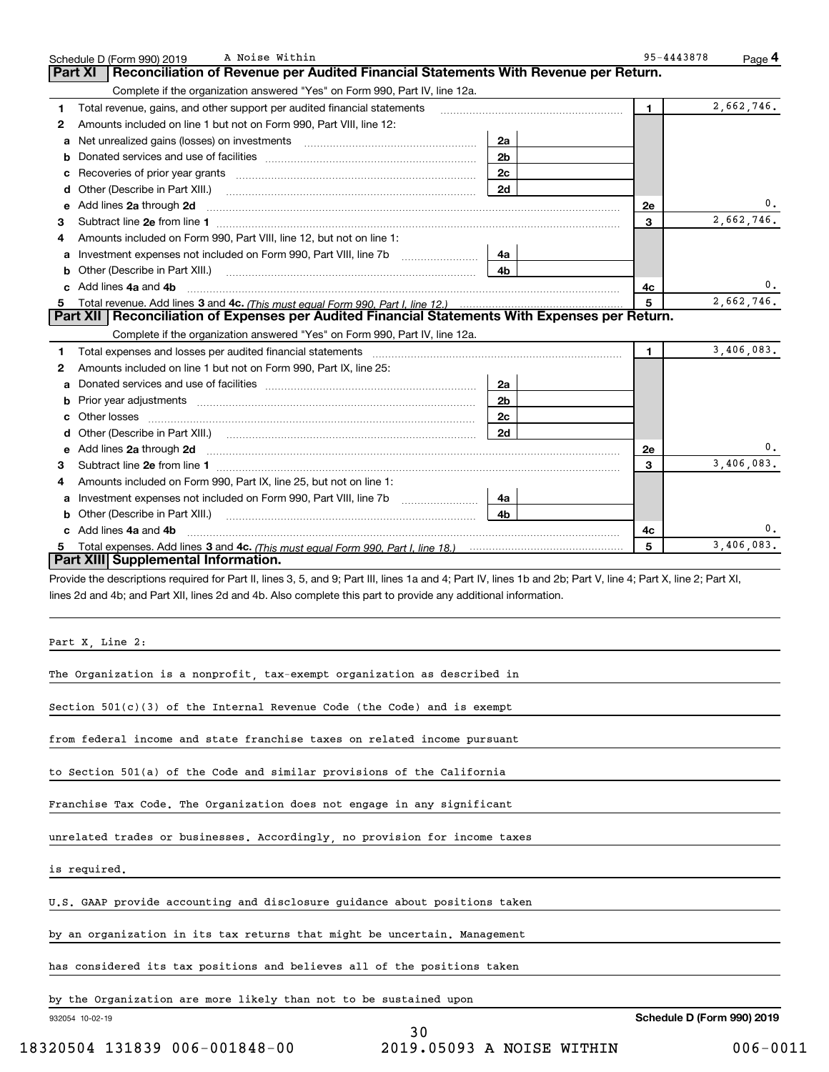|        | A Noise Within<br>Schedule D (Form 990) 2019                                                                                                                                                                                                                                     |                | 95-4443878                 | Page 4     |
|--------|----------------------------------------------------------------------------------------------------------------------------------------------------------------------------------------------------------------------------------------------------------------------------------|----------------|----------------------------|------------|
|        | Reconciliation of Revenue per Audited Financial Statements With Revenue per Return.<br><b>Part XI</b>                                                                                                                                                                            |                |                            |            |
|        | Complete if the organization answered "Yes" on Form 990, Part IV, line 12a.                                                                                                                                                                                                      |                |                            | 2,662,746. |
| 1<br>2 | Total revenue, gains, and other support per audited financial statements<br>Amounts included on line 1 but not on Form 990, Part VIII, line 12:                                                                                                                                  |                | 1.                         |            |
| a      | Net unrealized gains (losses) on investments [11] matter contracts and the unrealized gains (losses) on investments                                                                                                                                                              | 2a             |                            |            |
| b      |                                                                                                                                                                                                                                                                                  | 2 <sub>b</sub> |                            |            |
| с      |                                                                                                                                                                                                                                                                                  | 2c             |                            |            |
|        |                                                                                                                                                                                                                                                                                  | 2d             |                            |            |
| е      | Add lines 2a through 2d                                                                                                                                                                                                                                                          |                | <b>2e</b>                  | 0.         |
| З      |                                                                                                                                                                                                                                                                                  |                | 3                          | 2,662,746. |
| 4      | Amounts included on Form 990, Part VIII, line 12, but not on line 1:                                                                                                                                                                                                             |                |                            |            |
| a      |                                                                                                                                                                                                                                                                                  | 4a             |                            |            |
|        |                                                                                                                                                                                                                                                                                  | 4b             |                            |            |
|        | c Add lines 4a and 4b                                                                                                                                                                                                                                                            |                | 4c                         |            |
|        |                                                                                                                                                                                                                                                                                  |                |                            | 2,662,746. |
|        | 5 Total revenue. Add lines 3 and 4c. (This must equal Form 990, Part I, line 12.)<br><b>Part XII</b>   Reconciliation of Expenses per Audited Financial Statements With Expenses per Return.                                                                                     |                |                            |            |
|        | Complete if the organization answered "Yes" on Form 990, Part IV, line 12a.                                                                                                                                                                                                      |                |                            |            |
| 1      | Total expenses and losses per audited financial statements [11] [11] Total expenses and losses per audited financial statements [11] [11] Total expenses and losses per audited financial statements                                                                             |                | 1.                         | 3,406,083. |
| 2      | Amounts included on line 1 but not on Form 990, Part IX, line 25:                                                                                                                                                                                                                |                |                            |            |
| a      |                                                                                                                                                                                                                                                                                  | 2a             |                            |            |
| b      |                                                                                                                                                                                                                                                                                  | 2 <sub>b</sub> |                            |            |
| c      |                                                                                                                                                                                                                                                                                  | 2c             |                            |            |
| d      |                                                                                                                                                                                                                                                                                  | 2d             |                            |            |
|        |                                                                                                                                                                                                                                                                                  |                | <b>2e</b>                  | 0.         |
| З      |                                                                                                                                                                                                                                                                                  |                | 3                          | 3,406,083. |
| 4      | Amounts included on Form 990, Part IX, line 25, but not on line 1:                                                                                                                                                                                                               |                |                            |            |
|        | a Investment expenses not included on Form 990, Part VIII, line 7b [11, 111, 111, 111]                                                                                                                                                                                           | 4a             |                            |            |
|        |                                                                                                                                                                                                                                                                                  | 4b             |                            |            |
|        | c Add lines 4a and 4b                                                                                                                                                                                                                                                            |                | 4c                         | 0.         |
| 5.     | Part XIII Supplemental Information.                                                                                                                                                                                                                                              |                | 5                          | 3,406,083. |
|        | Provide the descriptions required for Part II, lines 3, 5, and 9; Part III, lines 1a and 4; Part IV, lines 1b and 2b; Part V, line 4; Part X, line 2; Part XI,<br>lines 2d and 4b; and Part XII, lines 2d and 4b. Also complete this part to provide any additional information. |                |                            |            |
|        | Part X, Line 2:                                                                                                                                                                                                                                                                  |                |                            |            |
|        | The Organization is a nonprofit, tax-exempt organization as described in                                                                                                                                                                                                         |                |                            |            |
|        | Section 501(c)(3) of the Internal Revenue Code (the Code) and is exempt                                                                                                                                                                                                          |                |                            |            |
|        | from federal income and state franchise taxes on related income pursuant                                                                                                                                                                                                         |                |                            |            |
|        | to Section 501(a) of the Code and similar provisions of the California                                                                                                                                                                                                           |                |                            |            |
|        | Franchise Tax Code. The Organization does not engage in any significant                                                                                                                                                                                                          |                |                            |            |
|        | unrelated trades or businesses. Accordingly, no provision for income taxes                                                                                                                                                                                                       |                |                            |            |
|        | is required.                                                                                                                                                                                                                                                                     |                |                            |            |
|        | U.S. GAAP provide accounting and disclosure guidance about positions taken                                                                                                                                                                                                       |                |                            |            |
|        | by an organization in its tax returns that might be uncertain. Management                                                                                                                                                                                                        |                |                            |            |
|        | has considered its tax positions and believes all of the positions taken                                                                                                                                                                                                         |                |                            |            |
|        | by the Organization are more likely than not to be sustained upon                                                                                                                                                                                                                |                |                            |            |
|        | 932054 10-02-19                                                                                                                                                                                                                                                                  |                | Schedule D (Form 990) 2019 |            |
|        | 30                                                                                                                                                                                                                                                                               |                |                            |            |

A Noise Within 95-4443878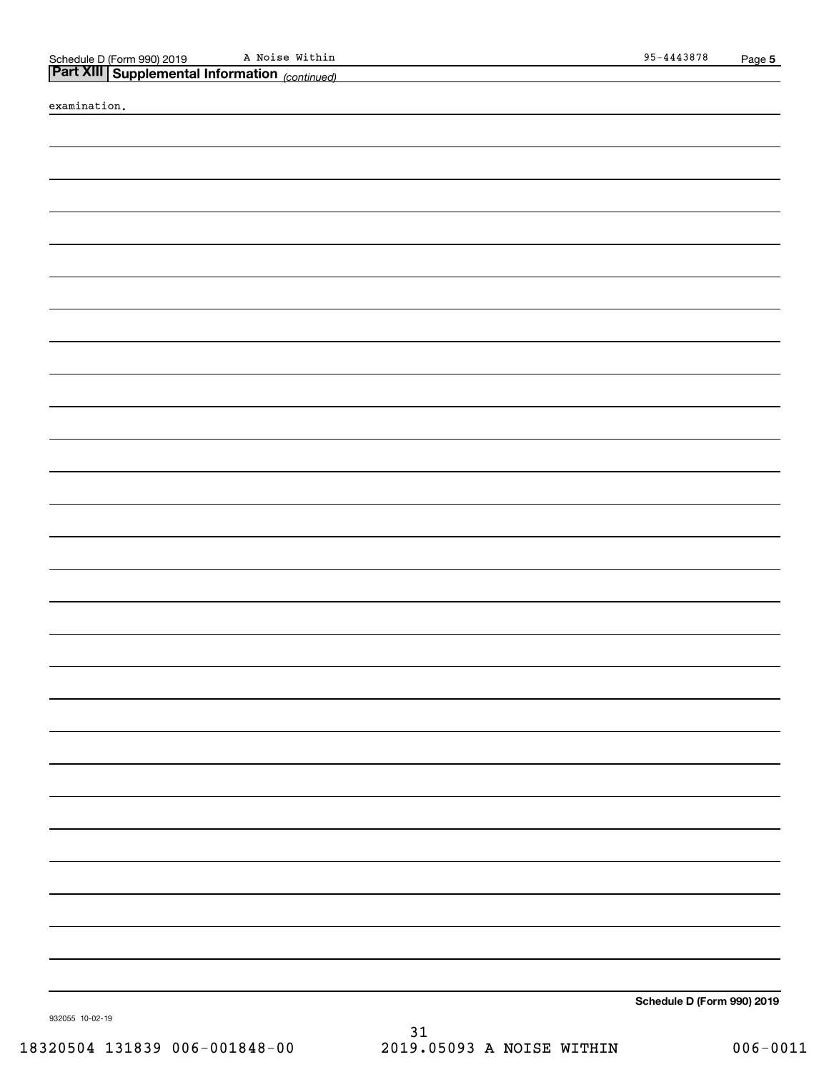A Noise Within

| Part XIII Supplemental Information (continued) |  |  |
|------------------------------------------------|--|--|
|                                                |  |  |

examination.

**Schedule D (Form 990) 2019**

932055 10-02-19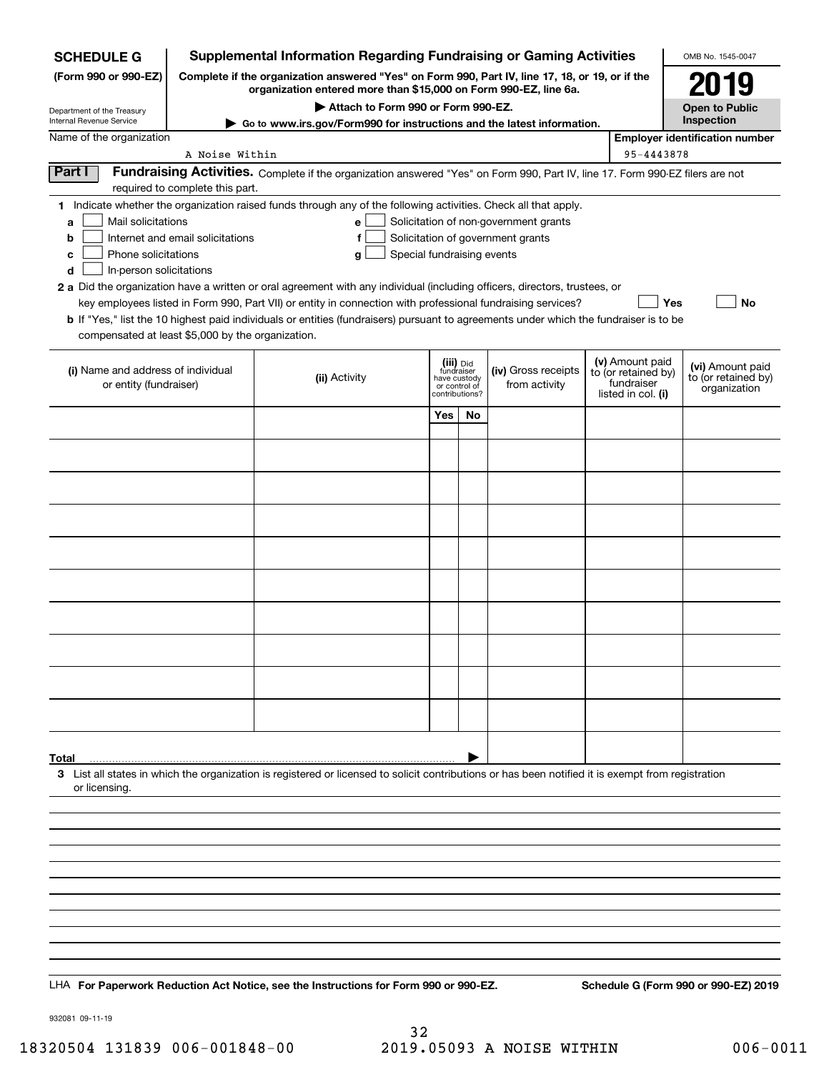| Supplemental Information Regarding Fundraising or Gaming Activities<br><b>SCHEDULE G</b>                                                                                   |                                                                                                                                                                     |                                                                                                                                                                                                                                                                                                                                                                                                                                                                                                                                                    |                                                                            |    |                                                                            |  | OMB No. 1545-0047                                                          |                                                         |
|----------------------------------------------------------------------------------------------------------------------------------------------------------------------------|---------------------------------------------------------------------------------------------------------------------------------------------------------------------|----------------------------------------------------------------------------------------------------------------------------------------------------------------------------------------------------------------------------------------------------------------------------------------------------------------------------------------------------------------------------------------------------------------------------------------------------------------------------------------------------------------------------------------------------|----------------------------------------------------------------------------|----|----------------------------------------------------------------------------|--|----------------------------------------------------------------------------|---------------------------------------------------------|
| (Form 990 or 990-EZ)                                                                                                                                                       | Complete if the organization answered "Yes" on Form 990, Part IV, line 17, 18, or 19, or if the<br>organization entered more than \$15,000 on Form 990-EZ, line 6a. |                                                                                                                                                                                                                                                                                                                                                                                                                                                                                                                                                    |                                                                            |    |                                                                            |  |                                                                            | 2019                                                    |
| Department of the Treasury                                                                                                                                                 |                                                                                                                                                                     |                                                                                                                                                                                                                                                                                                                                                                                                                                                                                                                                                    | Open to Public                                                             |    |                                                                            |  |                                                                            |                                                         |
| Internal Revenue Service                                                                                                                                                   | Go to www.irs.gov/Form990 for instructions and the latest information.                                                                                              |                                                                                                                                                                                                                                                                                                                                                                                                                                                                                                                                                    |                                                                            |    |                                                                            |  |                                                                            |                                                         |
| Name of the organization<br>A Noise Within<br>95-4443878                                                                                                                   |                                                                                                                                                                     |                                                                                                                                                                                                                                                                                                                                                                                                                                                                                                                                                    |                                                                            |    |                                                                            |  |                                                                            | <b>Employer identification number</b>                   |
| Part I<br>Fundraising Activities. Complete if the organization answered "Yes" on Form 990, Part IV, line 17. Form 990-EZ filers are not<br>required to complete this part. |                                                                                                                                                                     |                                                                                                                                                                                                                                                                                                                                                                                                                                                                                                                                                    |                                                                            |    |                                                                            |  |                                                                            |                                                         |
| Mail solicitations<br>a<br>b<br>Phone solicitations<br>с<br>In-person solicitations<br>d<br>compensated at least \$5,000 by the organization.                              | Internet and email solicitations                                                                                                                                    | 1 Indicate whether the organization raised funds through any of the following activities. Check all that apply.<br>е<br>f<br>Special fundraising events<br>g<br>2 a Did the organization have a written or oral agreement with any individual (including officers, directors, trustees, or<br>key employees listed in Form 990, Part VII) or entity in connection with professional fundraising services?<br>b If "Yes," list the 10 highest paid individuals or entities (fundraisers) pursuant to agreements under which the fundraiser is to be |                                                                            |    | Solicitation of non-government grants<br>Solicitation of government grants |  | Yes                                                                        | <b>No</b>                                               |
| (i) Name and address of individual<br>or entity (fundraiser)                                                                                                               |                                                                                                                                                                     | (ii) Activity                                                                                                                                                                                                                                                                                                                                                                                                                                                                                                                                      | (iii) Did<br>fundraiser<br>have custody<br>or control of<br>contributions? |    | (iv) Gross receipts<br>from activity                                       |  | (v) Amount paid<br>to (or retained by)<br>fundraiser<br>listed in col. (i) | (vi) Amount paid<br>to (or retained by)<br>organization |
|                                                                                                                                                                            |                                                                                                                                                                     |                                                                                                                                                                                                                                                                                                                                                                                                                                                                                                                                                    | Yes                                                                        | No |                                                                            |  |                                                                            |                                                         |
|                                                                                                                                                                            |                                                                                                                                                                     |                                                                                                                                                                                                                                                                                                                                                                                                                                                                                                                                                    |                                                                            |    |                                                                            |  |                                                                            |                                                         |
|                                                                                                                                                                            |                                                                                                                                                                     |                                                                                                                                                                                                                                                                                                                                                                                                                                                                                                                                                    |                                                                            |    |                                                                            |  |                                                                            |                                                         |
|                                                                                                                                                                            |                                                                                                                                                                     |                                                                                                                                                                                                                                                                                                                                                                                                                                                                                                                                                    |                                                                            |    |                                                                            |  |                                                                            |                                                         |
|                                                                                                                                                                            |                                                                                                                                                                     |                                                                                                                                                                                                                                                                                                                                                                                                                                                                                                                                                    |                                                                            |    |                                                                            |  |                                                                            |                                                         |
|                                                                                                                                                                            |                                                                                                                                                                     |                                                                                                                                                                                                                                                                                                                                                                                                                                                                                                                                                    |                                                                            |    |                                                                            |  |                                                                            |                                                         |
|                                                                                                                                                                            |                                                                                                                                                                     |                                                                                                                                                                                                                                                                                                                                                                                                                                                                                                                                                    |                                                                            |    |                                                                            |  |                                                                            |                                                         |
|                                                                                                                                                                            |                                                                                                                                                                     |                                                                                                                                                                                                                                                                                                                                                                                                                                                                                                                                                    |                                                                            |    |                                                                            |  |                                                                            |                                                         |
|                                                                                                                                                                            |                                                                                                                                                                     |                                                                                                                                                                                                                                                                                                                                                                                                                                                                                                                                                    |                                                                            |    |                                                                            |  |                                                                            |                                                         |
|                                                                                                                                                                            |                                                                                                                                                                     |                                                                                                                                                                                                                                                                                                                                                                                                                                                                                                                                                    |                                                                            |    |                                                                            |  |                                                                            |                                                         |
|                                                                                                                                                                            |                                                                                                                                                                     |                                                                                                                                                                                                                                                                                                                                                                                                                                                                                                                                                    |                                                                            |    |                                                                            |  |                                                                            |                                                         |
| Total<br>or licensing.                                                                                                                                                     |                                                                                                                                                                     | 3 List all states in which the organization is registered or licensed to solicit contributions or has been notified it is exempt from registration                                                                                                                                                                                                                                                                                                                                                                                                 |                                                                            |    |                                                                            |  |                                                                            |                                                         |
|                                                                                                                                                                            |                                                                                                                                                                     |                                                                                                                                                                                                                                                                                                                                                                                                                                                                                                                                                    |                                                                            |    |                                                                            |  |                                                                            |                                                         |
|                                                                                                                                                                            |                                                                                                                                                                     |                                                                                                                                                                                                                                                                                                                                                                                                                                                                                                                                                    |                                                                            |    |                                                                            |  |                                                                            |                                                         |
|                                                                                                                                                                            |                                                                                                                                                                     |                                                                                                                                                                                                                                                                                                                                                                                                                                                                                                                                                    |                                                                            |    |                                                                            |  |                                                                            |                                                         |
|                                                                                                                                                                            |                                                                                                                                                                     |                                                                                                                                                                                                                                                                                                                                                                                                                                                                                                                                                    |                                                                            |    |                                                                            |  |                                                                            |                                                         |
|                                                                                                                                                                            |                                                                                                                                                                     |                                                                                                                                                                                                                                                                                                                                                                                                                                                                                                                                                    |                                                                            |    |                                                                            |  |                                                                            |                                                         |
|                                                                                                                                                                            |                                                                                                                                                                     | LHA For Paperwork Reduction Act Notice, see the Instructions for Form 990 or 990-EZ.                                                                                                                                                                                                                                                                                                                                                                                                                                                               |                                                                            |    |                                                                            |  |                                                                            | Schedule G (Form 990 or 990-EZ) 2019                    |
|                                                                                                                                                                            |                                                                                                                                                                     |                                                                                                                                                                                                                                                                                                                                                                                                                                                                                                                                                    |                                                                            |    |                                                                            |  |                                                                            |                                                         |

932081 09-11-19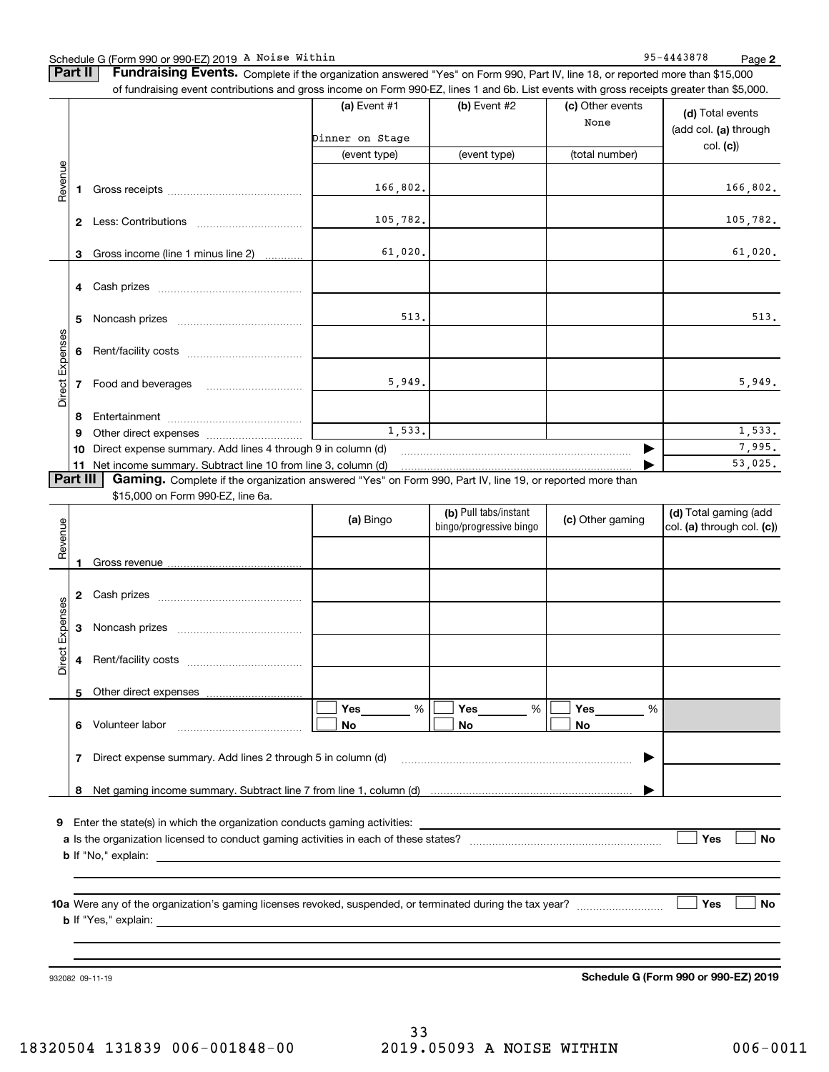#### Schedule G (Form 990 or 990-EZ) 2019 A Noise Within National Communication of the Magnetic Model of Page Page

**Part II** | Fundraising Events. Complete if the organization answered "Yes" on Form 990, Part IV, line 18, or reported more than \$15,000 of fundraising event contributions and gross income on Form 990-EZ, lines 1 and 6b. List events with gross receipts greater than \$5,000.

|                 |                 | ovent continuations and groce income on retrie occ EE; infocurance contesting occurrence groater than \$0,000. | (a) Event #1<br>Dinner on Stage | $(b)$ Event #2                                   | (c) Other events<br>None | (d) Total events<br>(add col. (a) through           |
|-----------------|-----------------|----------------------------------------------------------------------------------------------------------------|---------------------------------|--------------------------------------------------|--------------------------|-----------------------------------------------------|
|                 |                 |                                                                                                                | (event type)                    | (event type)                                     | (total number)           | col. (c)                                            |
| Revenue         | 1.              |                                                                                                                | 166,802.                        |                                                  |                          | 166,802.                                            |
|                 | $\mathbf{2}$    |                                                                                                                | 105,782.                        |                                                  |                          | 105,782.                                            |
|                 | 3               | Gross income (line 1 minus line 2)                                                                             | 61,020.                         |                                                  |                          | 61,020.                                             |
|                 |                 |                                                                                                                |                                 |                                                  |                          |                                                     |
|                 | 5.              |                                                                                                                | 513.                            |                                                  |                          | 513.                                                |
|                 | 6               |                                                                                                                |                                 |                                                  |                          |                                                     |
| Direct Expenses | $\overline{7}$  |                                                                                                                | 5,949.                          |                                                  |                          | 5,949.                                              |
|                 | 8               |                                                                                                                |                                 |                                                  |                          |                                                     |
|                 | 9               |                                                                                                                | 1,533.                          |                                                  |                          | 1,533.                                              |
|                 | 10              | Direct expense summary. Add lines 4 through 9 in column (d)                                                    |                                 |                                                  |                          | 7,995.                                              |
|                 |                 |                                                                                                                |                                 |                                                  |                          | 53,025.                                             |
|                 | <b>Part III</b> | Gaming. Complete if the organization answered "Yes" on Form 990, Part IV, line 19, or reported more than       |                                 |                                                  |                          |                                                     |
|                 |                 | \$15,000 on Form 990-EZ, line 6a.                                                                              |                                 |                                                  |                          |                                                     |
|                 |                 |                                                                                                                | (a) Bingo                       | (b) Pull tabs/instant<br>bingo/progressive bingo | (c) Other gaming         | (d) Total gaming (add<br>col. (a) through col. (c)) |
| Revenue         | 1               |                                                                                                                |                                 |                                                  |                          |                                                     |
|                 |                 |                                                                                                                |                                 |                                                  |                          |                                                     |
| enses           |                 |                                                                                                                |                                 |                                                  |                          |                                                     |

| Direct Expenses | 3 |                                                                          |           |                |   |           |   |     |           |
|-----------------|---|--------------------------------------------------------------------------|-----------|----------------|---|-----------|---|-----|-----------|
|                 | 4 |                                                                          |           |                |   |           |   |     |           |
|                 | 5 |                                                                          |           |                |   |           |   |     |           |
|                 | 6 | Volunteer labor                                                          | Yes<br>No | Yes<br>%<br>No | % | Yes<br>No | % |     |           |
|                 |   | Direct expense summary. Add lines 2 through 5 in column (d)              |           |                |   |           |   |     |           |
|                 | 8 |                                                                          |           |                |   |           |   |     |           |
| 9               |   | Enter the state(s) in which the organization conducts gaming activities: |           |                |   |           |   |     |           |
|                 |   | <b>b</b> If "No," explain:                                               |           |                |   |           |   | Yes | <b>No</b> |
|                 |   |                                                                          |           |                |   |           |   |     |           |
|                 |   |                                                                          |           |                |   |           |   |     |           |

**10aYes No** Were any of the organization's gaming licenses revoked, suspended, or terminated during the tax year? ~~~~~~~~~ **b** If "Yes," explain:

932082 09-11-19

**Schedule G (Form 990 or 990-EZ) 2019**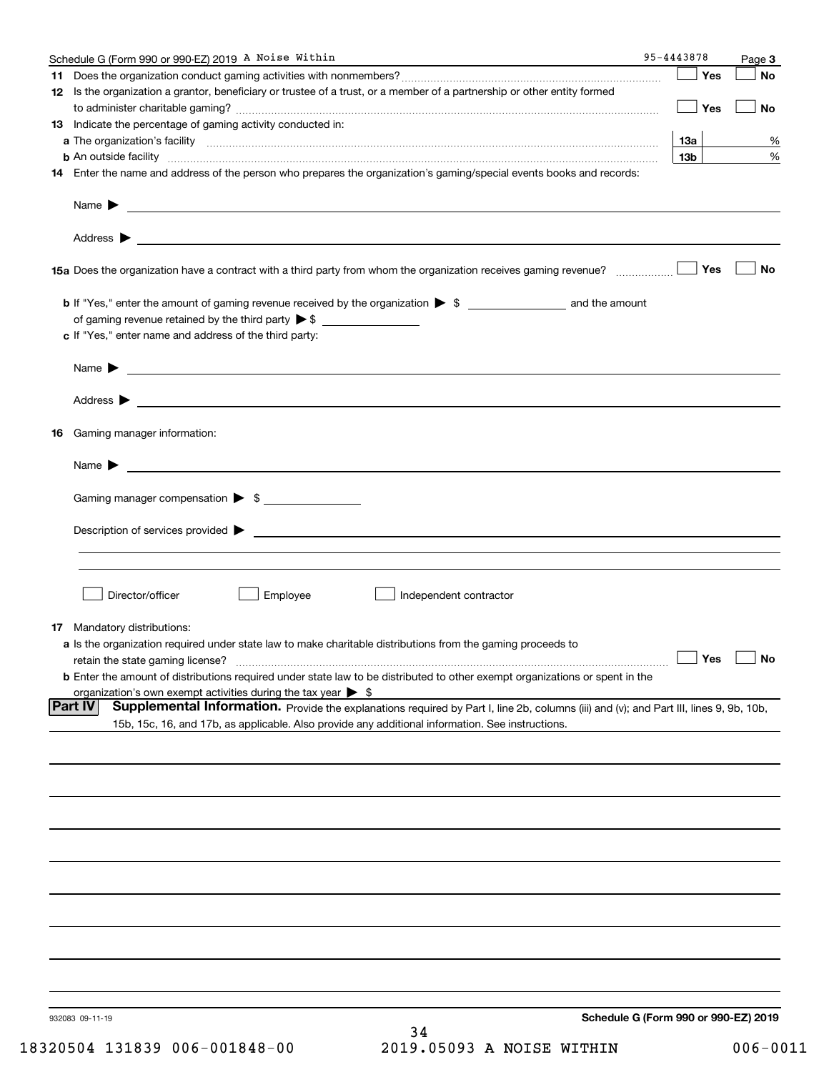| Schedule G (Form 990 or 990-EZ) 2019 A Noise Within                                                                                                                                                                                                          | 95-4443878                           | Page 3               |
|--------------------------------------------------------------------------------------------------------------------------------------------------------------------------------------------------------------------------------------------------------------|--------------------------------------|----------------------|
|                                                                                                                                                                                                                                                              | Yes                                  | No                   |
| 12 Is the organization a grantor, beneficiary or trustee of a trust, or a member of a partnership or other entity formed                                                                                                                                     | Yes                                  | No                   |
| 13 Indicate the percentage of gaming activity conducted in:                                                                                                                                                                                                  |                                      |                      |
|                                                                                                                                                                                                                                                              | 1За                                  | %                    |
| <b>b</b> An outside facility <b>contained an according to the contract of the contract of the contract of the contract of the contract of the contract of the contract of the contract of the contract of the contract of the contrac</b>                    | 13 <sub>b</sub>                      | %                    |
| 14 Enter the name and address of the person who prepares the organization's gaming/special events books and records:                                                                                                                                         |                                      |                      |
|                                                                                                                                                                                                                                                              |                                      |                      |
|                                                                                                                                                                                                                                                              |                                      |                      |
| 15a Does the organization have a contract with a third party from whom the organization receives gaming revenue?                                                                                                                                             | Yes                                  | No                   |
|                                                                                                                                                                                                                                                              |                                      |                      |
|                                                                                                                                                                                                                                                              |                                      |                      |
| c If "Yes," enter name and address of the third party:                                                                                                                                                                                                       |                                      |                      |
| Name $\blacktriangleright$ $\bot$                                                                                                                                                                                                                            |                                      |                      |
| Address <b>Department of the Contract Contract Contract Contract Contract Contract Contract Contract Contract Contract Contract Contract Contract Contract Contract Contract Contract Contract Contract Contract Contract Contra</b>                         |                                      |                      |
| 16 Gaming manager information:                                                                                                                                                                                                                               |                                      |                      |
| $Name \rightarrow$                                                                                                                                                                                                                                           |                                      |                      |
|                                                                                                                                                                                                                                                              |                                      |                      |
| Gaming manager compensation > \$                                                                                                                                                                                                                             |                                      |                      |
|                                                                                                                                                                                                                                                              |                                      |                      |
|                                                                                                                                                                                                                                                              |                                      |                      |
| Director/officer<br>Employee<br>Independent contractor                                                                                                                                                                                                       |                                      |                      |
| 17 Mandatory distributions:                                                                                                                                                                                                                                  |                                      |                      |
| a Is the organization required under state law to make charitable distributions from the gaming proceeds to                                                                                                                                                  |                                      |                      |
| retain the state gaming license?                                                                                                                                                                                                                             |                                      | $\Box$ Yes $\Box$ No |
| <b>b</b> Enter the amount of distributions required under state law to be distributed to other exempt organizations or spent in the                                                                                                                          |                                      |                      |
| organization's own exempt activities during the tax year $\triangleright$ \$                                                                                                                                                                                 |                                      |                      |
| <b>Part IV</b><br>Supplemental Information. Provide the explanations required by Part I, line 2b, columns (iii) and (v); and Part III, lines 9, 9b, 10b,<br>15b, 15c, 16, and 17b, as applicable. Also provide any additional information. See instructions. |                                      |                      |
|                                                                                                                                                                                                                                                              |                                      |                      |
|                                                                                                                                                                                                                                                              |                                      |                      |
|                                                                                                                                                                                                                                                              |                                      |                      |
|                                                                                                                                                                                                                                                              |                                      |                      |
|                                                                                                                                                                                                                                                              |                                      |                      |
|                                                                                                                                                                                                                                                              |                                      |                      |
|                                                                                                                                                                                                                                                              |                                      |                      |
|                                                                                                                                                                                                                                                              |                                      |                      |
|                                                                                                                                                                                                                                                              |                                      |                      |
|                                                                                                                                                                                                                                                              |                                      |                      |
| 932083 09-11-19<br>34                                                                                                                                                                                                                                        | Schedule G (Form 990 or 990-EZ) 2019 |                      |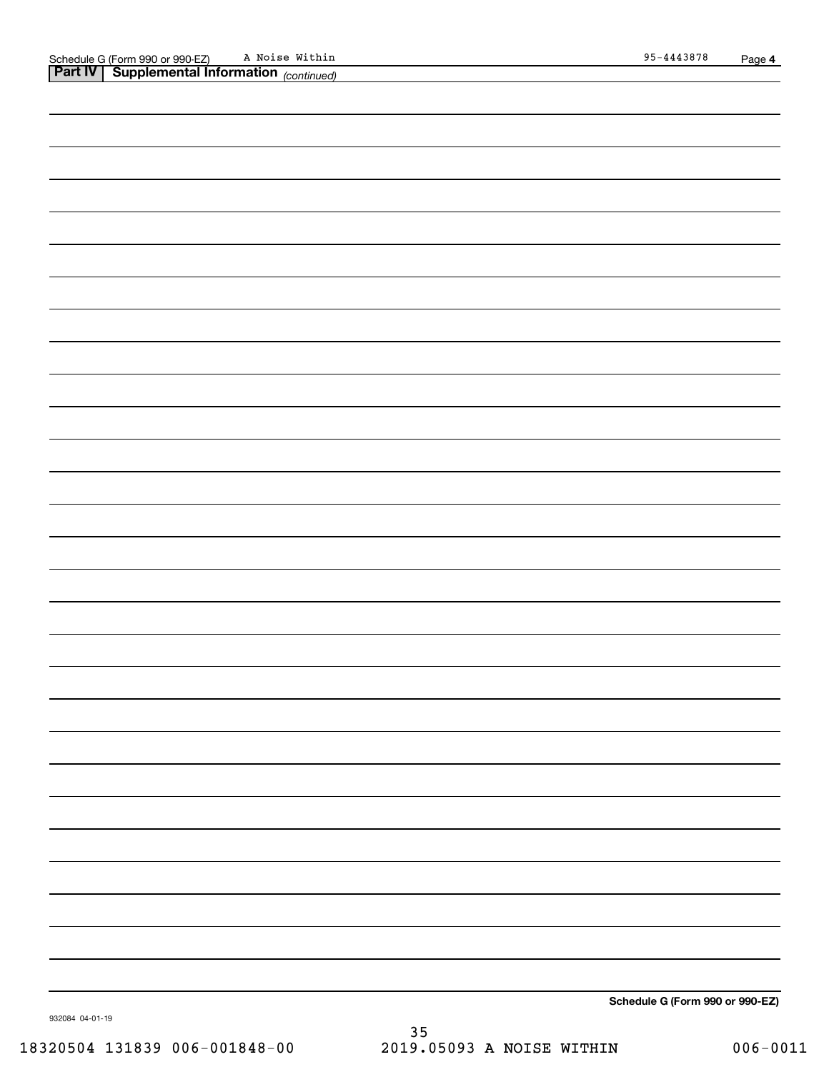| ,我们也不会有什么。""我们的人,我们也不会有什么?""我们的人,我们也不会有什么?""我们的人,我们也不会有什么?""我们的人,我们也不会有什么?""我们的人 |  |
|----------------------------------------------------------------------------------|--|

**Schedule G (Form 990 or 990-EZ)**

932084 04-01-19

35 18320504 131839 006-001848-00 2019.05093 A NOISE WITHIN 006-0011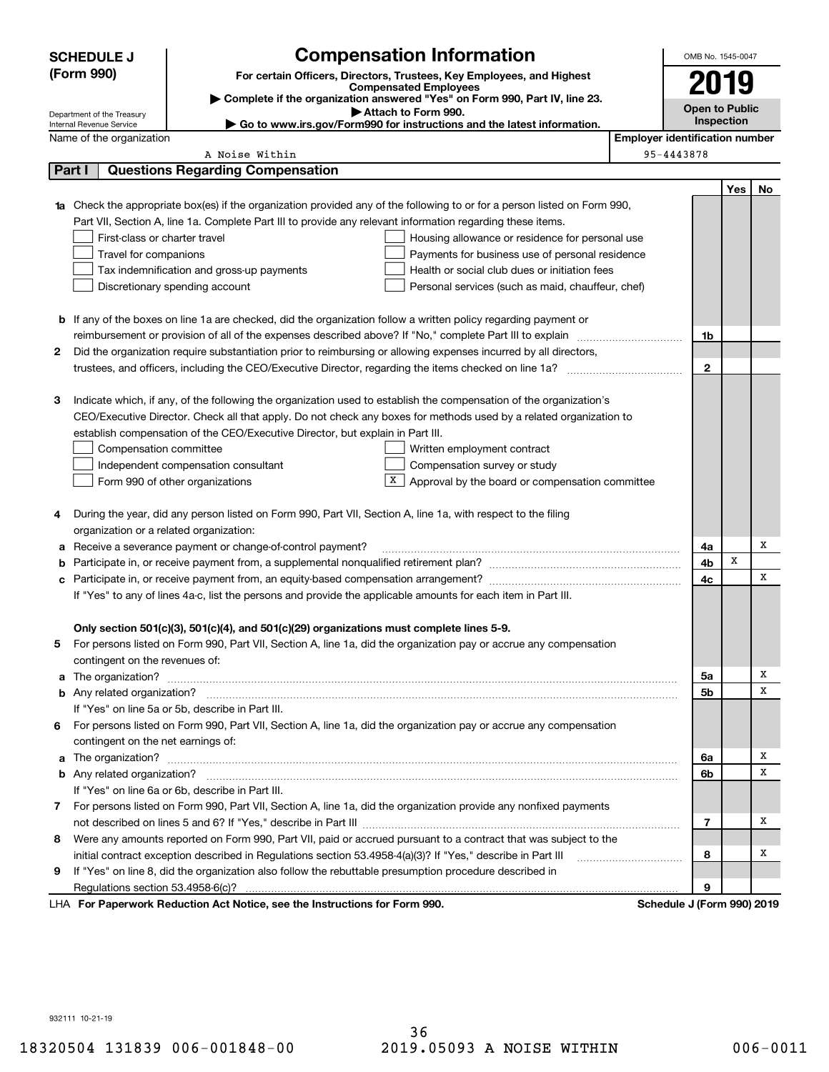|            | <b>Compensation Information</b><br><b>SCHEDULE J</b>                                                                             |                                                                                                              |                                                                                                                                                                                                                                          | OMB No. 1545-0047                     |                            |     |    |
|------------|----------------------------------------------------------------------------------------------------------------------------------|--------------------------------------------------------------------------------------------------------------|------------------------------------------------------------------------------------------------------------------------------------------------------------------------------------------------------------------------------------------|---------------------------------------|----------------------------|-----|----|
| (Form 990) |                                                                                                                                  |                                                                                                              | For certain Officers, Directors, Trustees, Key Employees, and Highest                                                                                                                                                                    |                                       |                            |     |    |
|            | <b>Compensated Employees</b>                                                                                                     |                                                                                                              |                                                                                                                                                                                                                                          | 2019                                  |                            |     |    |
|            | Complete if the organization answered "Yes" on Form 990, Part IV, line 23.<br>Attach to Form 990.                                |                                                                                                              |                                                                                                                                                                                                                                          |                                       | <b>Open to Public</b>      |     |    |
|            | Department of the Treasury<br>Go to www.irs.gov/Form990 for instructions and the latest information.<br>Internal Revenue Service |                                                                                                              |                                                                                                                                                                                                                                          |                                       | Inspection                 |     |    |
|            | Name of the organization                                                                                                         |                                                                                                              |                                                                                                                                                                                                                                          | <b>Employer identification number</b> |                            |     |    |
|            |                                                                                                                                  | A Noise Within                                                                                               |                                                                                                                                                                                                                                          |                                       | 95-4443878                 |     |    |
|            | Part I                                                                                                                           | <b>Questions Regarding Compensation</b>                                                                      |                                                                                                                                                                                                                                          |                                       |                            |     |    |
|            |                                                                                                                                  |                                                                                                              |                                                                                                                                                                                                                                          |                                       |                            | Yes | No |
|            |                                                                                                                                  |                                                                                                              | Check the appropriate box(es) if the organization provided any of the following to or for a person listed on Form 990,                                                                                                                   |                                       |                            |     |    |
|            |                                                                                                                                  | Part VII, Section A, line 1a. Complete Part III to provide any relevant information regarding these items.   |                                                                                                                                                                                                                                          |                                       |                            |     |    |
|            | First-class or charter travel                                                                                                    |                                                                                                              | Housing allowance or residence for personal use                                                                                                                                                                                          |                                       |                            |     |    |
|            | Travel for companions                                                                                                            |                                                                                                              | Payments for business use of personal residence                                                                                                                                                                                          |                                       |                            |     |    |
|            |                                                                                                                                  | Tax indemnification and gross-up payments                                                                    | Health or social club dues or initiation fees                                                                                                                                                                                            |                                       |                            |     |    |
|            |                                                                                                                                  | Discretionary spending account                                                                               | Personal services (such as maid, chauffeur, chef)                                                                                                                                                                                        |                                       |                            |     |    |
|            |                                                                                                                                  |                                                                                                              |                                                                                                                                                                                                                                          |                                       |                            |     |    |
|            |                                                                                                                                  |                                                                                                              | <b>b</b> If any of the boxes on line 1a are checked, did the organization follow a written policy regarding payment or                                                                                                                   |                                       |                            |     |    |
|            |                                                                                                                                  |                                                                                                              |                                                                                                                                                                                                                                          |                                       | 1b                         |     |    |
| 2          |                                                                                                                                  |                                                                                                              | Did the organization require substantiation prior to reimbursing or allowing expenses incurred by all directors,                                                                                                                         |                                       |                            |     |    |
|            |                                                                                                                                  |                                                                                                              |                                                                                                                                                                                                                                          |                                       | $\mathbf{2}$               |     |    |
|            |                                                                                                                                  |                                                                                                              |                                                                                                                                                                                                                                          |                                       |                            |     |    |
| з          |                                                                                                                                  |                                                                                                              | Indicate which, if any, of the following the organization used to establish the compensation of the organization's<br>CEO/Executive Director. Check all that apply. Do not check any boxes for methods used by a related organization to |                                       |                            |     |    |
|            |                                                                                                                                  |                                                                                                              |                                                                                                                                                                                                                                          |                                       |                            |     |    |
|            | Compensation committee                                                                                                           | establish compensation of the CEO/Executive Director, but explain in Part III.                               |                                                                                                                                                                                                                                          |                                       |                            |     |    |
|            |                                                                                                                                  | Independent compensation consultant                                                                          | Written employment contract<br>Compensation survey or study                                                                                                                                                                              |                                       |                            |     |    |
|            |                                                                                                                                  |                                                                                                              |                                                                                                                                                                                                                                          |                                       |                            |     |    |
|            |                                                                                                                                  | Form 990 of other organizations                                                                              | Approval by the board or compensation committee                                                                                                                                                                                          |                                       |                            |     |    |
| 4          |                                                                                                                                  | During the year, did any person listed on Form 990, Part VII, Section A, line 1a, with respect to the filing |                                                                                                                                                                                                                                          |                                       |                            |     |    |
|            | organization or a related organization:                                                                                          |                                                                                                              |                                                                                                                                                                                                                                          |                                       |                            |     |    |
| а          |                                                                                                                                  | Receive a severance payment or change-of-control payment?                                                    |                                                                                                                                                                                                                                          |                                       | 4a                         |     | х  |
| b          |                                                                                                                                  |                                                                                                              |                                                                                                                                                                                                                                          |                                       | 4b                         | x   |    |
| с          |                                                                                                                                  |                                                                                                              |                                                                                                                                                                                                                                          |                                       | 4c                         |     | х  |
|            | If "Yes" to any of lines 4a-c, list the persons and provide the applicable amounts for each item in Part III.                    |                                                                                                              |                                                                                                                                                                                                                                          |                                       |                            |     |    |
|            |                                                                                                                                  |                                                                                                              |                                                                                                                                                                                                                                          |                                       |                            |     |    |
|            |                                                                                                                                  | Only section 501(c)(3), 501(c)(4), and 501(c)(29) organizations must complete lines 5-9.                     |                                                                                                                                                                                                                                          |                                       |                            |     |    |
|            |                                                                                                                                  |                                                                                                              | For persons listed on Form 990, Part VII, Section A, line 1a, did the organization pay or accrue any compensation                                                                                                                        |                                       |                            |     |    |
|            | contingent on the revenues of:                                                                                                   |                                                                                                              |                                                                                                                                                                                                                                          |                                       |                            |     |    |
| a          |                                                                                                                                  |                                                                                                              |                                                                                                                                                                                                                                          |                                       | 5a                         |     | х  |
|            |                                                                                                                                  |                                                                                                              |                                                                                                                                                                                                                                          |                                       | 5b                         |     | х  |
|            |                                                                                                                                  | If "Yes" on line 5a or 5b, describe in Part III.                                                             |                                                                                                                                                                                                                                          |                                       |                            |     |    |
| 6          |                                                                                                                                  |                                                                                                              | For persons listed on Form 990, Part VII, Section A, line 1a, did the organization pay or accrue any compensation                                                                                                                        |                                       |                            |     |    |
|            | contingent on the net earnings of:                                                                                               |                                                                                                              |                                                                                                                                                                                                                                          |                                       |                            |     |    |
|            |                                                                                                                                  |                                                                                                              |                                                                                                                                                                                                                                          |                                       | 6a                         |     | х  |
|            |                                                                                                                                  |                                                                                                              |                                                                                                                                                                                                                                          |                                       | 6b                         |     | X  |
|            |                                                                                                                                  | If "Yes" on line 6a or 6b, describe in Part III.                                                             |                                                                                                                                                                                                                                          |                                       |                            |     |    |
|            |                                                                                                                                  |                                                                                                              | 7 For persons listed on Form 990, Part VII, Section A, line 1a, did the organization provide any nonfixed payments                                                                                                                       |                                       |                            |     |    |
|            |                                                                                                                                  |                                                                                                              |                                                                                                                                                                                                                                          |                                       | 7                          |     | х  |
| 8          |                                                                                                                                  |                                                                                                              | Were any amounts reported on Form 990, Part VII, paid or accrued pursuant to a contract that was subject to the                                                                                                                          |                                       |                            |     |    |
|            |                                                                                                                                  | initial contract exception described in Regulations section 53.4958-4(a)(3)? If "Yes," describe in Part III  |                                                                                                                                                                                                                                          |                                       | 8                          |     | х  |
| 9          |                                                                                                                                  | If "Yes" on line 8, did the organization also follow the rebuttable presumption procedure described in       |                                                                                                                                                                                                                                          |                                       |                            |     |    |
|            |                                                                                                                                  |                                                                                                              |                                                                                                                                                                                                                                          |                                       | 9                          |     |    |
|            |                                                                                                                                  | LHA For Paperwork Reduction Act Notice, see the Instructions for Form 990.                                   |                                                                                                                                                                                                                                          |                                       | Schedule J (Form 990) 2019 |     |    |

932111 10-21-19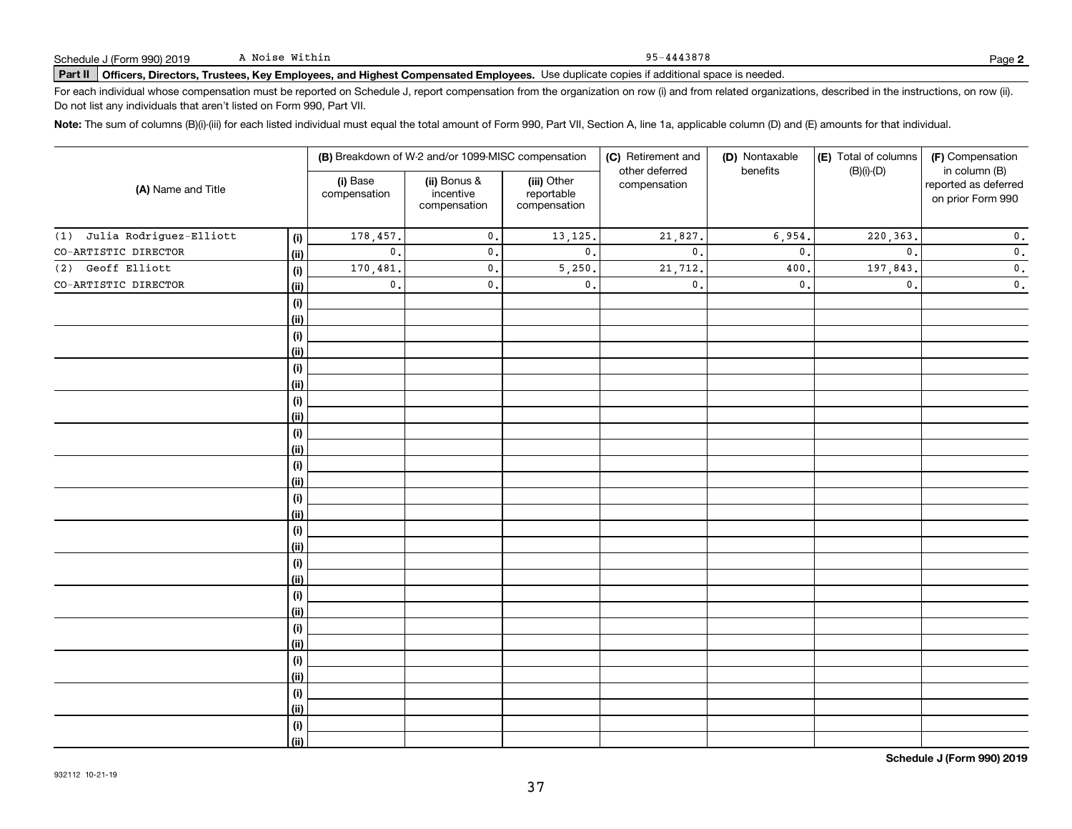#### 95-4443878

# **Part II Officers, Directors, Trustees, Key Employees, and Highest Compensated Employees.**  Schedule J (Form 990) 2019 Page Use duplicate copies if additional space is needed.

For each individual whose compensation must be reported on Schedule J, report compensation from the organization on row (i) and from related organizations, described in the instructions, on row (ii). Do not list any individuals that aren't listed on Form 990, Part VII.

**Note:**  The sum of columns (B)(i)-(iii) for each listed individual must equal the total amount of Form 990, Part VII, Section A, line 1a, applicable column (D) and (E) amounts for that individual.

|                                       |                          | (B) Breakdown of W-2 and/or 1099-MISC compensation |                                           | (C) Retirement and<br>other deferred | (D) Nontaxable<br>benefits | (E) Total of columns | (F) Compensation<br>in column (B)         |  |
|---------------------------------------|--------------------------|----------------------------------------------------|-------------------------------------------|--------------------------------------|----------------------------|----------------------|-------------------------------------------|--|
| (A) Name and Title                    | (i) Base<br>compensation | (ii) Bonus &<br>incentive<br>compensation          | (iii) Other<br>reportable<br>compensation | compensation                         |                            | $(B)(i)-(D)$         | reported as deferred<br>on prior Form 990 |  |
| Julia Rodriguez-Elliott<br>(1)<br>(i) | 178,457.                 | $\mathfrak o$ .                                    | 13,125.                                   | 21,827.                              | 6,954.                     | 220, 363.            | $\mathbf 0$ .                             |  |
| CO-ARTISTIC DIRECTOR<br><u>(ii)</u>   | $\mathbf{0}$ .           | $\mathsf{0}$ .                                     | $\mathbf{0}$ .                            | $\mathbf{0}$ .                       | $\mathfrak o$ .            | $\mathbf{0}$ .       | $\mathbf 0$ .                             |  |
| (2) Geoff Elliott<br>$(\sf{i})$       | 170,481.                 | $\mathsf{o}$ .                                     | 5,250,                                    | 21,712.                              | 400                        | 197,843.             | $\mathfrak o$ .                           |  |
| CO-ARTISTIC DIRECTOR<br>(ii)          | $\mathbf 0$ .            | $\mathbf{0}$ .                                     | 0.                                        | $\mathfrak o$ .                      | $\mathbf{0}$ .             | $\mathfrak o$ .      | $\mathbf 0$ .                             |  |
| (i)                                   |                          |                                                    |                                           |                                      |                            |                      |                                           |  |
| (ii)                                  |                          |                                                    |                                           |                                      |                            |                      |                                           |  |
| (i)                                   |                          |                                                    |                                           |                                      |                            |                      |                                           |  |
| (ii)                                  |                          |                                                    |                                           |                                      |                            |                      |                                           |  |
| (i)                                   |                          |                                                    |                                           |                                      |                            |                      |                                           |  |
| (ii)                                  |                          |                                                    |                                           |                                      |                            |                      |                                           |  |
| (i)                                   |                          |                                                    |                                           |                                      |                            |                      |                                           |  |
| (ii)                                  |                          |                                                    |                                           |                                      |                            |                      |                                           |  |
| (i)                                   |                          |                                                    |                                           |                                      |                            |                      |                                           |  |
| (ii)                                  |                          |                                                    |                                           |                                      |                            |                      |                                           |  |
| (i)                                   |                          |                                                    |                                           |                                      |                            |                      |                                           |  |
| (ii)                                  |                          |                                                    |                                           |                                      |                            |                      |                                           |  |
| (i)                                   |                          |                                                    |                                           |                                      |                            |                      |                                           |  |
| (ii)                                  |                          |                                                    |                                           |                                      |                            |                      |                                           |  |
| (i)                                   |                          |                                                    |                                           |                                      |                            |                      |                                           |  |
| (ii)                                  |                          |                                                    |                                           |                                      |                            |                      |                                           |  |
| (i)                                   |                          |                                                    |                                           |                                      |                            |                      |                                           |  |
| (ii)                                  |                          |                                                    |                                           |                                      |                            |                      |                                           |  |
| (i)                                   |                          |                                                    |                                           |                                      |                            |                      |                                           |  |
| (ii)                                  |                          |                                                    |                                           |                                      |                            |                      |                                           |  |
| (i)<br>(ii)                           |                          |                                                    |                                           |                                      |                            |                      |                                           |  |
|                                       |                          |                                                    |                                           |                                      |                            |                      |                                           |  |
| (i)<br>(ii)                           |                          |                                                    |                                           |                                      |                            |                      |                                           |  |
| (i)                                   |                          |                                                    |                                           |                                      |                            |                      |                                           |  |
| (ii)                                  |                          |                                                    |                                           |                                      |                            |                      |                                           |  |
| (i)                                   |                          |                                                    |                                           |                                      |                            |                      |                                           |  |
| (ii)                                  |                          |                                                    |                                           |                                      |                            |                      |                                           |  |

**Schedule J (Form 990) 2019**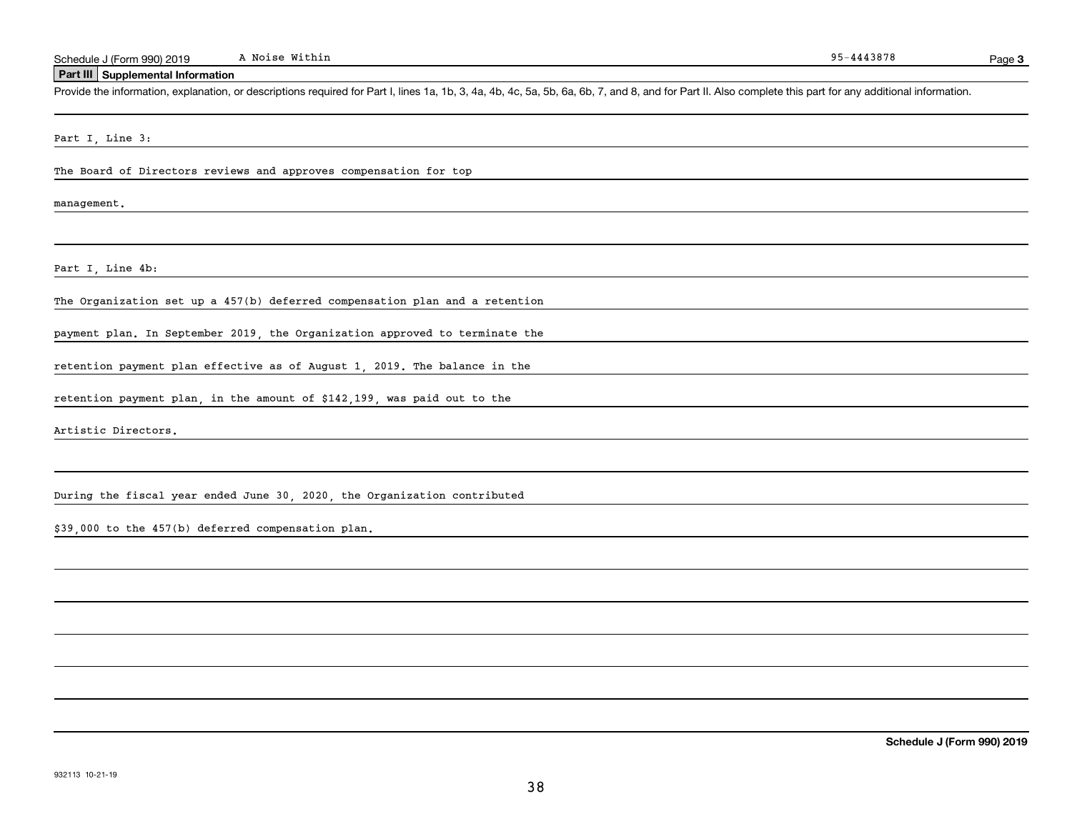**Schedule J (Form 990) 2019**

38

Part I, Line 4b: retention payment plan effective as of August 1, 2019. The balance in the During the fiscal year ended June 30, 2020, the Organization contributed \$39,000 to the 457(b) deferred compensation plan.

#### Part I, Line 3:

**Part III Supplemental Information**

The Board of Directors reviews and approves compensation for top

management.

The Organization set up a 457(b) deferred compensation plan and a retention

payment plan. In September 2019, the Organization approved to terminate the

retention payment plan, in the amount of \$142,199, was paid out to the

Artistic Directors.

A Noise Within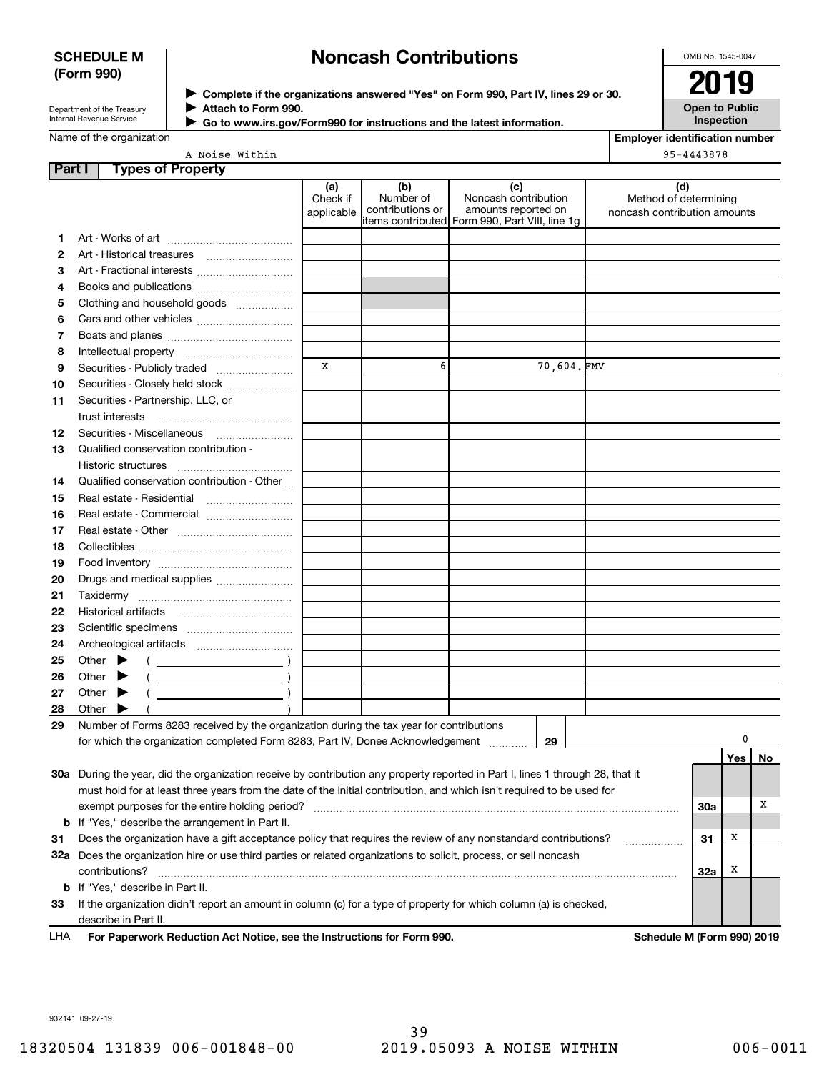### **SCHEDULE M (Form 990)**

# **Noncash Contributions**

OMB No. 1545-0047

| Department of the Treasury      |  |
|---------------------------------|--|
| <b>Internal Revenue Service</b> |  |

**Complete if the organizations answered "Yes" on Form 990, Part IV, lines 29 or 30.** <sup>J</sup>**2019 Attach to Form 990.** J



Name of the organization

 **Go to www.irs.gov/Form990 for instructions and the latest information.** J

**Employer identification number** 95-4443878

A Noise Within

| Part I                           | <b>Types of Property</b>                                                                                                       |                               |                                      |                                                    |                                                              |            |     |    |
|----------------------------------|--------------------------------------------------------------------------------------------------------------------------------|-------------------------------|--------------------------------------|----------------------------------------------------|--------------------------------------------------------------|------------|-----|----|
|                                  |                                                                                                                                | (a)<br>Check if<br>applicable | (b)<br>Number of<br>contributions or | (c)<br>Noncash contribution<br>amounts reported on | (d)<br>Method of determining<br>noncash contribution amounts |            |     |    |
|                                  |                                                                                                                                |                               |                                      | items contributed Form 990, Part VIII, line 1g     |                                                              |            |     |    |
| 1                                |                                                                                                                                |                               |                                      |                                                    |                                                              |            |     |    |
| 2                                |                                                                                                                                |                               |                                      |                                                    |                                                              |            |     |    |
| з                                | Art - Fractional interests                                                                                                     |                               |                                      |                                                    |                                                              |            |     |    |
| 4                                | Books and publications                                                                                                         |                               |                                      |                                                    |                                                              |            |     |    |
| 5                                | Clothing and household goods                                                                                                   |                               |                                      |                                                    |                                                              |            |     |    |
| 6                                |                                                                                                                                |                               |                                      |                                                    |                                                              |            |     |    |
| 7                                |                                                                                                                                |                               |                                      |                                                    |                                                              |            |     |    |
| 8                                |                                                                                                                                |                               |                                      |                                                    |                                                              |            |     |    |
| 9                                | Securities - Publicly traded                                                                                                   | X                             | 6                                    | 70,604.FMV                                         |                                                              |            |     |    |
| 10                               | Securities - Closely held stock                                                                                                |                               |                                      |                                                    |                                                              |            |     |    |
| 11                               | Securities - Partnership, LLC, or                                                                                              |                               |                                      |                                                    |                                                              |            |     |    |
|                                  | trust interests                                                                                                                |                               |                                      |                                                    |                                                              |            |     |    |
| 12                               | Securities - Miscellaneous                                                                                                     |                               |                                      |                                                    |                                                              |            |     |    |
| 13                               | Qualified conservation contribution -                                                                                          |                               |                                      |                                                    |                                                              |            |     |    |
|                                  | Historic structures<br>                                                                                                        |                               |                                      |                                                    |                                                              |            |     |    |
| 14                               | Qualified conservation contribution - Other                                                                                    |                               |                                      |                                                    |                                                              |            |     |    |
| 15                               |                                                                                                                                |                               |                                      |                                                    |                                                              |            |     |    |
| 16                               | Real estate - Commercial                                                                                                       |                               |                                      |                                                    |                                                              |            |     |    |
| 17                               |                                                                                                                                |                               |                                      |                                                    |                                                              |            |     |    |
| 18                               |                                                                                                                                |                               |                                      |                                                    |                                                              |            |     |    |
| 19                               |                                                                                                                                |                               |                                      |                                                    |                                                              |            |     |    |
| Drugs and medical supplies<br>20 |                                                                                                                                |                               |                                      |                                                    |                                                              |            |     |    |
| 21                               | Taxidermy                                                                                                                      |                               |                                      |                                                    |                                                              |            |     |    |
| 22                               |                                                                                                                                |                               |                                      |                                                    |                                                              |            |     |    |
| 23                               |                                                                                                                                |                               |                                      |                                                    |                                                              |            |     |    |
| 24                               |                                                                                                                                |                               |                                      |                                                    |                                                              |            |     |    |
| 25                               | Other                                                                                                                          |                               |                                      |                                                    |                                                              |            |     |    |
| 26                               | Other                                                                                                                          |                               |                                      |                                                    |                                                              |            |     |    |
| 27                               | Other<br>▸                                                                                                                     |                               |                                      |                                                    |                                                              |            |     |    |
| 28                               | Other                                                                                                                          |                               |                                      |                                                    |                                                              |            |     |    |
| 29                               | Number of Forms 8283 received by the organization during the tax year for contributions                                        |                               |                                      |                                                    |                                                              |            |     |    |
|                                  | for which the organization completed Form 8283, Part IV, Donee Acknowledgement                                                 |                               |                                      | 29                                                 |                                                              |            | 0   |    |
|                                  |                                                                                                                                |                               |                                      |                                                    |                                                              |            | Yes | No |
|                                  | 30a During the year, did the organization receive by contribution any property reported in Part I, lines 1 through 28, that it |                               |                                      |                                                    |                                                              |            |     |    |
|                                  | must hold for at least three years from the date of the initial contribution, and which isn't required to be used for          |                               |                                      |                                                    |                                                              |            |     |    |
|                                  | exempt purposes for the entire holding period?                                                                                 |                               |                                      |                                                    |                                                              | 30a        |     | х  |
|                                  | <b>b</b> If "Yes," describe the arrangement in Part II.                                                                        |                               |                                      |                                                    |                                                              |            |     |    |
| 31                               | Does the organization have a gift acceptance policy that requires the review of any nonstandard contributions?<br>.            |                               |                                      |                                                    |                                                              | 31         | х   |    |
|                                  | 32a Does the organization hire or use third parties or related organizations to solicit, process, or sell noncash              |                               |                                      |                                                    |                                                              |            |     |    |
|                                  | contributions?                                                                                                                 |                               |                                      |                                                    |                                                              | <b>32a</b> | х   |    |
|                                  | <b>b</b> If "Yes," describe in Part II.                                                                                        |                               |                                      |                                                    |                                                              |            |     |    |
| 33                               | If the organization didn't report an amount in column (c) for a type of property for which column (a) is checked,              |                               |                                      |                                                    |                                                              |            |     |    |
|                                  | describe in Part II.                                                                                                           |                               |                                      |                                                    |                                                              |            |     |    |

For Paperwork Reduction Act Notice, see the Instructions for Form 990. Schedule M (Form 990) 2019 LHA

932141 09-27-19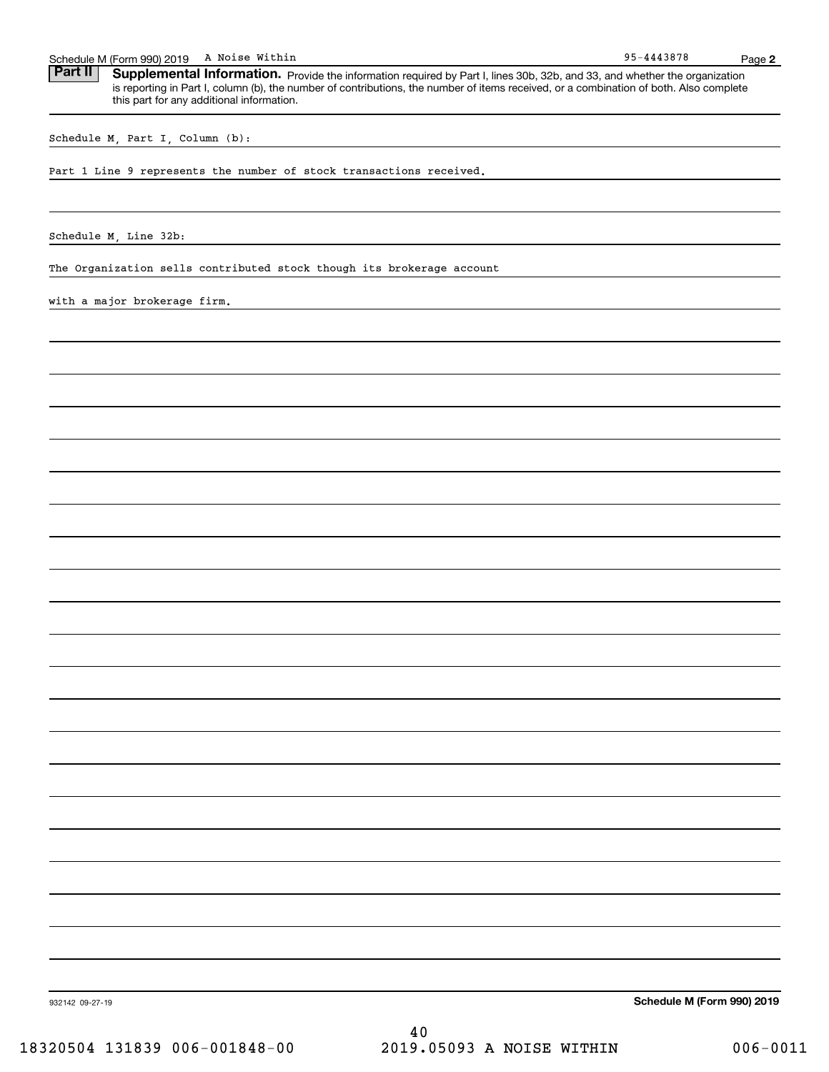95-4443878 Schedule M (Form 990) 2019 A Noise Within<br>**Part II** Supplemental Information. Provide the information required by Part I. lines 30b. 32b. and 33. and whether the c Part II | Supplemental Information. Provide the information required by Part I, lines 30b, 32b, and 33, and whether the organization is reporting in Part I, column (b), the number of contributions, the number of items received, or a combination of both. Also complete this part for any additional information.

Schedule M, Part I, Column (b):

Part 1 Line 9 represents the number of stock transactions received.

Schedule M, Line 32b:

The Organization sells contributed stock though its brokerage account

with a major brokerage firm.

**Schedule M (Form 990) 2019**

932142 09-27-19

40 18320504 131839 006-001848-00 2019.05093 A NOISE WITHIN 006-0011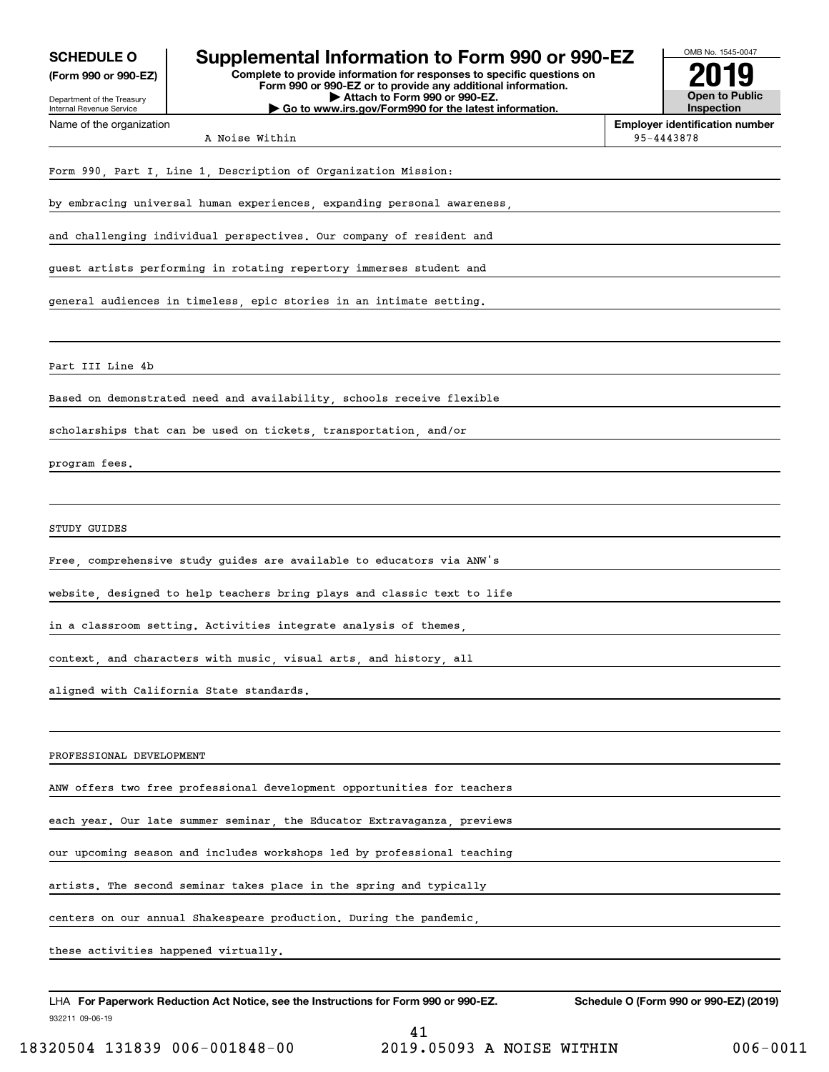| <b>SCHEDULE O</b>                                    | Supplemental Information to Form 990 or 990-EZ                                                                                                                          | OMB No. 1545-0047                                          |
|------------------------------------------------------|-------------------------------------------------------------------------------------------------------------------------------------------------------------------------|------------------------------------------------------------|
| (Form 990 or 990-EZ)<br>Department of the Treasury   | Complete to provide information for responses to specific questions on<br>Form 990 or 990-EZ or to provide any additional information.<br>Attach to Form 990 or 990-EZ. | <b>Open to Public</b>                                      |
| Internal Revenue Service<br>Name of the organization | Go to www.irs.gov/Form990 for the latest information.                                                                                                                   | <b>Inspection</b><br><b>Employer identification number</b> |
|                                                      | A Noise Within                                                                                                                                                          | 95-4443878                                                 |
|                                                      | Form 990, Part I, Line 1, Description of Organization Mission:                                                                                                          |                                                            |
|                                                      | by embracing universal human experiences, expanding personal awareness,                                                                                                 |                                                            |
|                                                      | and challenging individual perspectives. Our company of resident and                                                                                                    |                                                            |
|                                                      | guest artists performing in rotating repertory immerses student and                                                                                                     |                                                            |
|                                                      | general audiences in timeless, epic stories in an intimate setting.                                                                                                     |                                                            |
| Part III Line 4b                                     |                                                                                                                                                                         |                                                            |
|                                                      | Based on demonstrated need and availability, schools receive flexible                                                                                                   |                                                            |
|                                                      | scholarships that can be used on tickets, transportation, and/or                                                                                                        |                                                            |
| program fees.                                        |                                                                                                                                                                         |                                                            |
|                                                      |                                                                                                                                                                         |                                                            |
| STUDY GUIDES                                         |                                                                                                                                                                         |                                                            |
|                                                      | Free, comprehensive study guides are available to educators via ANW's                                                                                                   |                                                            |
|                                                      | website, designed to help teachers bring plays and classic text to life                                                                                                 |                                                            |
|                                                      | in a classroom setting. Activities integrate analysis of themes,                                                                                                        |                                                            |
|                                                      | context, and characters with music, visual arts, and history, all                                                                                                       |                                                            |
|                                                      | aligned with California State standards.                                                                                                                                |                                                            |
| PROFESSIONAL DEVELOPMENT                             |                                                                                                                                                                         |                                                            |
|                                                      | ANW offers two free professional development opportunities for teachers                                                                                                 |                                                            |
|                                                      | each year. Our late summer seminar, the Educator Extravaganza, previews                                                                                                 |                                                            |
|                                                      | our upcoming season and includes workshops led by professional teaching                                                                                                 |                                                            |
|                                                      | artists. The second seminar takes place in the spring and typically                                                                                                     |                                                            |
|                                                      | centers on our annual Shakespeare production. During the pandemic,                                                                                                      |                                                            |
| these activities happened virtually.                 |                                                                                                                                                                         |                                                            |
|                                                      | LHA For Paperwork Reduction Act Notice, see the Instructions for Form 990 or 990-EZ.                                                                                    | Schedule O (Form 990 or 990-EZ) (2019)                     |
| 932211 09-06-19                                      |                                                                                                                                                                         |                                                            |

41 18320504 131839 006-001848-00 2019.05093 A NOISE WITHIN 006-0011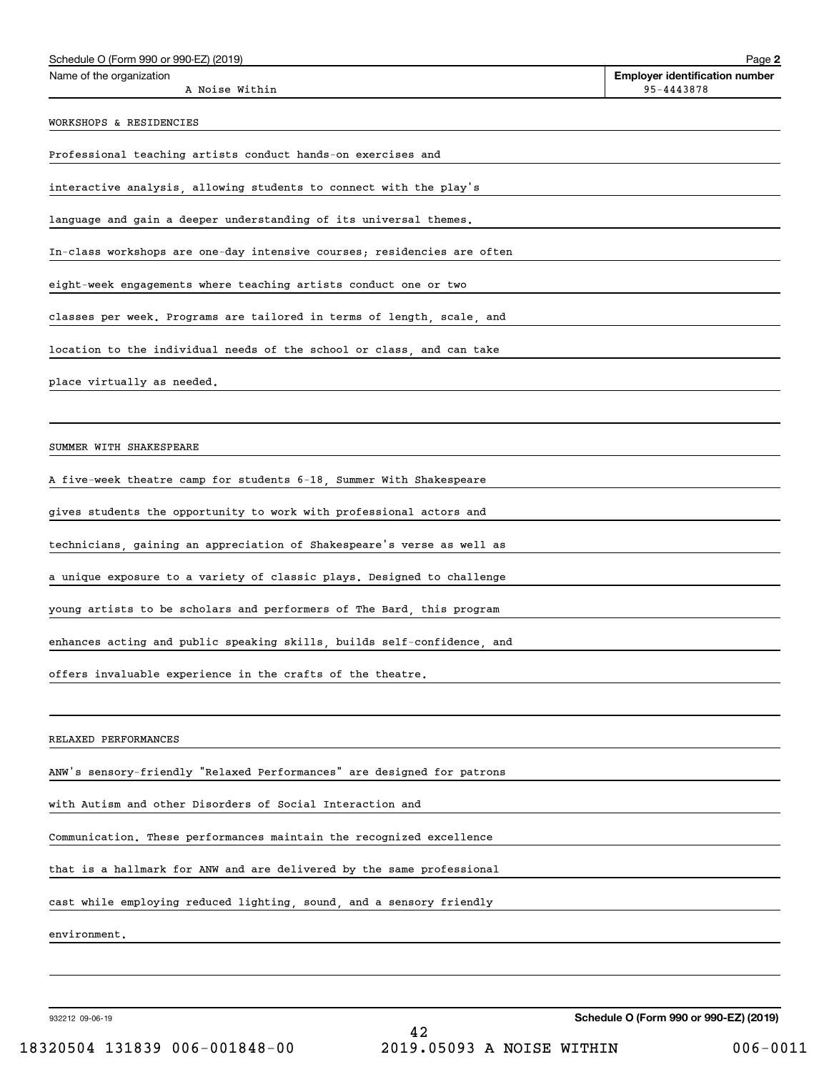| Schedule O (Form 990 or 990-EZ) (2019)                                  | Page 2                                              |
|-------------------------------------------------------------------------|-----------------------------------------------------|
| Name of the organization<br>A Noise Within                              | <b>Employer identification number</b><br>95-4443878 |
| WORKSHOPS & RESIDENCIES                                                 |                                                     |
| Professional teaching artists conduct hands-on exercises and            |                                                     |
| interactive analysis, allowing students to connect with the play's      |                                                     |
| language and gain a deeper understanding of its universal themes.       |                                                     |
| In-class workshops are one-day intensive courses; residencies are often |                                                     |
| eight-week engagements where teaching artists conduct one or two        |                                                     |
| classes per week. Programs are tailored in terms of length, scale, and  |                                                     |
| location to the individual needs of the school or class, and can take   |                                                     |
| place virtually as needed.                                              |                                                     |
|                                                                         |                                                     |
| SUMMER WITH SHAKESPEARE                                                 |                                                     |
| A five-week theatre camp for students 6-18, Summer With Shakespeare     |                                                     |
| gives students the opportunity to work with professional actors and     |                                                     |
| technicians, gaining an appreciation of Shakespeare's verse as well as  |                                                     |
| a unique exposure to a variety of classic plays. Designed to challenge  |                                                     |
| young artists to be scholars and performers of The Bard, this program   |                                                     |
| enhances acting and public speaking skills, builds self-confidence, and |                                                     |
| offers invaluable experience in the crafts of the theatre.              |                                                     |
|                                                                         |                                                     |
| RELAXED PERFORMANCES                                                    |                                                     |
| ANW's sensory-friendly "Relaxed Performances" are designed for patrons  |                                                     |
| with Autism and other Disorders of Social Interaction and               |                                                     |
| Communication. These performances maintain the recognized excellence    |                                                     |
| that is a hallmark for ANW and are delivered by the same professional   |                                                     |
| cast while employing reduced lighting, sound, and a sensory friendly    |                                                     |
| environment.                                                            |                                                     |
|                                                                         |                                                     |
|                                                                         |                                                     |

932212 09-06-19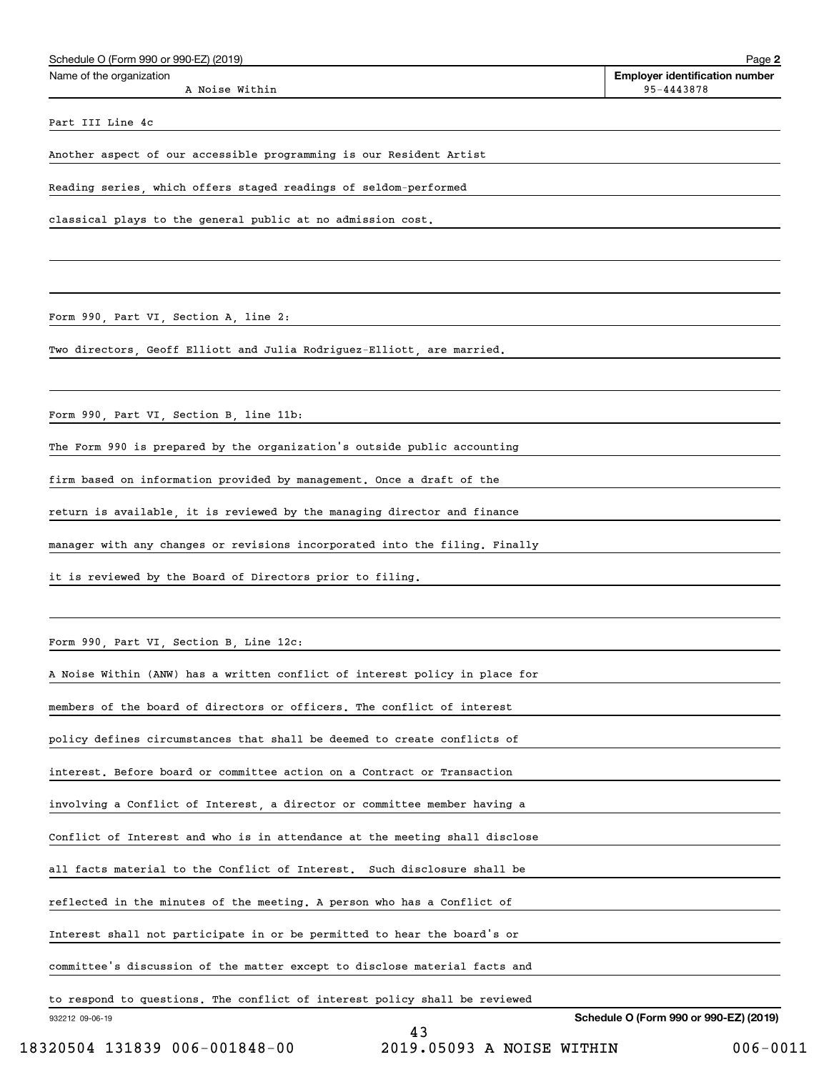| Schedule O (Form 990 or 990-EZ) (2019) | Page 2                                |
|----------------------------------------|---------------------------------------|
| Name of the organization               | <b>Employer identification number</b> |
| A Noise Within                         | 95-4443878                            |
|                                        |                                       |

Part III Line 4c

Another aspect of our accessible programming is our Resident Artist

Reading series, which offers staged readings of seldom-performed

classical plays to the general public at no admission cost.

Form 990, Part VI, Section A, line 2:

Two directors, Geoff Elliott and Julia Rodriguez-Elliott, are married.

Form 990, Part VI, Section B, line 11b:

The Form 990 is prepared by the organization's outside public accounting

firm based on information provided by management. Once a draft of the

return is available, it is reviewed by the managing director and finance

manager with any changes or revisions incorporated into the filing. Finally

it is reviewed by the Board of Directors prior to filing.

Form 990, Part VI, Section B, Line 12c:

| 932212 09-06-19<br>43                                                       | Schedule O (Form 990 or 990-EZ) (2019) |
|-----------------------------------------------------------------------------|----------------------------------------|
| to respond to questions. The conflict of interest policy shall be reviewed  |                                        |
| committee's discussion of the matter except to disclose material facts and  |                                        |
| Interest shall not participate in or be permitted to hear the board's or    |                                        |
| reflected in the minutes of the meeting. A person who has a Conflict of     |                                        |
| all facts material to the Conflict of Interest. Such disclosure shall be    |                                        |
| Conflict of Interest and who is in attendance at the meeting shall disclose |                                        |
| involving a Conflict of Interest, a director or committee member having a   |                                        |
| interest. Before board or committee action on a Contract or Transaction     |                                        |
| policy defines circumstances that shall be deemed to create conflicts of    |                                        |
| members of the board of directors or officers. The conflict of interest     |                                        |
| A Noise Within (ANW) has a written conflict of interest policy in place for |                                        |

18320504 131839 006-001848-00 2019.05093 A NOISE WITHIN 006-0011